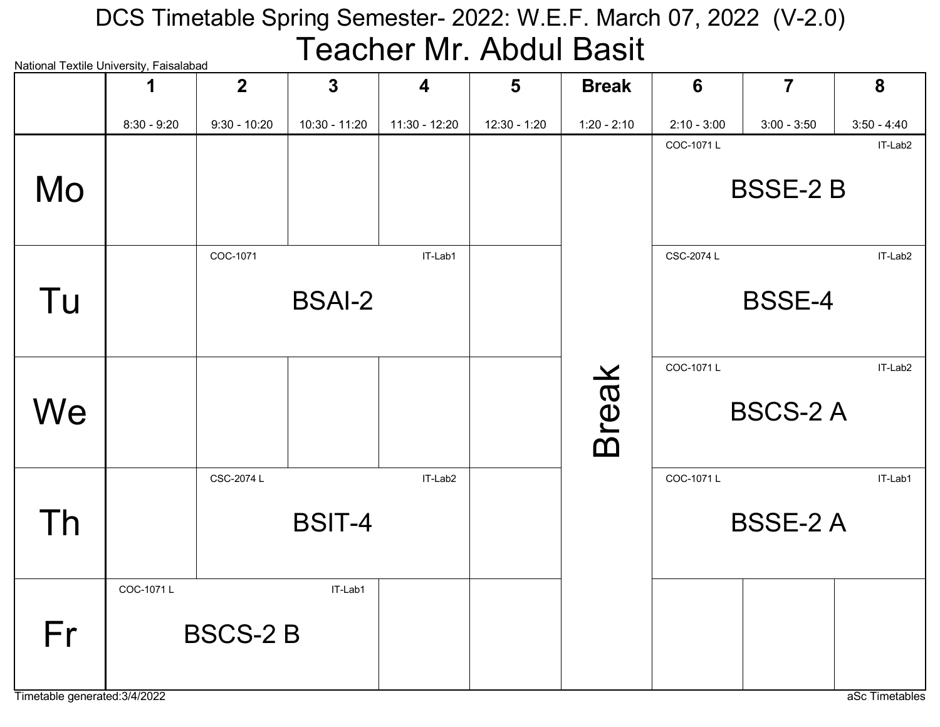### National Textile University, Faisalabad DCS Timetable Spring Semester- 2022: W.E.F. March 07, 2022 (V-2.0) Teacher Mr. Abdul Basit

| National Textile University, Faisalabad |               | $\overline{2}$ | $\mathbf{3}$  | $\overline{\mathbf{4}}$ | 5            | <b>Break</b>  | 6             | $\overline{7}$  | 8             |
|-----------------------------------------|---------------|----------------|---------------|-------------------------|--------------|---------------|---------------|-----------------|---------------|
|                                         | $8:30 - 9:20$ | $9:30 - 10:20$ | 10:30 - 11:20 | 11:30 - 12:20           | 12:30 - 1:20 | $1:20 - 2:10$ | $2:10 - 3:00$ | $3:00 - 3:50$   | $3:50 - 4:40$ |
| Mo                                      |               |                |               |                         |              |               | COC-1071L     | <b>BSSE-2B</b>  | IT-Lab2       |
| Tu                                      |               | COC-1071       | <b>BSAI-2</b> | IT-Lab1                 |              |               | CSC-2074 L    | <b>BSSE-4</b>   | IT-Lab2       |
| We                                      |               |                |               |                         |              | <b>Break</b>  | COC-1071L     | <b>BSCS-2 A</b> | IT-Lab2       |
| Th                                      |               | CSC-2074 L     | <b>BSIT-4</b> | IT-Lab2                 |              |               | COC-1071L     | <b>BSSE-2 A</b> | IT-Lab1       |
| Fr                                      | COC-1071L     | <b>BSCS-2B</b> | IT-Lab1       |                         |              |               |               |                 |               |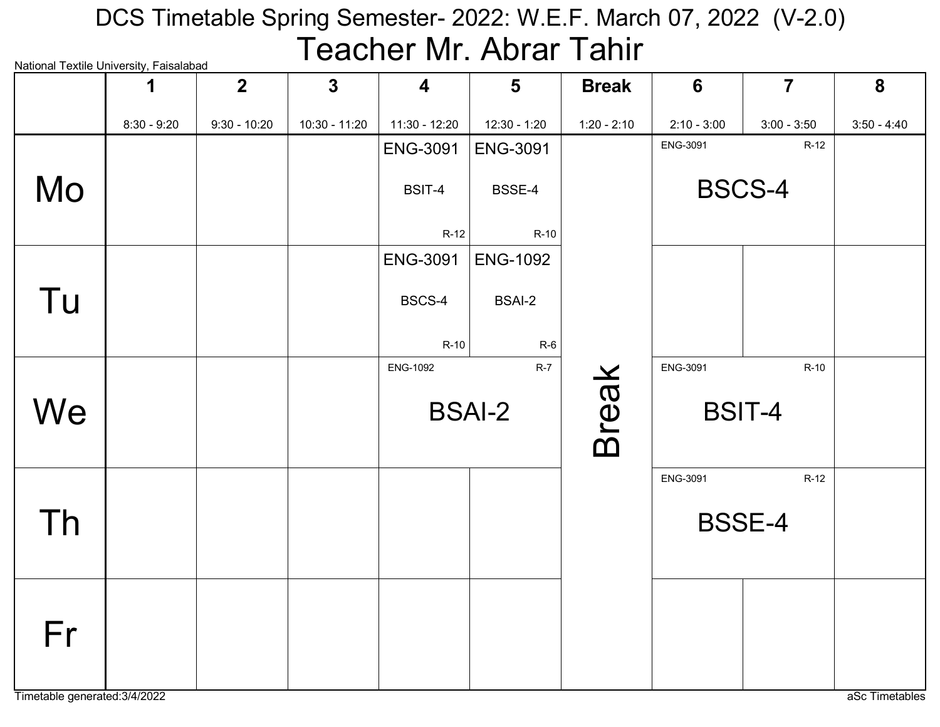# National Textile University, Faisalabad DCS Timetable Spring Semester- 2022: W.E.F. March 07, 2022 (V-2.0) Teacher Mr. Abrar Tahir

|    | 1             | $\overline{2}$ | $\mathbf{3}$  | $\overline{\mathbf{4}}$ | $5\phantom{1}$  | <b>Break</b>  | $6\phantom{1}6$ | $\overline{7}$ | 8             |
|----|---------------|----------------|---------------|-------------------------|-----------------|---------------|-----------------|----------------|---------------|
|    | $8:30 - 9:20$ | $9:30 - 10:20$ | 10:30 - 11:20 | 11:30 - 12:20           | 12:30 - 1:20    | $1:20 - 2:10$ | $2:10 - 3:00$   | $3:00 - 3:50$  | $3:50 - 4:40$ |
|    |               |                |               | <b>ENG-3091</b>         | <b>ENG-3091</b> |               | ENG-3091        | $R-12$         |               |
| Mo |               |                |               | BSIT-4                  | BSSE-4          |               |                 | <b>BSCS-4</b>  |               |
|    |               |                |               | $R-12$                  | R-10            |               |                 |                |               |
|    |               |                |               | <b>ENG-3091</b>         | <b>ENG-1092</b> |               |                 |                |               |
| Tu |               |                |               | BSCS-4                  | <b>BSAI-2</b>   |               |                 |                |               |
|    |               |                |               | $R-10$                  | $R-6$           |               |                 |                |               |
|    |               |                |               | <b>ENG-1092</b>         | $R-7$           |               | ENG-3091        | $R-10$         |               |
| We |               |                |               |                         | <b>BSAI-2</b>   | <b>Break</b>  |                 | <b>BSIT-4</b>  |               |
|    |               |                |               |                         |                 |               | ENG-3091        | $R-12$         |               |
| Th |               |                |               |                         |                 |               |                 | <b>BSSE-4</b>  |               |
| Fr |               |                |               |                         |                 |               |                 |                |               |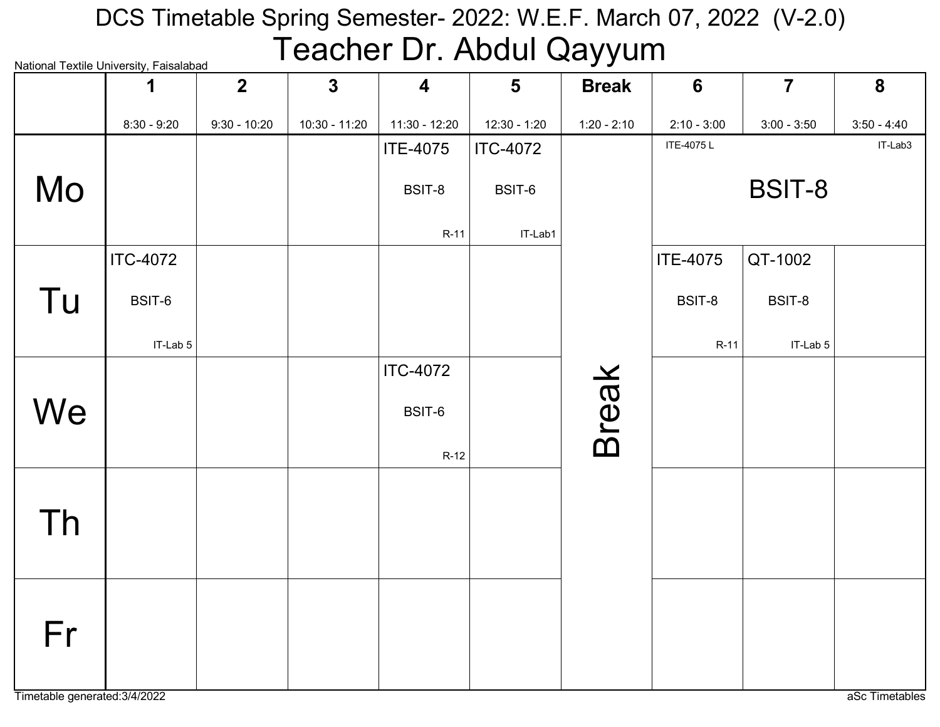# National Textile University, Faisalabad DCS Timetable Spring Semester- 2022: W.E.F. March 07, 2022 (V-2.0) Teacher Dr. Abdul Qayyum

|    | 1               | $\overline{2}$ | $\mathbf{3}$  | $\overline{\mathbf{4}}$ | $5\phantom{1}$  | <b>Break</b>  | $6\phantom{1}$  | $\overline{7}$ | 8             |
|----|-----------------|----------------|---------------|-------------------------|-----------------|---------------|-----------------|----------------|---------------|
|    | $8:30 - 9:20$   | $9:30 - 10:20$ | 10:30 - 11:20 | 11:30 - 12:20           | 12:30 - 1:20    | $1:20 - 2:10$ | $2:10 - 3:00$   | $3:00 - 3:50$  | $3:50 - 4:40$ |
|    |                 |                |               | <b>ITE-4075</b>         | <b>ITC-4072</b> |               | ITE-4075L       |                | IT-Lab3       |
| Mo |                 |                |               | BSIT-8                  | BSIT-6          |               |                 | <b>BSIT-8</b>  |               |
|    |                 |                |               | $R-11$                  | IT-Lab1         |               |                 |                |               |
|    | <b>ITC-4072</b> |                |               |                         |                 |               | <b>ITE-4075</b> | QT-1002        |               |
| Tu | BSIT-6          |                |               |                         |                 |               | BSIT-8          | BSIT-8         |               |
|    | IT-Lab 5        |                |               |                         |                 |               | $R-11$          | IT-Lab 5       |               |
|    |                 |                |               | <b>ITC-4072</b>         |                 |               |                 |                |               |
| We |                 |                |               | BSIT-6                  |                 | <b>Break</b>  |                 |                |               |
|    |                 |                |               | $R-12$                  |                 |               |                 |                |               |
|    |                 |                |               |                         |                 |               |                 |                |               |
| Th |                 |                |               |                         |                 |               |                 |                |               |
|    |                 |                |               |                         |                 |               |                 |                |               |
|    |                 |                |               |                         |                 |               |                 |                |               |
| Fr |                 |                |               |                         |                 |               |                 |                |               |
|    |                 |                |               |                         |                 |               |                 |                |               |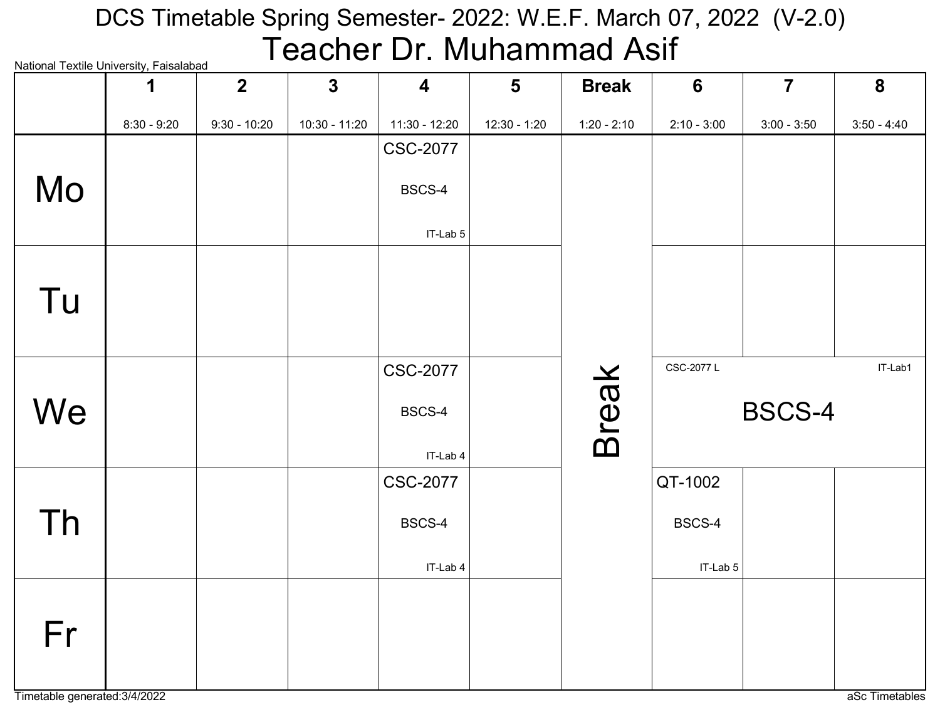# National Textile University, Faisalabad DCS Timetable Spring Semester- 2022: W.E.F. March 07, 2022 (V-2.0) Teacher Dr. Muhammad Asif

|    | rational rextile onlivereity, i disdididad<br>1 | $2 \overline{ }$ | $\overline{3}$ | $\overline{\mathbf{4}}$     | $5\phantom{1}$ | <b>Break</b>  | $6\phantom{1}6$ | $\overline{7}$ | 8             |
|----|-------------------------------------------------|------------------|----------------|-----------------------------|----------------|---------------|-----------------|----------------|---------------|
|    | $8:30 - 9:20$                                   | $9:30 - 10:20$   | 10:30 - 11:20  | $11:30 - 12:20$             | 12:30 - 1:20   | $1:20 - 2:10$ | $2:10 - 3:00$   | $3:00 - 3:50$  | $3:50 - 4:40$ |
|    |                                                 |                  |                | <b>CSC-2077</b>             |                |               |                 |                |               |
| Mo |                                                 |                  |                | BSCS-4                      |                |               |                 |                |               |
|    |                                                 |                  |                | IT-Lab 5                    |                |               |                 |                |               |
|    |                                                 |                  |                |                             |                |               |                 |                |               |
| Tu |                                                 |                  |                |                             |                |               |                 |                |               |
|    |                                                 |                  |                |                             |                |               |                 |                |               |
|    |                                                 |                  |                | <b>CSC-2077</b>             |                |               | CSC-2077 L      |                | IT-Lab1       |
| We |                                                 |                  |                | BSCS-4                      |                | <b>Break</b>  |                 | <b>BSCS-4</b>  |               |
|    |                                                 |                  |                |                             |                |               |                 |                |               |
|    |                                                 |                  |                | IT-Lab 4<br><b>CSC-2077</b> |                |               | QT-1002         |                |               |
|    |                                                 |                  |                |                             |                |               |                 |                |               |
| Th |                                                 |                  |                | BSCS-4                      |                |               | BSCS-4          |                |               |
|    |                                                 |                  |                | IT-Lab 4                    |                |               | IT-Lab 5        |                |               |
|    |                                                 |                  |                |                             |                |               |                 |                |               |
| Fr |                                                 |                  |                |                             |                |               |                 |                |               |
|    |                                                 |                  |                |                             |                |               |                 |                |               |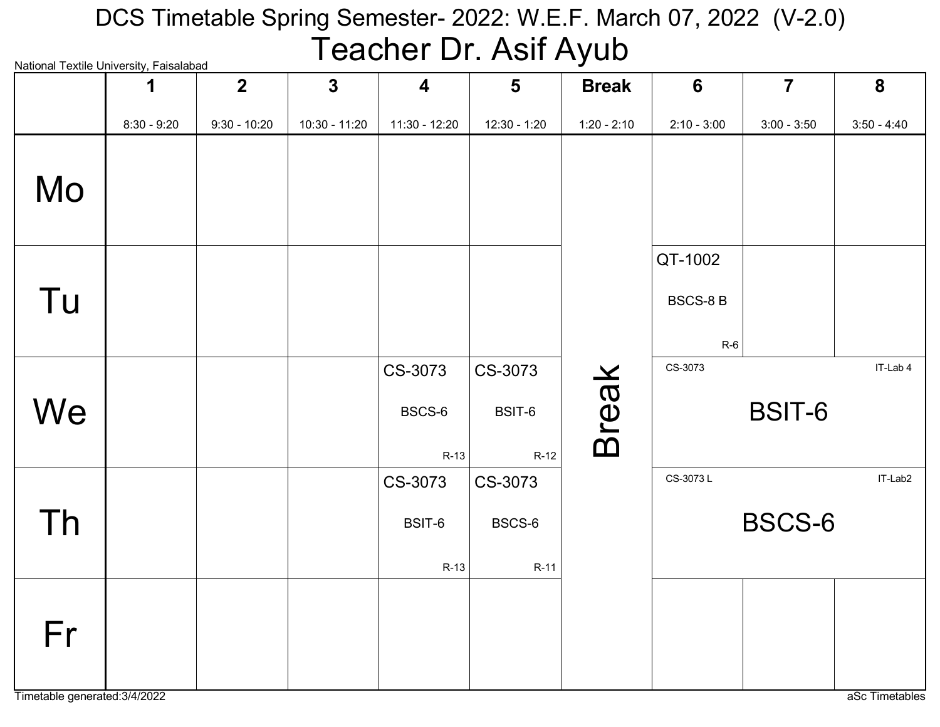# National Textile University, Faisalabad DCS Timetable Spring Semester- 2022: W.E.F. March 07, 2022 (V-2.0) Teacher Dr. Asif Ayub

|    | radonar roxdio onlivorolty, raloalabaa<br>1 | $\overline{2}$ | $\overline{3}$ | $\overline{\mathbf{4}}$     | $5\phantom{1}$              | <b>Break</b>  | $6\phantom{1}$                     | $\overline{7}$ | 8             |
|----|---------------------------------------------|----------------|----------------|-----------------------------|-----------------------------|---------------|------------------------------------|----------------|---------------|
|    | $8:30 - 9:20$                               | $9:30 - 10:20$ | 10:30 - 11:20  | 11:30 - 12:20               | 12:30 - 1:20                | $1:20 - 2:10$ | $2:10 - 3:00$                      | $3:00 - 3:50$  | $3:50 - 4:40$ |
| Mo |                                             |                |                |                             |                             |               |                                    |                |               |
| Tu |                                             |                |                |                             |                             |               | QT-1002<br><b>BSCS-8B</b><br>$R-6$ |                |               |
| We |                                             |                |                | CS-3073<br>BSCS-6<br>$R-13$ | CS-3073<br>BSIT-6<br>$R-12$ | <b>Break</b>  | CS-3073                            | BSIT-6         | IT-Lab 4      |
| Th |                                             |                |                | CS-3073<br>BSIT-6<br>$R-13$ | CS-3073<br>BSCS-6<br>R-11   |               | CS-3073L                           | <b>BSCS-6</b>  | IT-Lab2       |
| Fr |                                             |                |                |                             |                             |               |                                    |                |               |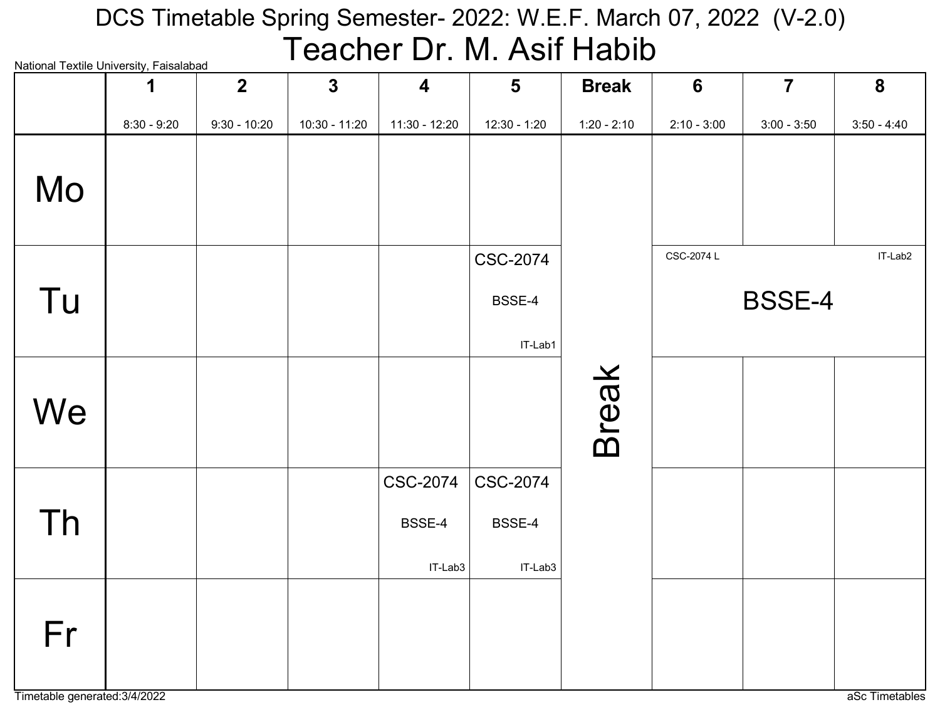# National Textile University, Faisalabad DCS Timetable Spring Semester- 2022: W.E.F. March 07, 2022 (V-2.0) Teacher Dr. M. Asif Habib

| National Textile Onliversity, Falsalabad | 1             | 2 <sup>1</sup> | $\mathbf{3}$    | $\overline{\mathbf{4}}$ | $5\phantom{1}$   | <b>Break</b>  | 6             | $\overline{7}$ | 8             |
|------------------------------------------|---------------|----------------|-----------------|-------------------------|------------------|---------------|---------------|----------------|---------------|
|                                          | $8:30 - 9:20$ | $9:30 - 10:20$ | $10:30 - 11:20$ | 11:30 - 12:20           | 12:30 - 1:20     | $1:20 - 2:10$ | $2:10 - 3:00$ | $3:00 - 3:50$  | $3:50 - 4:40$ |
| Mo                                       |               |                |                 |                         |                  |               |               |                |               |
|                                          |               |                |                 |                         | <b>CSC-2074</b>  |               | CSC-2074 L    |                | IT-Lab2       |
| Tu                                       |               |                |                 |                         | BSSE-4           |               |               | <b>BSSE-4</b>  |               |
|                                          |               |                |                 |                         | IT-Lab1          |               |               |                |               |
| We                                       |               |                |                 |                         |                  | <b>Break</b>  |               |                |               |
|                                          |               |                |                 | <b>CSC-2074</b>         | $\vert$ CSC-2074 |               |               |                |               |
| Th                                       |               |                |                 | BSSE-4                  | BSSE-4           |               |               |                |               |
|                                          |               |                |                 | IT-Lab3                 | IT-Lab3          |               |               |                |               |
| Fr                                       |               |                |                 |                         |                  |               |               |                |               |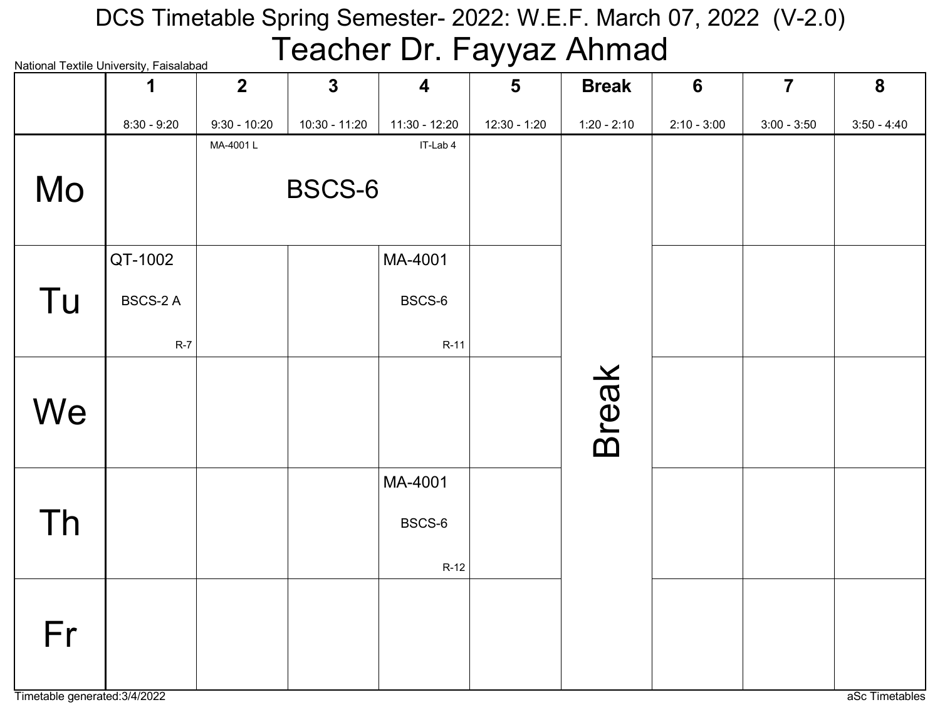# National Textile University, Faisalabad DCS Timetable Spring Semester- 2022: W.E.F. March 07, 2022 (V-2.0) Teacher Dr. Fayyaz Ahmad

|    | National Textile Offiversity, Falsalabau<br>1 | $\overline{2}$ | $\mathbf{3}$    | $\overline{\mathbf{4}}$ | $5\phantom{1}$ | <b>Break</b>  | $6\phantom{1}$ | $\overline{7}$ | 8             |
|----|-----------------------------------------------|----------------|-----------------|-------------------------|----------------|---------------|----------------|----------------|---------------|
|    | $8:30 - 9:20$                                 | $9:30 - 10:20$ | $10:30 - 11:20$ | $11:30 - 12:20$         | 12:30 - 1:20   | $1:20 - 2:10$ | $2:10 - 3:00$  | $3:00 - 3:50$  | $3:50 - 4:40$ |
|    |                                               | MA-4001L       |                 | IT-Lab 4                |                |               |                |                |               |
| Mo |                                               |                | BSCS-6          |                         |                |               |                |                |               |
|    | QT-1002                                       |                |                 | MA-4001                 |                |               |                |                |               |
| Tu | <b>BSCS-2 A</b>                               |                |                 | BSCS-6                  |                |               |                |                |               |
|    | $R-7$                                         |                |                 | $R-11$                  |                |               |                |                |               |
| We |                                               |                |                 |                         |                | <b>Break</b>  |                |                |               |
|    |                                               |                |                 | MA-4001                 |                |               |                |                |               |
| Th |                                               |                |                 | BSCS-6                  |                |               |                |                |               |
|    |                                               |                |                 | $R-12$                  |                |               |                |                |               |
| Fr |                                               |                |                 |                         |                |               |                |                |               |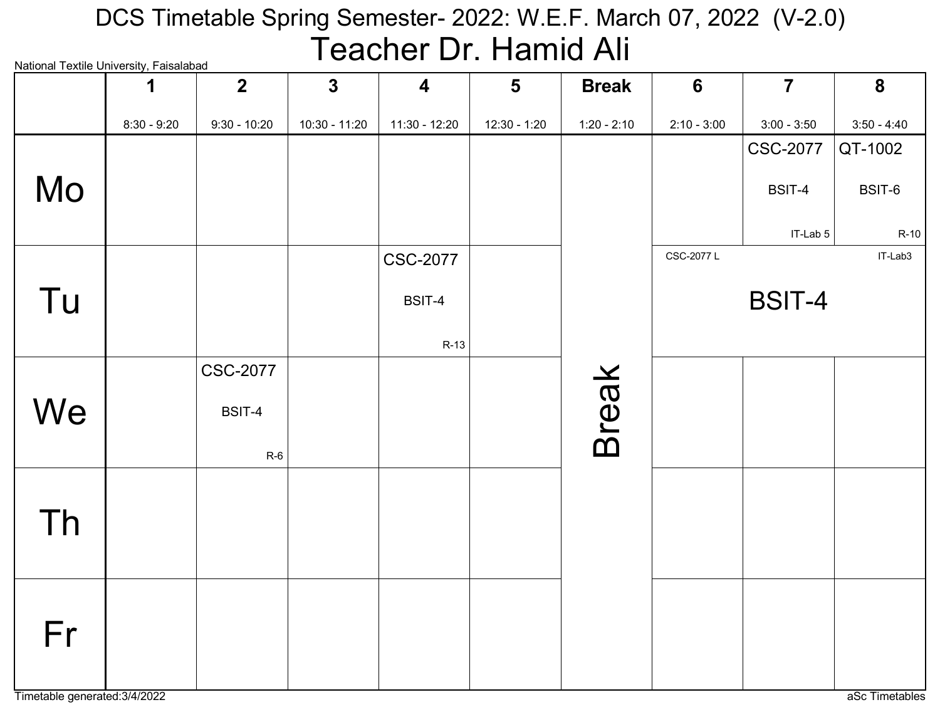## National Textile University, Faisalabad DCS Timetable Spring Semester- 2022: W.E.F. March 07, 2022 (V-2.0) Teacher Dr. Hamid Ali

| iyational Textile Oniversity, Falsalabad | 1             | $\overline{2}$  | $\mathbf{3}$  | $\overline{\mathbf{4}}$ | $5\phantom{1}$ | <b>Break</b>  | 6             | $\overline{7}$  | 8             |
|------------------------------------------|---------------|-----------------|---------------|-------------------------|----------------|---------------|---------------|-----------------|---------------|
|                                          | $8:30 - 9:20$ | $9:30 - 10:20$  | 10:30 - 11:20 | 11:30 - 12:20           | $12:30 - 1:20$ | $1:20 - 2:10$ | $2:10 - 3:00$ | $3:00 - 3:50$   | $3:50 - 4:40$ |
|                                          |               |                 |               |                         |                |               |               | <b>CSC-2077</b> | QT-1002       |
| Mo                                       |               |                 |               |                         |                |               |               | BSIT-4          | BSIT-6        |
|                                          |               |                 |               |                         |                |               |               | IT-Lab 5        | $R-10$        |
|                                          |               |                 |               | <b>CSC-2077</b>         |                |               | CSC-2077 L    |                 | IT-Lab3       |
| Tu                                       |               |                 |               | BSIT-4                  |                |               |               | <b>BSIT-4</b>   |               |
|                                          |               |                 |               | $R-13$                  |                |               |               |                 |               |
|                                          |               | <b>CSC-2077</b> |               |                         |                |               |               |                 |               |
| We                                       |               | BSIT-4          |               |                         |                | <b>Break</b>  |               |                 |               |
|                                          |               | $R-6$           |               |                         |                |               |               |                 |               |
|                                          |               |                 |               |                         |                |               |               |                 |               |
| Th                                       |               |                 |               |                         |                |               |               |                 |               |
|                                          |               |                 |               |                         |                |               |               |                 |               |
|                                          |               |                 |               |                         |                |               |               |                 |               |
|                                          |               |                 |               |                         |                |               |               |                 |               |
| Fr                                       |               |                 |               |                         |                |               |               |                 |               |
|                                          |               |                 |               |                         |                |               |               |                 |               |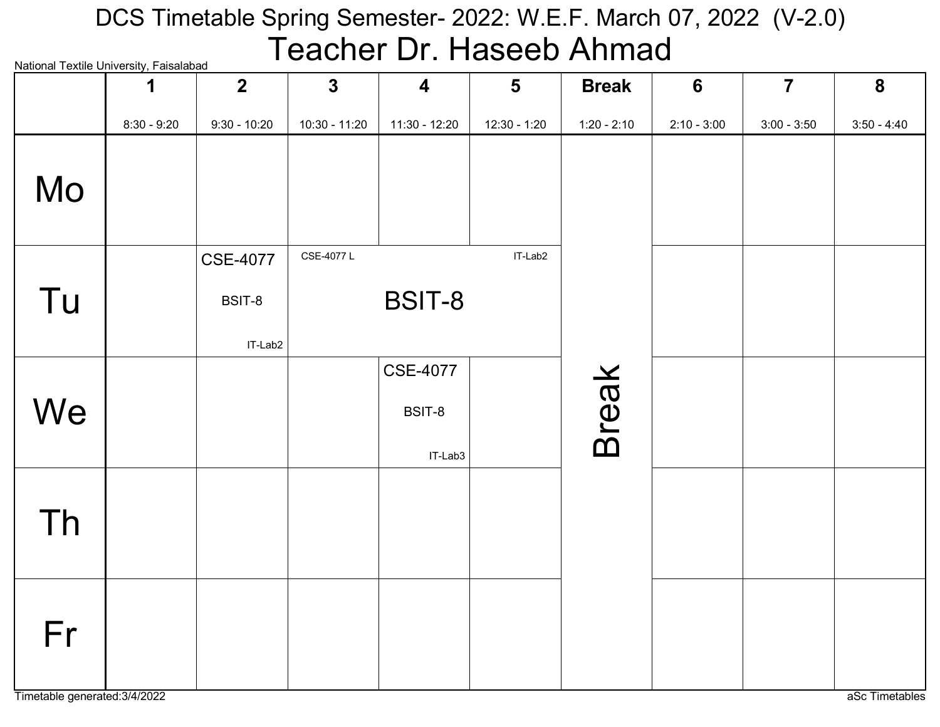# National Textile University, Faisalabad DCS Timetable Spring Semester- 2022: W.E.F. March 07, 2022 (V-2.0) Teacher Dr. Haseeb Ahmad

| INational Textile University, Falsalabad | 1             | $\overline{2}$  | $\mathbf{3}$  | $\overline{\mathbf{4}}$ | 5            | <b>Break</b>  | $6\phantom{1}6$ | $\overline{7}$ | $\boldsymbol{8}$ |
|------------------------------------------|---------------|-----------------|---------------|-------------------------|--------------|---------------|-----------------|----------------|------------------|
|                                          | $8:30 - 9:20$ | $9:30 - 10:20$  | 10:30 - 11:20 | 11:30 - 12:20           | 12:30 - 1:20 | $1:20 - 2:10$ | $2:10 - 3:00$   | $3:00 - 3:50$  | $3:50 - 4:40$    |
| Mo                                       |               |                 |               |                         |              |               |                 |                |                  |
|                                          |               | <b>CSE-4077</b> | CSE-4077L     |                         | IT-Lab2      |               |                 |                |                  |
| Tu                                       |               | BSIT-8          |               | BSIT-8                  |              |               |                 |                |                  |
|                                          |               | IT-Lab2         |               |                         |              |               |                 |                |                  |
|                                          |               |                 |               | <b>CSE-4077</b>         |              |               |                 |                |                  |
| We                                       |               |                 |               | BSIT-8                  |              | <b>Break</b>  |                 |                |                  |
|                                          |               |                 |               | IT-Lab3                 |              |               |                 |                |                  |
|                                          |               |                 |               |                         |              |               |                 |                |                  |
| Th                                       |               |                 |               |                         |              |               |                 |                |                  |
|                                          |               |                 |               |                         |              |               |                 |                |                  |
|                                          |               |                 |               |                         |              |               |                 |                |                  |
| Fr                                       |               |                 |               |                         |              |               |                 |                |                  |
|                                          |               |                 |               |                         |              |               |                 |                |                  |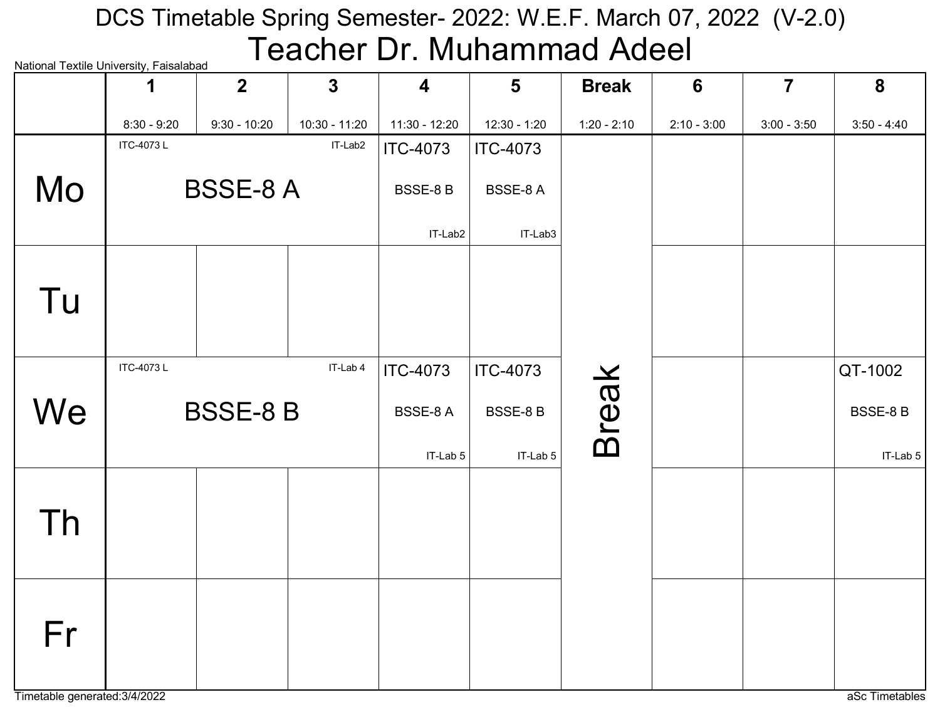# National Textile University, Faisalabad DCS Timetable Spring Semester- 2022: W.E.F. March 07, 2022 (V-2.0) Teacher Dr. Muhammad Adeel

|    | 1                | $\overline{2}$  | $\mathbf{3}$  | $\overline{\mathbf{4}}$ | $5\phantom{1}$  | <b>Break</b>  | $6\phantom{1}6$ | $\overline{7}$ | 8             |
|----|------------------|-----------------|---------------|-------------------------|-----------------|---------------|-----------------|----------------|---------------|
|    | $8:30 - 9:20$    | $9:30 - 10:20$  | 10:30 - 11:20 | 11:30 - 12:20           | 12:30 - 1:20    | $1:20 - 2:10$ | $2:10 - 3:00$   | $3:00 - 3:50$  | $3:50 - 4:40$ |
|    | <b>ITC-4073L</b> |                 | IT-Lab2       | <b>ITC-4073</b>         | <b>ITC-4073</b> |               |                 |                |               |
| Mo |                  | <b>BSSE-8 A</b> |               | BSSE-8B                 | BSSE-8 A        |               |                 |                |               |
|    |                  |                 |               | IT-Lab2                 | IT-Lab3         |               |                 |                |               |
| Tu |                  |                 |               |                         |                 |               |                 |                |               |
|    | <b>ITC-4073L</b> |                 | IT-Lab 4      | <b>ITC-4073</b>         | <b>ITC-4073</b> |               |                 |                | QT-1002       |
| We |                  | <b>BSSE-8 B</b> |               | BSSE-8A                 | <b>BSSE-8B</b>  | <b>Break</b>  |                 |                | BSSE-8B       |
|    |                  |                 |               | IT-Lab 5                | IT-Lab 5        |               |                 |                | IT-Lab 5      |
| Th |                  |                 |               |                         |                 |               |                 |                |               |
| Fr |                  |                 |               |                         |                 |               |                 |                |               |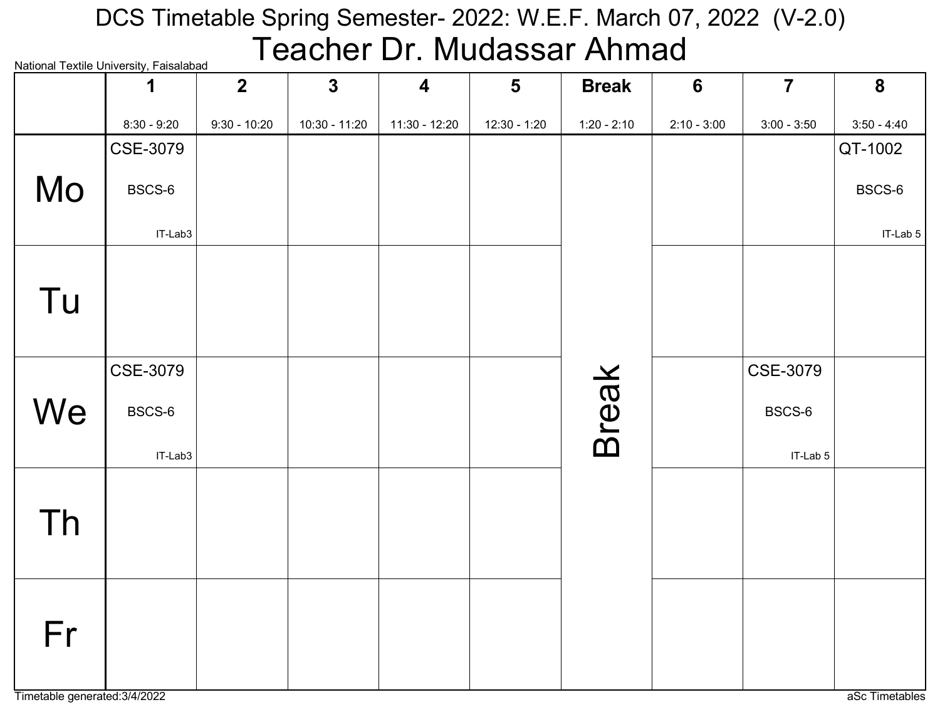### National Textile University, Faisalabad DCS Timetable Spring Semester- 2022: W.E.F. March 07, 2022 (V-2.0) Teacher Dr. Mudassar Ahmad

|    | INQUOTIQI TEXUIE OTIIVEI SILY, I QISQIQDQU<br>1 | $\overline{2}$ | $\mathbf{3}$  | $\overline{\mathbf{4}}$ | $5\phantom{1}$ | <b>Break</b>  | $6\phantom{1}6$ | $\overline{7}$ | 8             |
|----|-------------------------------------------------|----------------|---------------|-------------------------|----------------|---------------|-----------------|----------------|---------------|
|    | $8:30 - 9:20$                                   | $9:30 - 10:20$ | 10:30 - 11:20 | 11:30 - 12:20           | 12:30 - 1:20   | $1:20 - 2:10$ | $2:10 - 3:00$   | $3:00 - 3:50$  | $3:50 - 4:40$ |
|    | CSE-3079                                        |                |               |                         |                |               |                 |                | QT-1002       |
| Mo | BSCS-6                                          |                |               |                         |                |               |                 |                | BSCS-6        |
|    | IT-Lab3                                         |                |               |                         |                |               |                 |                | IT-Lab 5      |
| Tu |                                                 |                |               |                         |                |               |                 |                |               |
|    | CSE-3079                                        |                |               |                         |                |               |                 | CSE-3079       |               |
| We | BSCS-6                                          |                |               |                         |                | <b>Break</b>  |                 | BSCS-6         |               |
|    | IT-Lab3                                         |                |               |                         |                |               |                 | IT-Lab 5       |               |
| Th |                                                 |                |               |                         |                |               |                 |                |               |
| Fr |                                                 |                |               |                         |                |               |                 |                |               |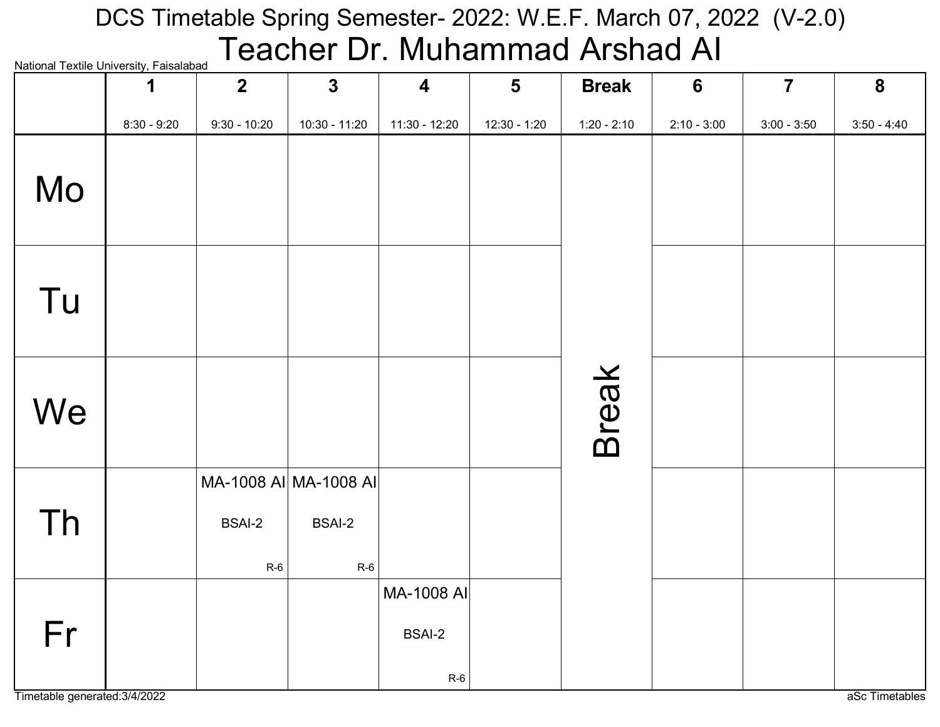# National Textile University, Faisalabad  $\sf {Teacher\ Dr.\ Muhammad\ Arshad\ Al}$ DCS Timetable Spring Semester- 2022: W.E.F. March 07, 2022 (V-2.0)

| <b>National Textile Officersity, Faisalabau</b> | 1             | $\overline{2}$         | $\mathbf{3}$                                    | $\overline{\mathbf{4}}$              | $5\phantom{1}$ | <b>Break</b>  | $6\phantom{1}6$ | $\overline{7}$ | 8             |
|-------------------------------------------------|---------------|------------------------|-------------------------------------------------|--------------------------------------|----------------|---------------|-----------------|----------------|---------------|
|                                                 | $8:30 - 9:20$ | $9:30 - 10:20$         | $10:30 - 11:20$                                 | $11:30 - 12:20$                      | $12:30 - 1:20$ | $1:20 - 2:10$ | $2:10 - 3:00$   | $3:00 - 3:50$  | $3:50 - 4:40$ |
| Mo                                              |               |                        |                                                 |                                      |                |               |                 |                |               |
| Tu                                              |               |                        |                                                 |                                      |                |               |                 |                |               |
| We                                              |               |                        |                                                 |                                      |                | <b>Break</b>  |                 |                |               |
| Th                                              |               | <b>BSAI-2</b><br>$R-6$ | MA-1008 AI MA-1008 AI<br><b>BSAI-2</b><br>$R-6$ |                                      |                |               |                 |                |               |
| Fr                                              |               |                        |                                                 | MA-1008 AI<br><b>BSAI-2</b><br>$R-6$ |                |               |                 |                |               |

Timetable generated:3/4/2022 and a set Timetables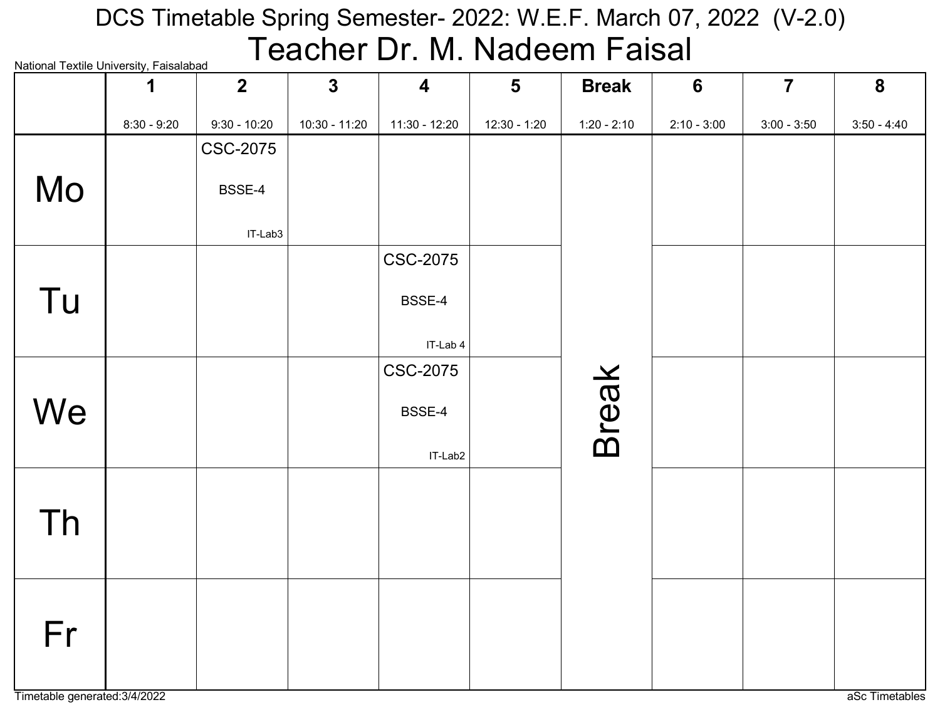#### National Textile University, Faisalabad DCS Timetable Spring Semester- 2022: W.E.F. March 07, 2022 (V-2.0) Teacher Dr. M. Nadeem Faisal

| <b>National Fextile Onliversity, Faisalabad</b> | 1             | $\overline{2}$  | $\mathbf{3}$  | $\overline{\mathbf{4}}$ | $5\phantom{1}$ | <b>Break</b>  | 6             | $\overline{7}$ | 8             |
|-------------------------------------------------|---------------|-----------------|---------------|-------------------------|----------------|---------------|---------------|----------------|---------------|
|                                                 | $8:30 - 9:20$ | $9:30 - 10:20$  | 10:30 - 11:20 | $11:30 - 12:20$         | 12:30 - 1:20   | $1:20 - 2:10$ | $2:10 - 3:00$ | $3:00 - 3:50$  | $3:50 - 4:40$ |
|                                                 |               | <b>CSC-2075</b> |               |                         |                |               |               |                |               |
| Mo                                              |               | BSSE-4          |               |                         |                |               |               |                |               |
|                                                 |               | IT-Lab3         |               |                         |                |               |               |                |               |
|                                                 |               |                 |               | <b>CSC-2075</b>         |                |               |               |                |               |
| Tu                                              |               |                 |               | BSSE-4                  |                |               |               |                |               |
|                                                 |               |                 |               | IT-Lab 4                |                |               |               |                |               |
|                                                 |               |                 |               | <b>CSC-2075</b>         |                |               |               |                |               |
| We                                              |               |                 |               | BSSE-4                  |                | <b>Break</b>  |               |                |               |
|                                                 |               |                 |               | IT-Lab2                 |                |               |               |                |               |
|                                                 |               |                 |               |                         |                |               |               |                |               |
| <b>Th</b>                                       |               |                 |               |                         |                |               |               |                |               |
|                                                 |               |                 |               |                         |                |               |               |                |               |
|                                                 |               |                 |               |                         |                |               |               |                |               |
| Fr                                              |               |                 |               |                         |                |               |               |                |               |
|                                                 |               |                 |               |                         |                |               |               |                |               |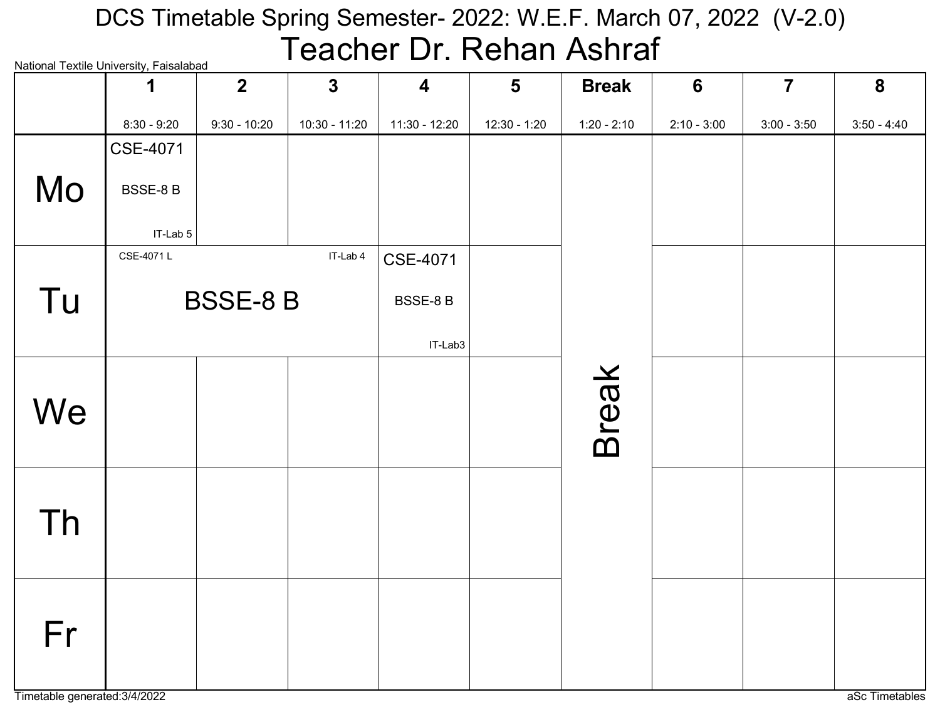# National Textile University, Faisalabad DCS Timetable Spring Semester- 2022: W.E.F. March 07, 2022 (V-2.0) Teacher Dr. Rehan Ashraf

|    | National Textile Onliversity, Falsalabad | $\overline{2}$  | $\mathbf{3}$    | 4               | $5\phantom{1}$ | <b>Break</b>  | $6\phantom{1}6$ | $\overline{7}$ | 8             |
|----|------------------------------------------|-----------------|-----------------|-----------------|----------------|---------------|-----------------|----------------|---------------|
|    | $8:30 - 9:20$                            | $9:30 - 10:20$  | $10:30 - 11:20$ | 11:30 - 12:20   | $12:30 - 1:20$ | $1:20 - 2:10$ | $2:10 - 3:00$   | $3:00 - 3:50$  | $3:50 - 4:40$ |
|    | <b>CSE-4071</b>                          |                 |                 |                 |                |               |                 |                |               |
| Mo | <b>BSSE-8 B</b>                          |                 |                 |                 |                |               |                 |                |               |
|    | IT-Lab 5                                 |                 |                 |                 |                |               |                 |                |               |
|    | CSE-4071L                                |                 | IT-Lab 4        | <b>CSE-4071</b> |                |               |                 |                |               |
| Tu |                                          | <b>BSSE-8 B</b> |                 | BSSE-8B         |                |               |                 |                |               |
|    |                                          |                 |                 | IT-Lab3         |                |               |                 |                |               |
|    |                                          |                 |                 |                 |                |               |                 |                |               |
| We |                                          |                 |                 |                 |                | <b>Break</b>  |                 |                |               |
|    |                                          |                 |                 |                 |                |               |                 |                |               |
|    |                                          |                 |                 |                 |                |               |                 |                |               |
| Th |                                          |                 |                 |                 |                |               |                 |                |               |
|    |                                          |                 |                 |                 |                |               |                 |                |               |
|    |                                          |                 |                 |                 |                |               |                 |                |               |
| Fr |                                          |                 |                 |                 |                |               |                 |                |               |
|    |                                          |                 |                 |                 |                |               |                 |                |               |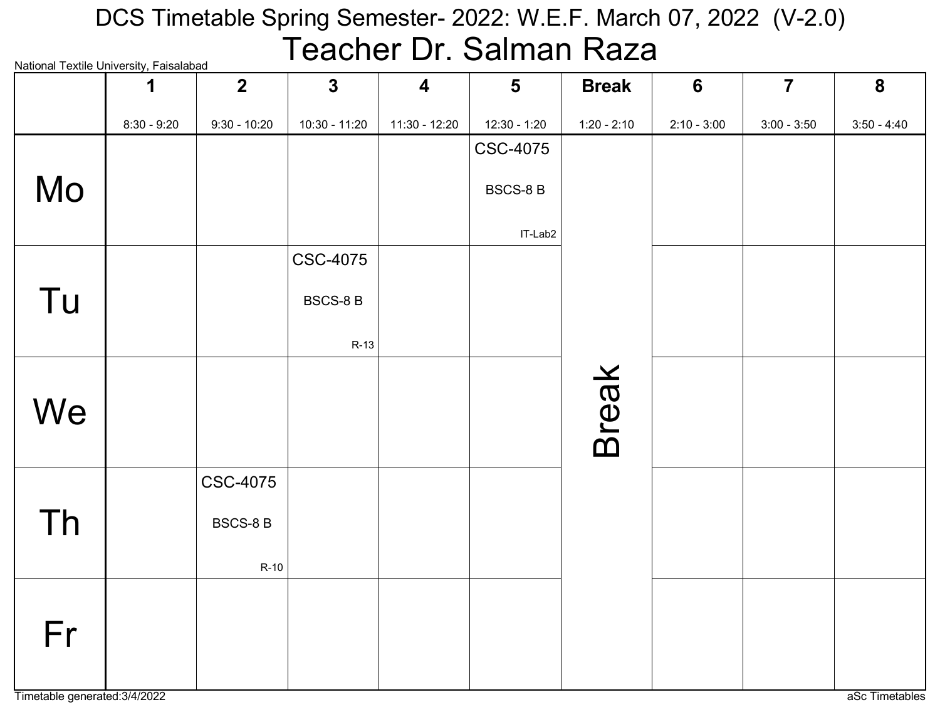# National Textile University, Faisalabad DCS Timetable Spring Semester- 2022: W.E.F. March 07, 2022 (V-2.0) Teacher Dr. Salman Raza

| ivational TCAtilC Onliversity, i disdididda | 1             | $2\overline{ }$ | $\mathbf{3}$    | $\overline{\mathbf{4}}$ | $5\phantom{1}$  | <b>Break</b>  | $6\phantom{1}6$ | $\overline{\mathbf{7}}$ | 8             |
|---------------------------------------------|---------------|-----------------|-----------------|-------------------------|-----------------|---------------|-----------------|-------------------------|---------------|
|                                             | $8:30 - 9:20$ | $9:30 - 10:20$  | 10:30 - 11:20   | 11:30 - 12:20           | $12:30 - 1:20$  | $1:20 - 2:10$ | $2:10 - 3:00$   | $3:00 - 3:50$           | $3:50 - 4:40$ |
|                                             |               |                 |                 |                         | <b>CSC-4075</b> |               |                 |                         |               |
| Mo                                          |               |                 |                 |                         | <b>BSCS-8B</b>  |               |                 |                         |               |
|                                             |               |                 |                 |                         | IT-Lab2         |               |                 |                         |               |
|                                             |               |                 | <b>CSC-4075</b> |                         |                 |               |                 |                         |               |
| Tu                                          |               |                 | <b>BSCS-8 B</b> |                         |                 |               |                 |                         |               |
|                                             |               |                 | $R-13$          |                         |                 |               |                 |                         |               |
|                                             |               |                 |                 |                         |                 |               |                 |                         |               |
| We                                          |               |                 |                 |                         |                 |               |                 |                         |               |
|                                             |               |                 |                 |                         |                 | <b>Break</b>  |                 |                         |               |
|                                             |               | <b>CSC-4075</b> |                 |                         |                 |               |                 |                         |               |
| <b>Th</b>                                   |               | <b>BSCS-8 B</b> |                 |                         |                 |               |                 |                         |               |
|                                             |               | $R-10$          |                 |                         |                 |               |                 |                         |               |
|                                             |               |                 |                 |                         |                 |               |                 |                         |               |
| Fr                                          |               |                 |                 |                         |                 |               |                 |                         |               |
|                                             |               |                 |                 |                         |                 |               |                 |                         |               |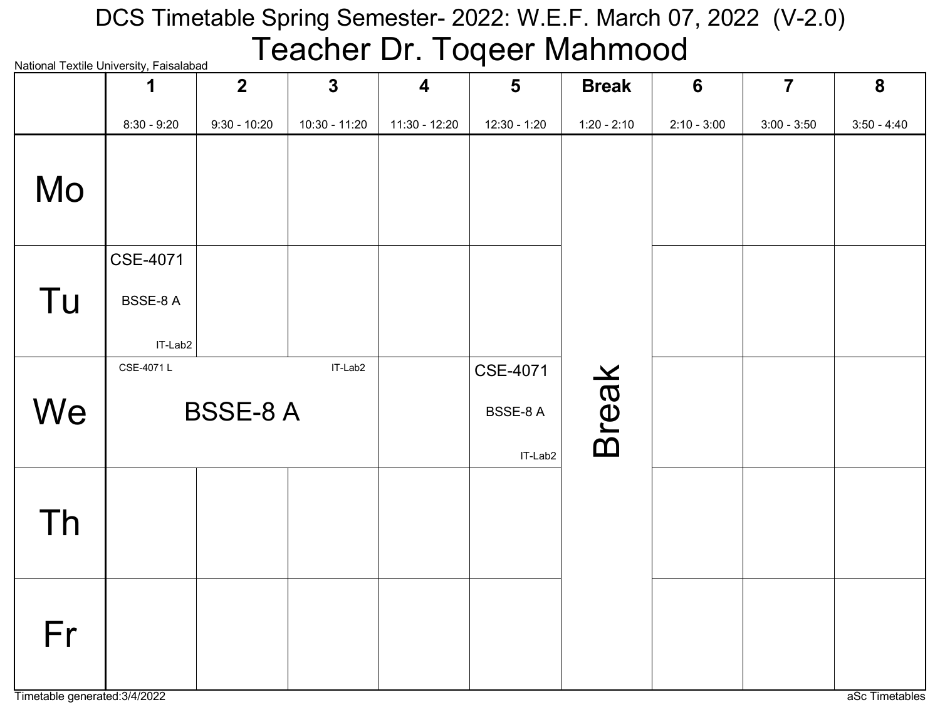#### National Textile University, Faisalabad DCS Timetable Spring Semester- 2022: W.E.F. March 07, 2022 (V-2.0) Teacher Dr. Toqeer Mahmood

|    | <u>ivalional Textile Onliversity, Falsalabau</u><br>1 | $\overline{2}$ | $\mathbf{3}$    | $\overline{\mathbf{4}}$ | $5\phantom{1}$      | <b>Break</b>  | $6\phantom{1}$ | $\overline{7}$ | 8             |
|----|-------------------------------------------------------|----------------|-----------------|-------------------------|---------------------|---------------|----------------|----------------|---------------|
|    | $8:30 - 9:20$                                         | $9:30 - 10:20$ | $10:30 - 11:20$ | $11:30 - 12:20$         | 12:30 - 1:20        | $1:20 - 2:10$ | $2:10 - 3:00$  | $3:00 - 3:50$  | $3:50 - 4:40$ |
| Mo |                                                       |                |                 |                         |                     |               |                |                |               |
|    | <b>CSE-4071</b>                                       |                |                 |                         |                     |               |                |                |               |
| Tu | BSSE-8A                                               |                |                 |                         |                     |               |                |                |               |
|    | IT-Lab2<br>CSE-4071L                                  |                | IT-Lab2         |                         | <b>CSE-4071</b>     |               |                |                |               |
| We |                                                       | <b>BSSE-8A</b> |                 |                         | BSSE-8 A<br>IT-Lab2 | <b>Break</b>  |                |                |               |
| Th |                                                       |                |                 |                         |                     |               |                |                |               |
| Fr |                                                       |                |                 |                         |                     |               |                |                |               |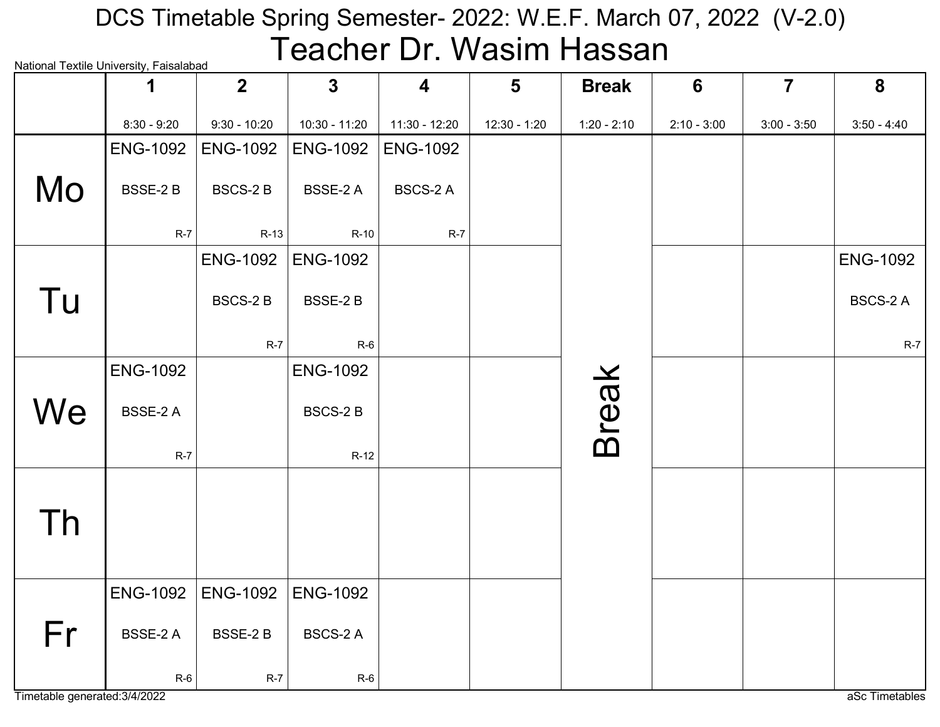# National Textile University, Faisalabad DCS Timetable Spring Semester- 2022: W.E.F. March 07, 2022 (V-2.0) Teacher Dr. Wasim Hassan

|    |                 | $\overline{2}$  | $\mathbf{3}$    | $\overline{\mathbf{4}}$ | $5\phantom{1}$ | <b>Break</b>  | 6             | $\overline{7}$ | 8               |
|----|-----------------|-----------------|-----------------|-------------------------|----------------|---------------|---------------|----------------|-----------------|
|    | $8:30 - 9:20$   | $9:30 - 10:20$  | 10:30 - 11:20   | 11:30 - 12:20           | 12:30 - 1:20   | $1:20 - 2:10$ | $2:10 - 3:00$ | $3:00 - 3:50$  | $3:50 - 4:40$   |
|    | <b>ENG-1092</b> | <b>ENG-1092</b> | <b>ENG-1092</b> | <b>ENG-1092</b>         |                |               |               |                |                 |
| Mo | <b>BSSE-2B</b>  | <b>BSCS-2B</b>  | <b>BSSE-2 A</b> | <b>BSCS-2 A</b>         |                |               |               |                |                 |
|    | $R-7$           | $R-13$          | $R-10$          | $R-7$                   |                |               |               |                |                 |
|    |                 | <b>ENG-1092</b> | <b>ENG-1092</b> |                         |                |               |               |                | <b>ENG-1092</b> |
| Tu |                 | <b>BSCS-2B</b>  | <b>BSSE-2B</b>  |                         |                |               |               |                | <b>BSCS-2 A</b> |
|    |                 | $R-7$           | $R-6$           |                         |                |               |               |                | $R-7$           |
|    | <b>ENG-1092</b> |                 | <b>ENG-1092</b> |                         |                |               |               |                |                 |
| We | <b>BSSE-2 A</b> |                 | <b>BSCS-2B</b>  |                         |                | <b>Break</b>  |               |                |                 |
|    | $R-7$           |                 | $R-12$          |                         |                |               |               |                |                 |
|    |                 |                 |                 |                         |                |               |               |                |                 |
| Th |                 |                 |                 |                         |                |               |               |                |                 |
|    |                 |                 |                 |                         |                |               |               |                |                 |
|    | <b>ENG-1092</b> | <b>ENG-1092</b> | <b>ENG-1092</b> |                         |                |               |               |                |                 |
| Fr | <b>BSSE-2 A</b> | <b>BSSE-2B</b>  | <b>BSCS-2 A</b> |                         |                |               |               |                |                 |
|    | $R-6$           | $R-7$           | $R-6$           |                         |                |               |               |                |                 |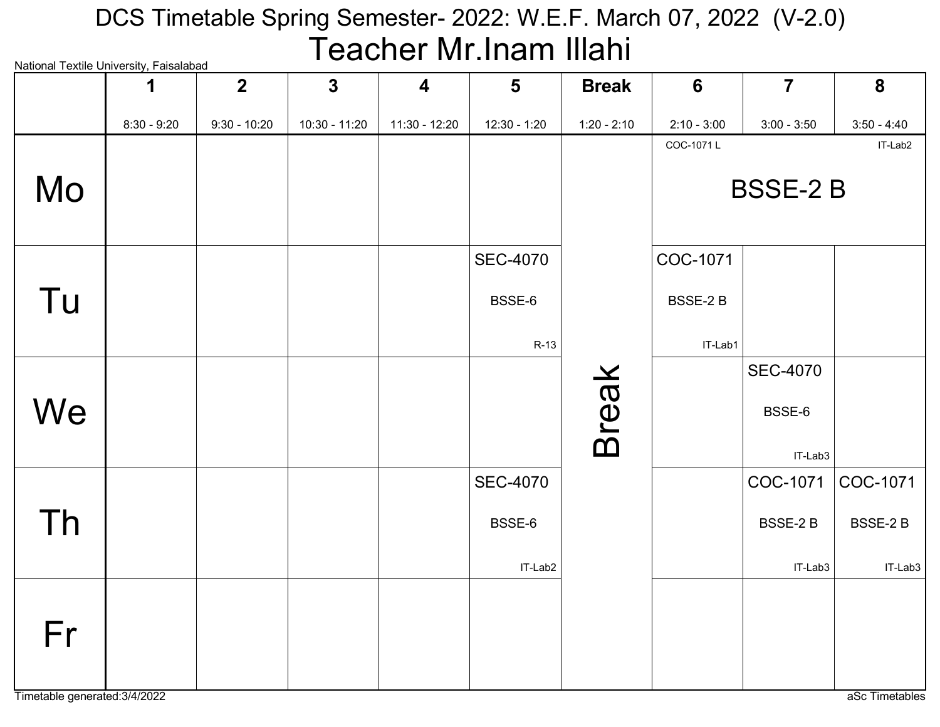## National Textile University, Faisalabad DCS Timetable Spring Semester- 2022: W.E.F. March 07, 2022 (V-2.0) Teacher Mr.Inam Illahi

| ivalivilai Textile Olliveisity, Laisalavau |               | $\overline{2}$ | $\mathbf{3}$  | $\overline{\mathbf{4}}$ | $5\phantom{1}$  | <b>Break</b>  | $6\phantom{1}6$ | $\overline{7}$  | 8              |
|--------------------------------------------|---------------|----------------|---------------|-------------------------|-----------------|---------------|-----------------|-----------------|----------------|
|                                            | $8:30 - 9:20$ | $9:30 - 10:20$ | 10:30 - 11:20 | 11:30 - 12:20           | $12:30 - 1:20$  | $1:20 - 2:10$ | $2:10 - 3:00$   | $3:00 - 3:50$   | $3:50 - 4:40$  |
|                                            |               |                |               |                         |                 |               | COC-1071L       |                 | IT-Lab2        |
| Mo                                         |               |                |               |                         |                 |               |                 | <b>BSSE-2B</b>  |                |
|                                            |               |                |               |                         | <b>SEC-4070</b> |               | COC-1071        |                 |                |
| Tu                                         |               |                |               |                         | BSSE-6          |               | BSSE-2B         |                 |                |
|                                            |               |                |               |                         | R-13            |               | IT-Lab1         |                 |                |
|                                            |               |                |               |                         |                 |               |                 | <b>SEC-4070</b> |                |
| We                                         |               |                |               |                         |                 | <b>Break</b>  |                 | BSSE-6          |                |
|                                            |               |                |               |                         |                 |               |                 | IT-Lab3         |                |
|                                            |               |                |               |                         | <b>SEC-4070</b> |               |                 | COC-1071        | COC-1071       |
| Th                                         |               |                |               |                         | BSSE-6          |               |                 | BSSE-2B         | <b>BSSE-2B</b> |
|                                            |               |                |               |                         | IT-Lab2         |               |                 | IT-Lab3         | IT-Lab3        |
| Fr                                         |               |                |               |                         |                 |               |                 |                 |                |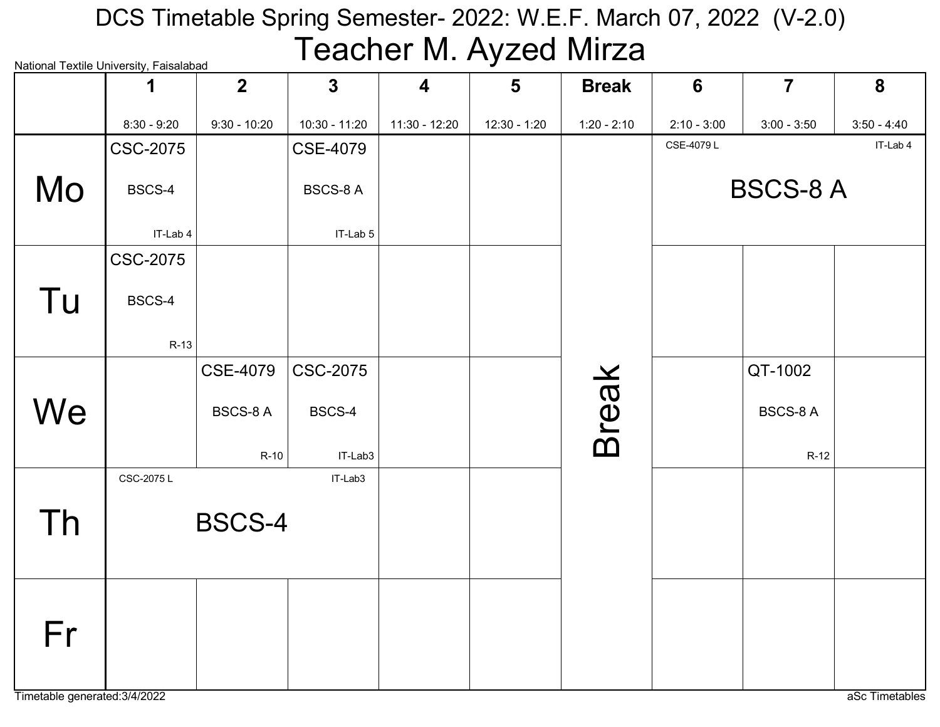# National Textile University, Faisalabad DCS Timetable Spring Semester- 2022: W.E.F. March 07, 2022 (V-2.0) Teacher M. Ayzed Mirza

|    | National Textile Onliversity, I alsalabad<br>1 | 2 <sup>1</sup>  | $\mathbf{3}$    | $\overline{\mathbf{4}}$ | $5\phantom{1}$ | <b>Break</b>  | 6             | $\overline{7}$  | 8             |
|----|------------------------------------------------|-----------------|-----------------|-------------------------|----------------|---------------|---------------|-----------------|---------------|
|    | $8:30 - 9:20$                                  | $9:30 - 10:20$  | 10:30 - 11:20   | $11:30 - 12:20$         | 12:30 - 1:20   | $1:20 - 2:10$ | $2:10 - 3:00$ | $3:00 - 3:50$   | $3:50 - 4:40$ |
|    | <b>CSC-2075</b>                                |                 | <b>CSE-4079</b> |                         |                |               | CSE-4079L     |                 | IT-Lab 4      |
| Mo | BSCS-4                                         |                 | <b>BSCS-8 A</b> |                         |                |               |               | <b>BSCS-8 A</b> |               |
|    | IT-Lab 4                                       |                 | IT-Lab 5        |                         |                |               |               |                 |               |
|    | <b>CSC-2075</b>                                |                 |                 |                         |                |               |               |                 |               |
| Tu | BSCS-4                                         |                 |                 |                         |                |               |               |                 |               |
|    | $R-13$                                         |                 |                 |                         |                |               |               |                 |               |
|    |                                                | <b>CSE-4079</b> | <b>CSC-2075</b> |                         |                |               |               | QT-1002         |               |
| We |                                                | <b>BSCS-8 A</b> | BSCS-4          |                         |                | <b>Break</b>  |               | <b>BSCS-8 A</b> |               |
|    |                                                | $R-10$          | IT-Lab3         |                         |                |               |               | $R-12$          |               |
|    | CSC-2075L                                      |                 | IT-Lab3         |                         |                |               |               |                 |               |
| Th |                                                | <b>BSCS-4</b>   |                 |                         |                |               |               |                 |               |
|    |                                                |                 |                 |                         |                |               |               |                 |               |
|    |                                                |                 |                 |                         |                |               |               |                 |               |
|    |                                                |                 |                 |                         |                |               |               |                 |               |
| Fr |                                                |                 |                 |                         |                |               |               |                 |               |
|    |                                                |                 |                 |                         |                |               |               |                 |               |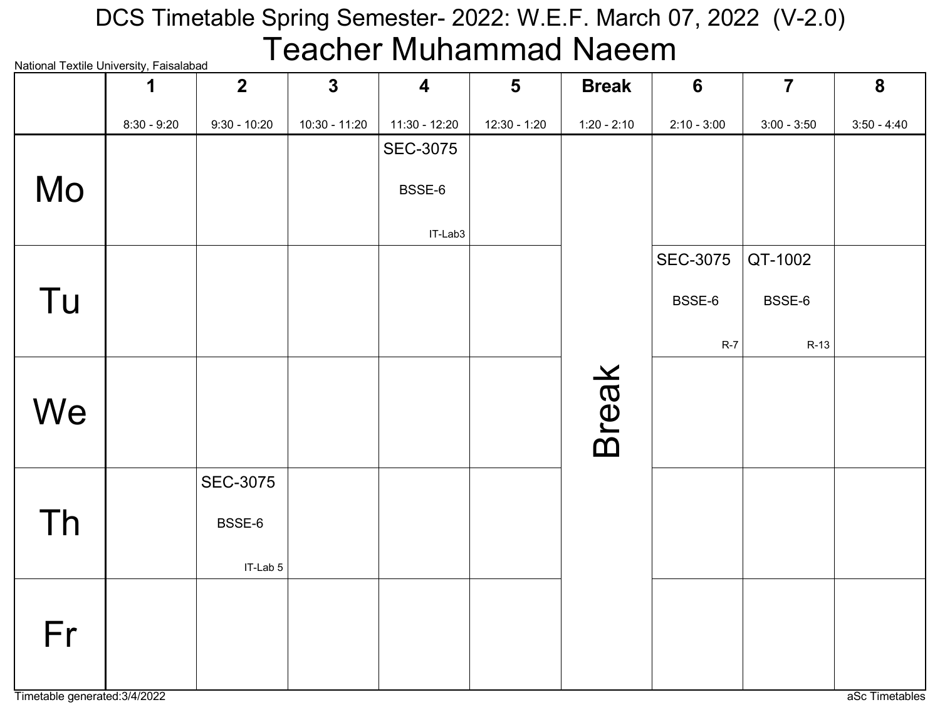#### National Textile University, Faisalabad DCS Timetable Spring Semester- 2022: W.E.F. March 07, 2022 (V-2.0) Teacher Muhammad Naeem

| INQUOTIQI TEXUIE OTIIVEI SILY, I QISQIQDQU | 1             | $\overline{2}$  | $\mathbf{3}$    | $\overline{\mathbf{4}}$ | $5\phantom{1}$ | <b>Break</b>  | $6\phantom{1}$  | $\overline{7}$ | 8             |
|--------------------------------------------|---------------|-----------------|-----------------|-------------------------|----------------|---------------|-----------------|----------------|---------------|
|                                            | $8:30 - 9:20$ | $9:30 - 10:20$  | $10:30 - 11:20$ | $11:30 - 12:20$         | 12:30 - 1:20   | $1:20 - 2:10$ | $2:10 - 3:00$   | $3:00 - 3:50$  | $3:50 - 4:40$ |
|                                            |               |                 |                 | <b>SEC-3075</b>         |                |               |                 |                |               |
| Mo                                         |               |                 |                 | BSSE-6                  |                |               |                 |                |               |
|                                            |               |                 |                 |                         |                |               |                 |                |               |
|                                            |               |                 |                 | IT-Lab3                 |                |               | <b>SEC-3075</b> | QT-1002        |               |
|                                            |               |                 |                 |                         |                |               |                 |                |               |
| Tu                                         |               |                 |                 |                         |                |               | BSSE-6          | BSSE-6         |               |
|                                            |               |                 |                 |                         |                |               | $R-7$           | $R-13$         |               |
|                                            |               |                 |                 |                         |                |               |                 |                |               |
| We                                         |               |                 |                 |                         |                |               |                 |                |               |
|                                            |               |                 |                 |                         |                | <b>Break</b>  |                 |                |               |
|                                            |               | <b>SEC-3075</b> |                 |                         |                |               |                 |                |               |
|                                            |               |                 |                 |                         |                |               |                 |                |               |
| Th                                         |               | BSSE-6          |                 |                         |                |               |                 |                |               |
|                                            |               | IT-Lab 5        |                 |                         |                |               |                 |                |               |
|                                            |               |                 |                 |                         |                |               |                 |                |               |
| Fr                                         |               |                 |                 |                         |                |               |                 |                |               |
|                                            |               |                 |                 |                         |                |               |                 |                |               |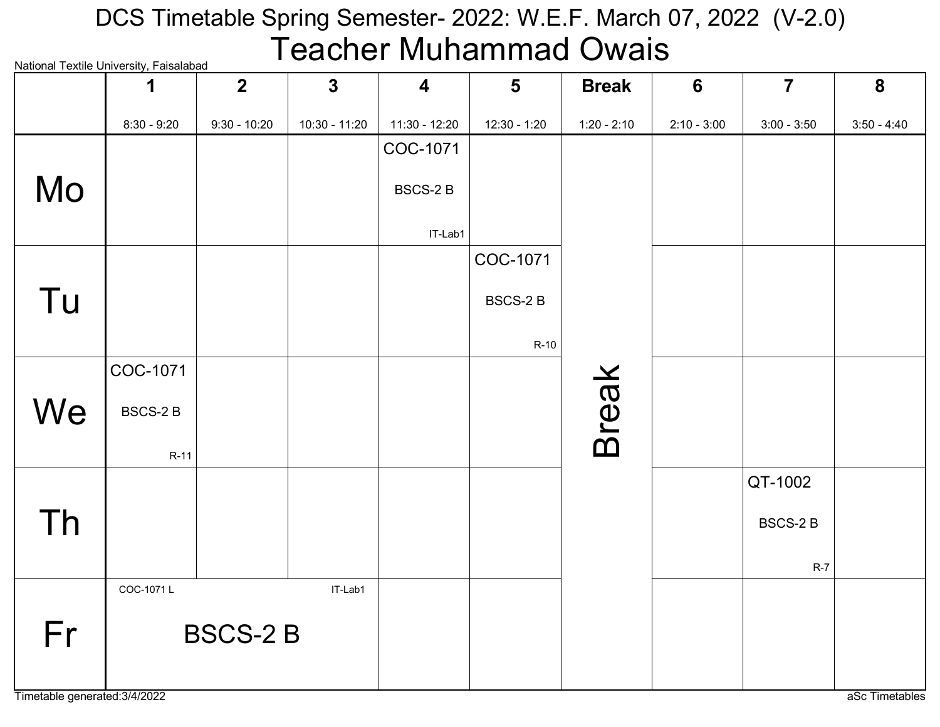# National Textile University, Faisalabad DCS Timetable Spring Semester- 2022: W.E.F. March 07, 2022 (V-2.0) Teacher Muhammad Owais

|    | 1              | $\overline{2}$ | $\mathbf{3}$  | $\overline{\mathbf{4}}$ | $5\phantom{1}$ | <b>Break</b>  | $6\phantom{1}6$ | $\overline{7}$ | $\boldsymbol{8}$ |
|----|----------------|----------------|---------------|-------------------------|----------------|---------------|-----------------|----------------|------------------|
|    | $8:30 - 9:20$  | $9:30 - 10:20$ | 10:30 - 11:20 | 11:30 - 12:20           | 12:30 - 1:20   | $1:20 - 2:10$ | $2:10 - 3:00$   | $3:00 - 3:50$  | $3:50 - 4:40$    |
|    |                |                |               | COC-1071                |                |               |                 |                |                  |
| Mo |                |                |               | <b>BSCS-2B</b>          |                |               |                 |                |                  |
|    |                |                |               | IT-Lab1                 |                |               |                 |                |                  |
|    |                |                |               |                         | COC-1071       |               |                 |                |                  |
| Tu |                |                |               |                         | <b>BSCS-2B</b> |               |                 |                |                  |
|    |                |                |               |                         | $R-10$         |               |                 |                |                  |
|    | COC-1071       |                |               |                         |                |               |                 |                |                  |
| We | <b>BSCS-2B</b> |                |               |                         |                | <b>Break</b>  |                 |                |                  |
|    | $R-11$         |                |               |                         |                |               |                 |                |                  |
|    |                |                |               |                         |                |               |                 | QT-1002        |                  |
| Th |                |                |               |                         |                |               |                 | <b>BSCS-2B</b> |                  |
|    |                |                |               |                         |                |               |                 | $R-7$          |                  |
|    | COC-1071L      |                | IT-Lab1       |                         |                |               |                 |                |                  |
| Fr |                | <b>BSCS-2B</b> |               |                         |                |               |                 |                |                  |
|    |                |                |               |                         |                |               |                 |                |                  |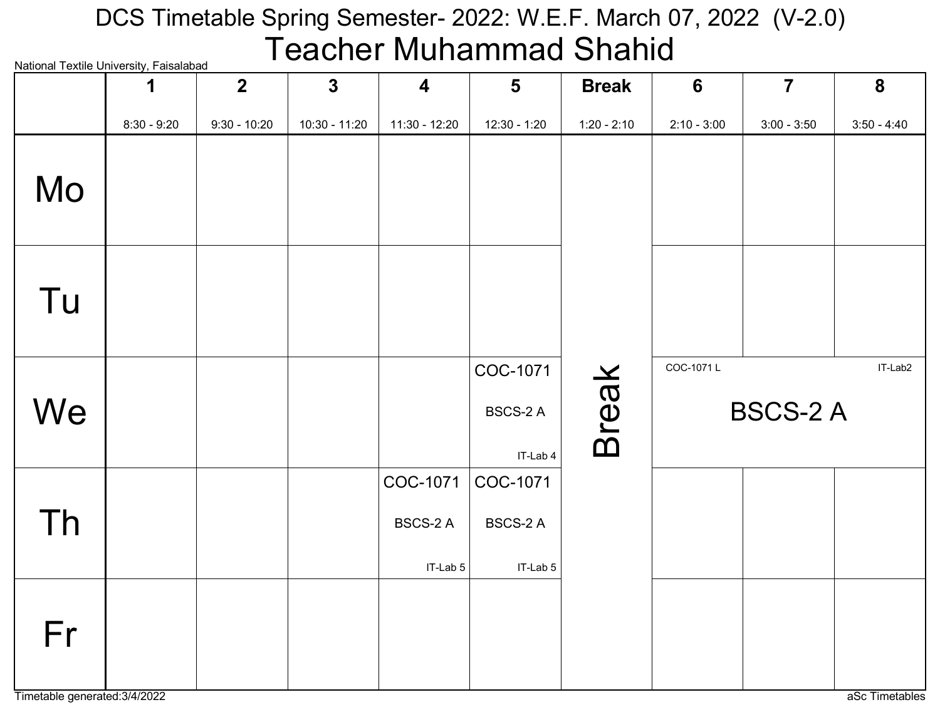# DCS Timetable Spring Semester- 2022: W.E.F. March 07, 2022 (V-2.0) Teacher Muhammad Shahid

|    |               | $\overline{2}$ | $\mathbf{3}$  | 4                                       | $\overline{\mathbf{5}}$                 | <b>Break</b>  | $6\phantom{1}6$ | $\overline{7}$  | 8             |
|----|---------------|----------------|---------------|-----------------------------------------|-----------------------------------------|---------------|-----------------|-----------------|---------------|
|    | $8:30 - 9:20$ | $9:30 - 10:20$ | 10:30 - 11:20 | 11:30 - 12:20                           | 12:30 - 1:20                            | $1:20 - 2:10$ | $2:10 - 3:00$   | $3:00 - 3:50$   | $3:50 - 4:40$ |
| Mo |               |                |               |                                         |                                         |               |                 |                 |               |
| Tu |               |                |               |                                         |                                         |               |                 |                 |               |
| We |               |                |               |                                         | COC-1071<br><b>BSCS-2 A</b><br>IT-Lab 4 | <b>Break</b>  | COC-1071L       | <b>BSCS-2 A</b> | IT-Lab2       |
| Th |               |                |               | COC-1071<br><b>BSCS-2 A</b><br>IT-Lab 5 | COC-1071<br>BSCS-2 A<br>IT-Lab 5        |               |                 |                 |               |
| Fr |               |                |               |                                         |                                         |               |                 |                 |               |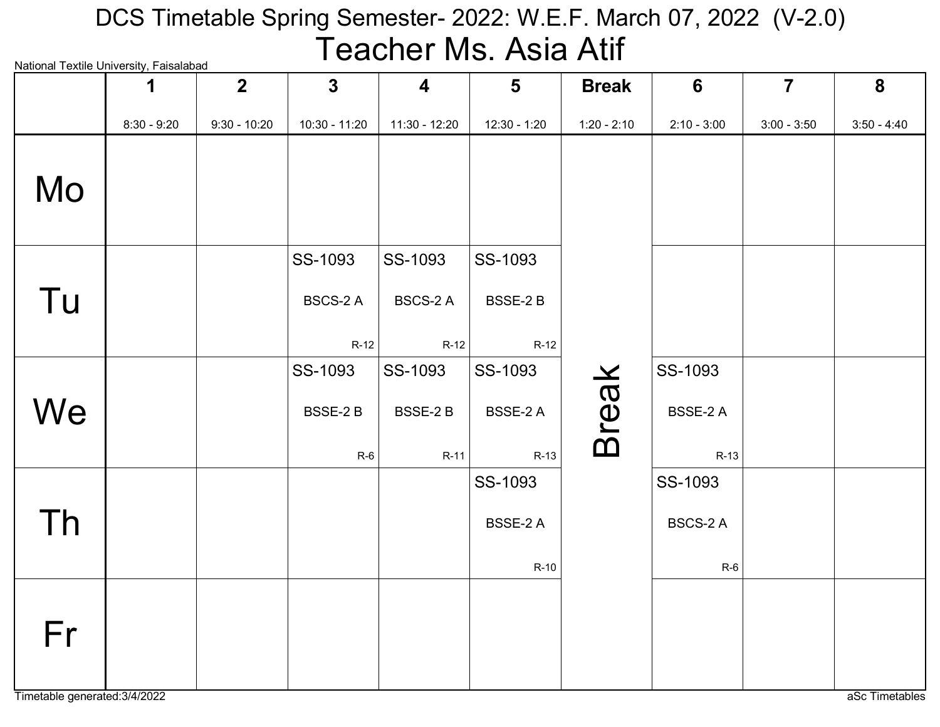# National Textile University, Faisalabad DCS Timetable Spring Semester- 2022: W.E.F. March 07, 2022 (V-2.0) Teacher Ms. Asia Atif

| rational rextile onlivereity, i disdidibad | 1             | 2 <sup>2</sup> | $\mathbf{3}$    | $\overline{\mathbf{4}}$ | $5\phantom{1}$  | <b>Break</b>  | $6\phantom{1}6$ | $\overline{7}$ | 8             |
|--------------------------------------------|---------------|----------------|-----------------|-------------------------|-----------------|---------------|-----------------|----------------|---------------|
|                                            | $8:30 - 9:20$ | $9:30 - 10:20$ | 10:30 - 11:20   | 11:30 - 12:20           | $12:30 - 1:20$  | $1:20 - 2:10$ | $2:10 - 3:00$   | $3:00 - 3:50$  | $3:50 - 4:40$ |
| Mo                                         |               |                |                 |                         |                 |               |                 |                |               |
|                                            |               |                | SS-1093         | SS-1093                 | SS-1093         |               |                 |                |               |
| Tu                                         |               |                | <b>BSCS-2 A</b> | <b>BSCS-2 A</b>         | BSSE-2 B        |               |                 |                |               |
|                                            |               |                | $R-12$          | $R-12$                  | $R-12$          |               |                 |                |               |
|                                            |               |                | SS-1093         | SS-1093                 | SS-1093         |               | SS-1093         |                |               |
| We                                         |               |                | BSSE-2B         | BSSE-2B                 | <b>BSSE-2 A</b> | <b>Break</b>  | BSSE-2 A        |                |               |
|                                            |               |                | $R-6$           | $R-11$                  | $R-13$          |               | $R-13$          |                |               |
|                                            |               |                |                 |                         | SS-1093         |               | SS-1093         |                |               |
| Th                                         |               |                |                 |                         | BSSE-2 A        |               | BSCS-2 A        |                |               |
|                                            |               |                |                 |                         | $R-10$          |               | $R-6$           |                |               |
| Fr                                         |               |                |                 |                         |                 |               |                 |                |               |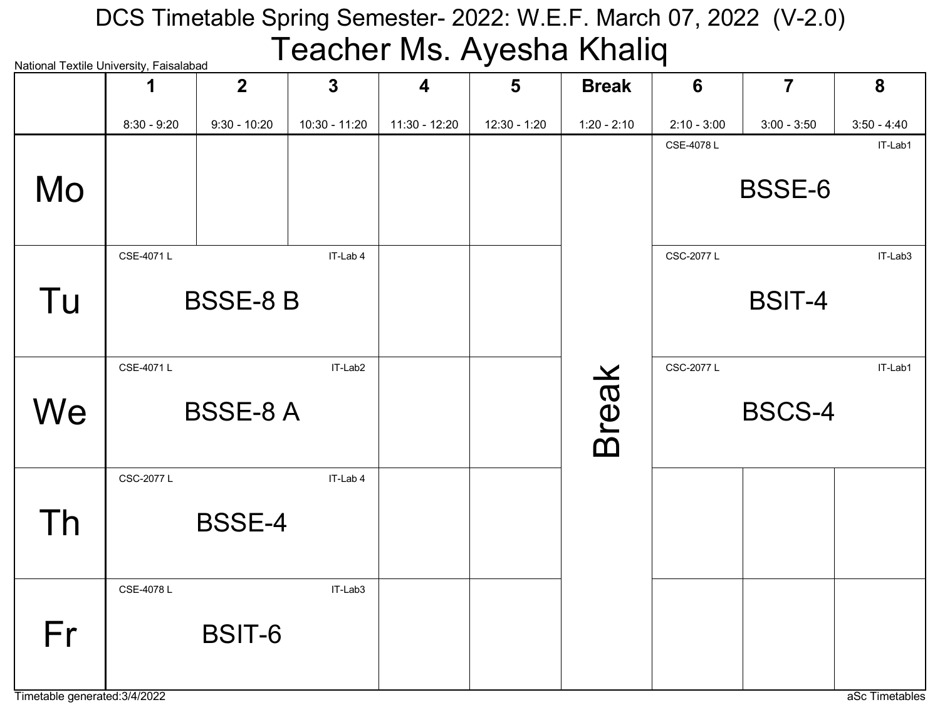# DCS Timetable Spring Semester- 2022: W.E.F. March 07, 2022 (V-2.0) Teacher Ms. Ayesha Khaliq

|    | National Textile University, Faisalabad |                 |               |                         | J              |               | ш               |                |               |  |
|----|-----------------------------------------|-----------------|---------------|-------------------------|----------------|---------------|-----------------|----------------|---------------|--|
|    |                                         | $\overline{2}$  | $\mathbf 3$   | $\overline{\mathbf{4}}$ | $5\phantom{1}$ | <b>Break</b>  | $6\phantom{1}6$ | $\overline{7}$ | 8             |  |
|    | $8:30 - 9:20$                           | $9:30 - 10:20$  | 10:30 - 11:20 | 11:30 - 12:20           | 12:30 - 1:20   | $1:20 - 2:10$ | $2:10 - 3:00$   | $3:00 - 3:50$  | $3:50 - 4:40$ |  |
|    |                                         |                 |               |                         |                |               | CSE-4078L       |                | IT-Lab1       |  |
| Mo |                                         |                 |               |                         |                |               |                 | <b>BSSE-6</b>  |               |  |
|    | CSE-4071L                               |                 | IT-Lab 4      |                         |                |               | CSC-2077 L      |                | IT-Lab3       |  |
| Tu |                                         | <b>BSSE-8 B</b> |               |                         |                |               |                 | <b>BSIT-4</b>  |               |  |
|    | CSE-4071L                               |                 | IT-Lab2       |                         |                |               | CSC-2077 L      |                | IT-Lab1       |  |
| We |                                         | <b>BSSE-8 A</b> |               |                         |                | <b>Break</b>  | <b>BSCS-4</b>   |                |               |  |
|    | CSC-2077 L                              |                 | IT-Lab 4      |                         |                |               |                 |                |               |  |
|    |                                         |                 |               |                         |                |               |                 |                |               |  |
| Th |                                         | <b>BSSE-4</b>   |               |                         |                |               |                 |                |               |  |
|    | CSE-4078L                               |                 | IT-Lab3       |                         |                |               |                 |                |               |  |
| Fr |                                         | <b>BSIT-6</b>   |               |                         |                |               |                 |                |               |  |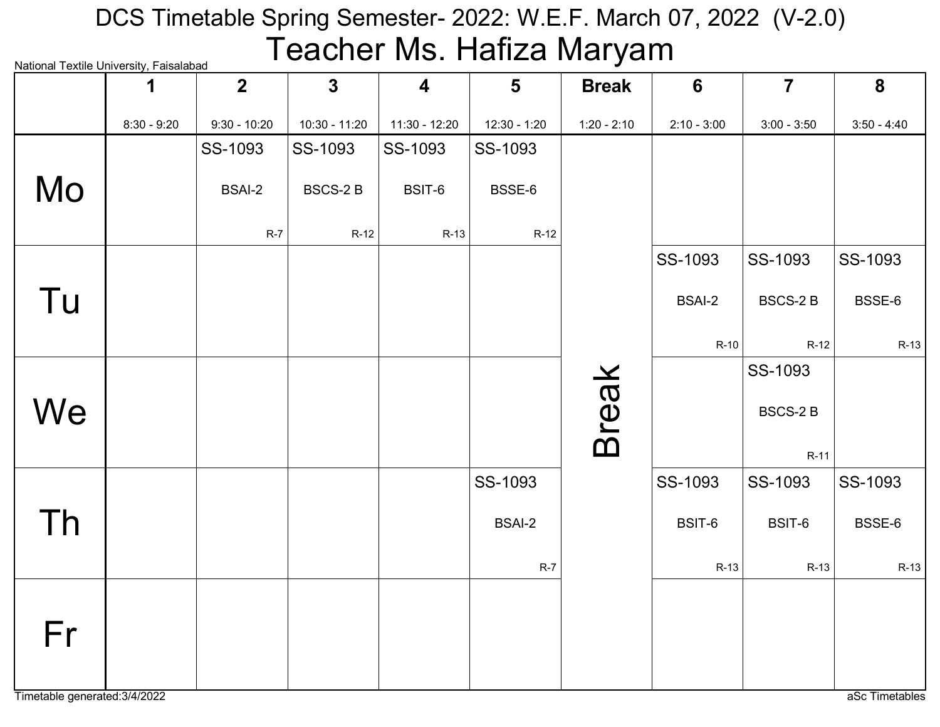# National Textile University, Faisalabad DCS Timetable Spring Semester- 2022: W.E.F. March 07, 2022 (V-2.0) Teacher Ms. Hafiza Maryam

|    | 1             | Hational Toxtilo Onlyoiolty, I diodidiodd<br>$\overline{2}$ | $\overline{3}$ | $\overline{\mathbf{4}}$ | $5\phantom{1}$ | <b>Break</b>  | $6\phantom{1}6$ | $\overline{7}$ | 8             |
|----|---------------|-------------------------------------------------------------|----------------|-------------------------|----------------|---------------|-----------------|----------------|---------------|
|    | $8:30 - 9:20$ | $9:30 - 10:20$                                              | 10:30 - 11:20  | 11:30 - 12:20           | 12:30 - 1:20   | $1:20 - 2:10$ | $2:10 - 3:00$   | $3:00 - 3:50$  | $3:50 - 4:40$ |
|    |               | SS-1093                                                     | SS-1093        | SS-1093                 | SS-1093        |               |                 |                |               |
| Mo |               | <b>BSAI-2</b>                                               | <b>BSCS-2B</b> | BSIT-6                  | BSSE-6         |               |                 |                |               |
|    |               | $R-7$                                                       | $R-12$         | $R-13$                  | $R-12$         |               |                 |                |               |
|    |               |                                                             |                |                         |                |               | SS-1093         | SS-1093        | SS-1093       |
| Tu |               |                                                             |                |                         |                |               | <b>BSAI-2</b>   | <b>BSCS-2B</b> | BSSE-6        |
|    |               |                                                             |                |                         |                |               | $R-10$          | $R-12$         | $R-13$        |
|    |               |                                                             |                |                         |                |               |                 | SS-1093        |               |
| We |               |                                                             |                |                         |                | <b>Break</b>  |                 | <b>BSCS-2B</b> |               |
|    |               |                                                             |                |                         |                |               |                 | $R-11$         |               |
|    |               |                                                             |                |                         | SS-1093        |               | SS-1093         | SS-1093        | SS-1093       |
| Th |               |                                                             |                |                         | <b>BSAI-2</b>  |               | BSIT-6          | BSIT-6         | BSSE-6        |
|    |               |                                                             |                |                         | $R-7$          |               | $R-13$          | $R-13$         | $R-13$        |
| Fr |               |                                                             |                |                         |                |               |                 |                |               |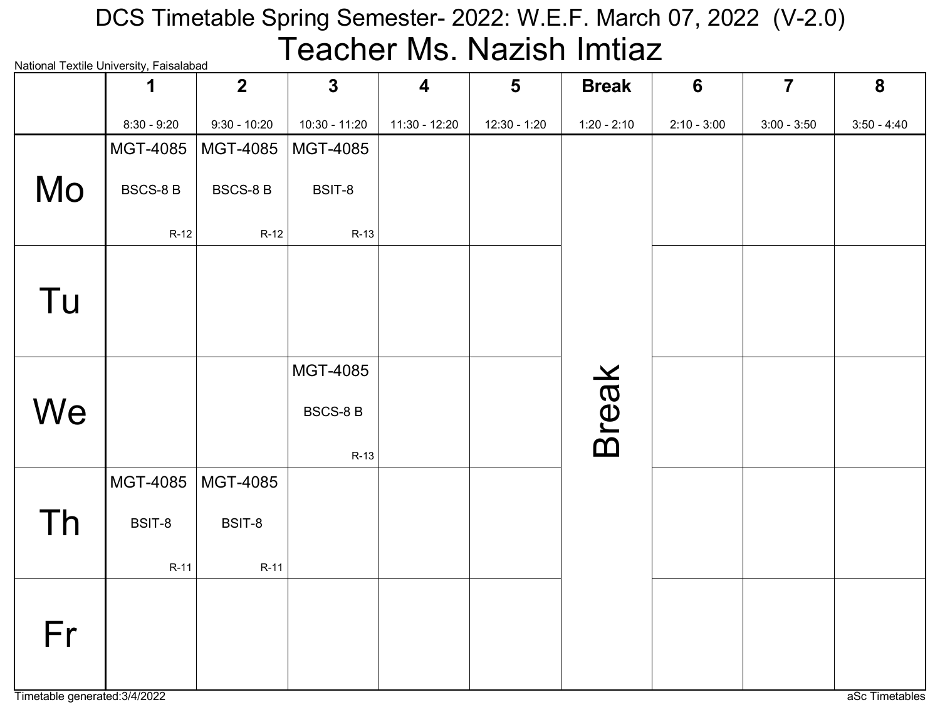## National Textile University, Faisalabad DCS Timetable Spring Semester- 2022: W.E.F. March 07, 2022 (V-2.0) Teacher Ms. Nazish Imtiaz

|    | INQUOTIQI TEXUIE OTIIVEI SILY, I QISQIQDQU<br>1 | $\overline{2}$  | $\mathbf{3}$    | $\overline{\mathbf{4}}$ | $5\phantom{1}$ | <b>Break</b>  | $6\phantom{1}6$ | $\overline{7}$ | 8             |
|----|-------------------------------------------------|-----------------|-----------------|-------------------------|----------------|---------------|-----------------|----------------|---------------|
|    | $8:30 - 9:20$                                   | $9:30 - 10:20$  | 10:30 - 11:20   | 11:30 - 12:20           | 12:30 - 1:20   | $1:20 - 2:10$ | $2:10 - 3:00$   | $3:00 - 3:50$  | $3:50 - 4:40$ |
|    | MGT-4085                                        | MGT-4085        | MGT-4085        |                         |                |               |                 |                |               |
| Mo | <b>BSCS-8 B</b>                                 | <b>BSCS-8 B</b> | BSIT-8          |                         |                |               |                 |                |               |
|    | $R-12$                                          | $R-12$          | $R-13$          |                         |                |               |                 |                |               |
|    |                                                 |                 |                 |                         |                |               |                 |                |               |
| Tu |                                                 |                 |                 |                         |                |               |                 |                |               |
|    |                                                 |                 |                 |                         |                |               |                 |                |               |
|    |                                                 |                 | <b>MGT-4085</b> |                         |                |               |                 |                |               |
| We |                                                 |                 | <b>BSCS-8B</b>  |                         |                | <b>Break</b>  |                 |                |               |
|    |                                                 |                 | $R-13$          |                         |                |               |                 |                |               |
|    | MGT-4085                                        | MGT-4085        |                 |                         |                |               |                 |                |               |
| Th | BSIT-8                                          | BSIT-8          |                 |                         |                |               |                 |                |               |
|    | $R-11$                                          | $R-11$          |                 |                         |                |               |                 |                |               |
|    |                                                 |                 |                 |                         |                |               |                 |                |               |
| Fr |                                                 |                 |                 |                         |                |               |                 |                |               |
|    |                                                 |                 |                 |                         |                |               |                 |                |               |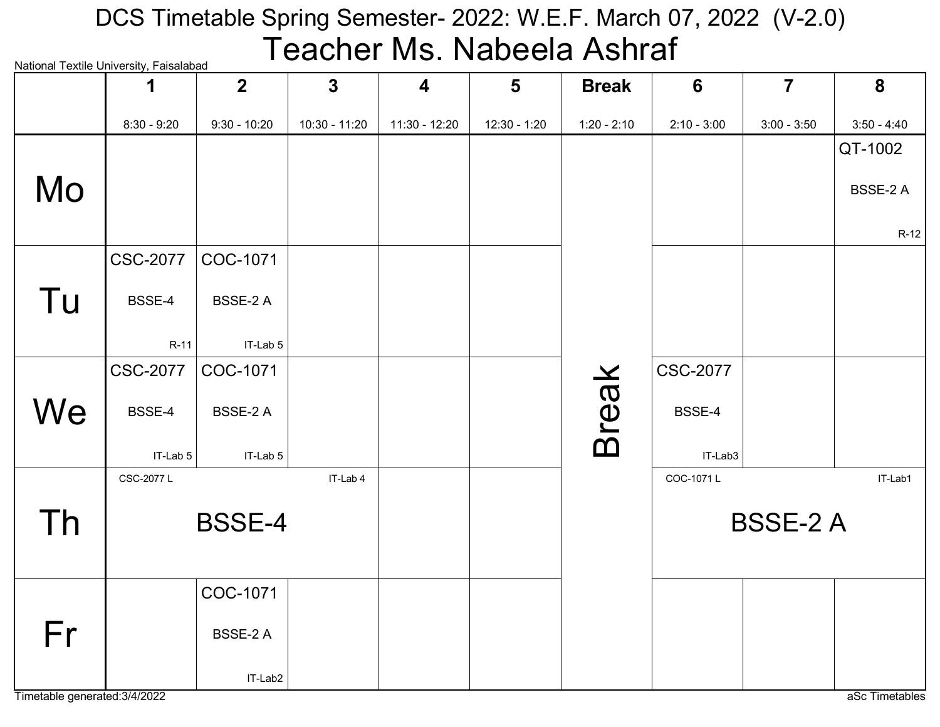#### National Textile University, Faisalabad DCS Timetable Spring Semester- 2022: W.E.F. March 07, 2022 (V-2.0) Teacher Ms. Nabeela Ashraf

|    | radional Textile Onliversity, I alsalabad<br>1 | $\mathbf{2}$   | $\mathbf{3}$  | $\overline{\mathbf{4}}$ | $5\phantom{1}$ | <b>Break</b>  | 6               | $\overline{7}$  | 8             |
|----|------------------------------------------------|----------------|---------------|-------------------------|----------------|---------------|-----------------|-----------------|---------------|
|    | $8:30 - 9:20$                                  | $9:30 - 10:20$ | 10:30 - 11:20 | 11:30 - 12:20           | 12:30 - 1:20   | $1:20 - 2:10$ | $2:10 - 3:00$   | $3:00 - 3:50$   | $3:50 - 4:40$ |
|    |                                                |                |               |                         |                |               |                 |                 | QT-1002       |
| Mo |                                                |                |               |                         |                |               |                 |                 | BSSE-2 A      |
|    |                                                |                |               |                         |                |               |                 |                 | $R-12$        |
|    | <b>CSC-2077</b>                                | COC-1071       |               |                         |                |               |                 |                 |               |
| Tu | BSSE-4                                         | BSSE-2 A       |               |                         |                |               |                 |                 |               |
|    | $R-11$                                         | IT-Lab 5       |               |                         |                |               |                 |                 |               |
|    | <b>CSC-2077</b>                                | COC-1071       |               |                         |                |               | <b>CSC-2077</b> |                 |               |
| We | BSSE-4                                         | BSSE-2 A       |               |                         |                | <b>Break</b>  | BSSE-4          |                 |               |
|    | IT-Lab 5                                       | IT-Lab 5       |               |                         |                |               | IT-Lab3         |                 |               |
|    | CSC-2077 L                                     |                | IT-Lab 4      |                         |                |               | COC-1071L       |                 | IT-Lab1       |
| Th |                                                | <b>BSSE-4</b>  |               |                         |                |               |                 | <b>BSSE-2 A</b> |               |
|    |                                                | COC-1071       |               |                         |                |               |                 |                 |               |
| Fr |                                                | BSSE-2 A       |               |                         |                |               |                 |                 |               |
|    |                                                | IT-Lab2        |               |                         |                |               |                 |                 |               |

Timetable generated:3/4/2022 aSc Timetables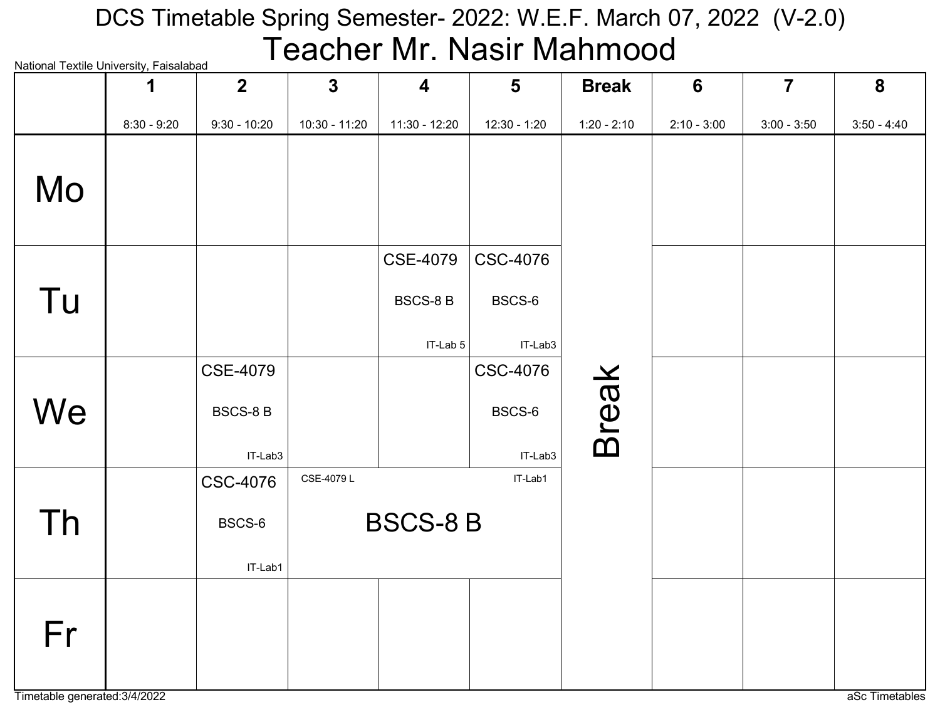# National Textile University, Faisalabad DCS Timetable Spring Semester- 2022: W.E.F. March 07, 2022 (V-2.0) Teacher Mr. Nasir Mahmood

| rational rextile onlivereity, i disdididad | 1             | $\overline{2}$  | $\mathbf{3}$  | $\overline{\mathbf{4}}$ | $5\phantom{1}$  | <b>Break</b>  | $6\phantom{1}6$ | $\overline{7}$ | 8             |
|--------------------------------------------|---------------|-----------------|---------------|-------------------------|-----------------|---------------|-----------------|----------------|---------------|
|                                            | $8:30 - 9:20$ | $9:30 - 10:20$  | 10:30 - 11:20 | 11:30 - 12:20           | 12:30 - 1:20    | $1:20 - 2:10$ | $2:10 - 3:00$   | $3:00 - 3:50$  | $3:50 - 4:40$ |
| Mo                                         |               |                 |               |                         |                 |               |                 |                |               |
|                                            |               |                 |               | <b>CSE-4079</b>         | <b>CSC-4076</b> |               |                 |                |               |
| Tu                                         |               |                 |               | <b>BSCS-8B</b>          | BSCS-6          |               |                 |                |               |
|                                            |               |                 |               | IT-Lab 5                | IT-Lab3         |               |                 |                |               |
|                                            |               | <b>CSE-4079</b> |               |                         | <b>CSC-4076</b> |               |                 |                |               |
| We                                         |               | <b>BSCS-8 B</b> |               |                         | BSCS-6          | <b>Break</b>  |                 |                |               |
|                                            |               | IT-Lab3         |               |                         | IT-Lab3         |               |                 |                |               |
|                                            |               | <b>CSC-4076</b> | CSE-4079L     |                         | IT-Lab1         |               |                 |                |               |
| Th                                         |               | BSCS-6          |               | <b>BSCS-8 B</b>         |                 |               |                 |                |               |
|                                            |               | IT-Lab1         |               |                         |                 |               |                 |                |               |
| Fr                                         |               |                 |               |                         |                 |               |                 |                |               |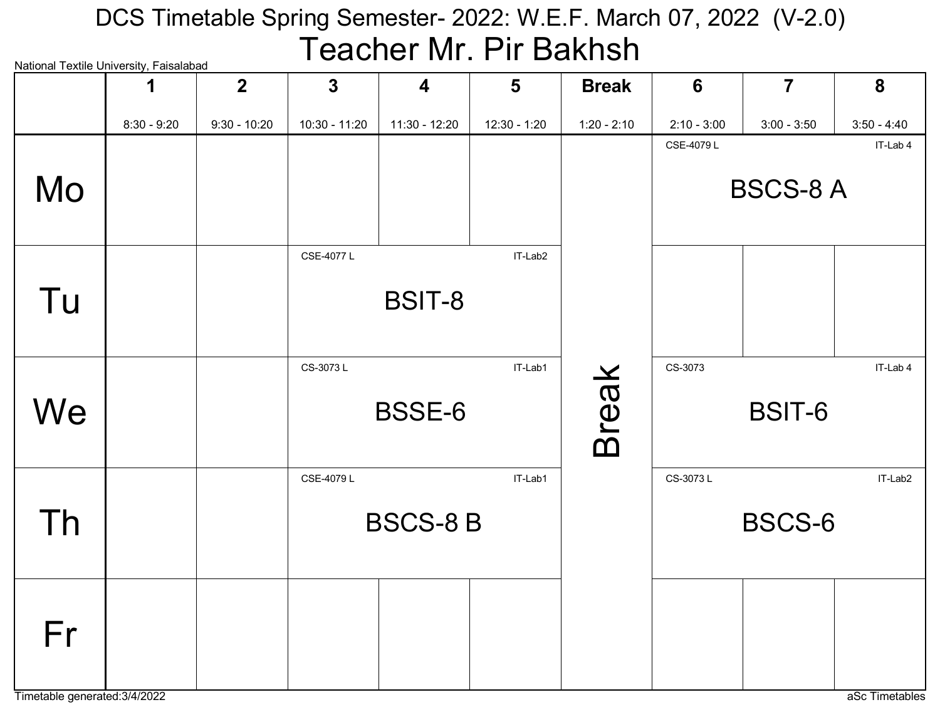#### National Textile University, Faisalabad DCS Timetable Spring Semester- 2022: W.E.F. March 07, 2022 (V-2.0) Teacher Mr. Pir Bakhsh

| National Textile University, Falsalabad |               | 2 <sup>1</sup> | $\overline{\mathbf{3}}$ | $\overline{\mathbf{4}}$ | 5              | <b>Break</b>  | 6             | $\overline{7}$  | 8             |
|-----------------------------------------|---------------|----------------|-------------------------|-------------------------|----------------|---------------|---------------|-----------------|---------------|
|                                         | $8:30 - 9:20$ | $9:30 - 10:20$ | 10:30 - 11:20           | 11:30 - 12:20           | $12:30 - 1:20$ | $1:20 - 2:10$ | $2:10 - 3:00$ | $3:00 - 3:50$   | $3:50 - 4:40$ |
| Mo                                      |               |                |                         |                         |                |               | CSE-4079L     | <b>BSCS-8 A</b> | IT-Lab 4      |
| Tu                                      |               |                | CSE-4077L               | BSIT-8                  | IT-Lab2        |               |               |                 |               |
| We                                      |               |                | CS-3073L                | <b>BSSE-6</b>           | IT-Lab1        | <b>Break</b>  | CS-3073       | BSIT-6          | IT-Lab 4      |
| Th                                      |               |                | CSE-4079L               | <b>BSCS-8 B</b>         | IT-Lab1        |               | CS-3073L      | <b>BSCS-6</b>   | IT-Lab2       |
| Fr                                      |               |                |                         |                         |                |               |               |                 |               |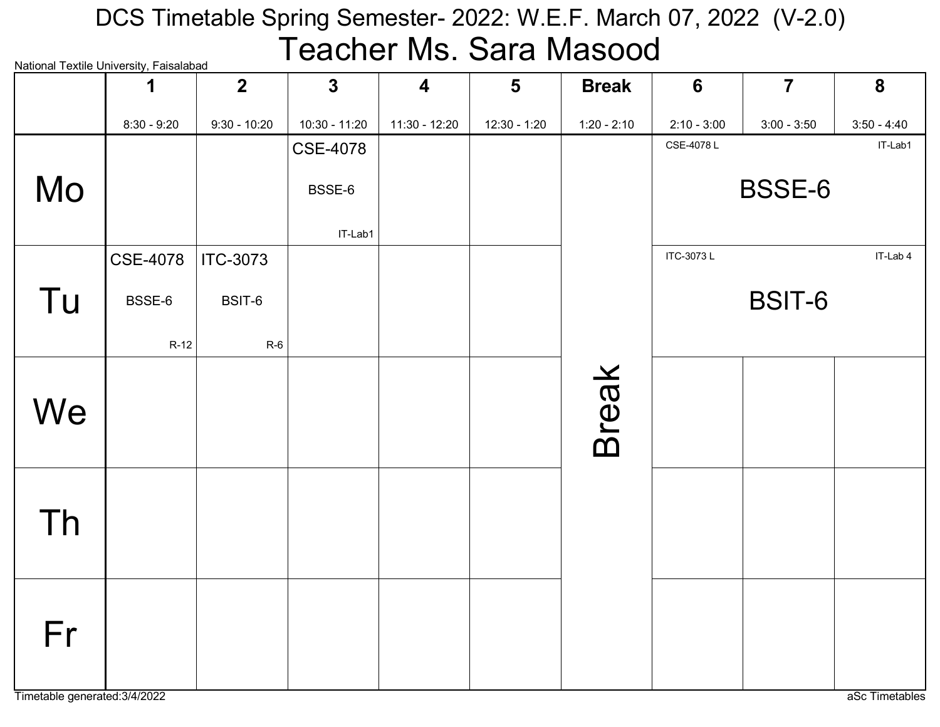## National Textile University, Faisalabad DCS Timetable Spring Semester- 2022: W.E.F. March 07, 2022 (V-2.0) Teacher Ms. Sara Masood

|    | ivational TCAtilC Onliversity, I disdidibdu<br>1 | $\overline{2}$  | $\mathbf{3}$    | $\overline{\mathbf{4}}$ | $5\phantom{1}$ | <b>Break</b>  | $6\phantom{1}6$ | $\overline{7}$ | 8             |
|----|--------------------------------------------------|-----------------|-----------------|-------------------------|----------------|---------------|-----------------|----------------|---------------|
|    | $8:30 - 9:20$                                    | $9:30 - 10:20$  | 10:30 - 11:20   | 11:30 - 12:20           | $12:30 - 1:20$ | $1:20 - 2:10$ | $2:10 - 3:00$   | $3:00 - 3:50$  | $3:50 - 4:40$ |
|    |                                                  |                 | <b>CSE-4078</b> |                         |                |               | CSE-4078L       |                | IT-Lab1       |
| Mo |                                                  |                 | BSSE-6          |                         |                |               |                 | BSSE-6         |               |
|    |                                                  |                 | IT-Lab1         |                         |                |               |                 |                |               |
|    | <b>CSE-4078</b>                                  | <b>ITC-3073</b> |                 |                         |                |               | ITC-3073L       |                | IT-Lab 4      |
| Tu | BSSE-6                                           | BSIT-6          |                 |                         |                |               |                 | BSIT-6         |               |
|    | $R-12$                                           | $R-6$           |                 |                         |                |               |                 |                |               |
|    |                                                  |                 |                 |                         |                |               |                 |                |               |
| We |                                                  |                 |                 |                         |                |               |                 |                |               |
|    |                                                  |                 |                 |                         |                | <b>Break</b>  |                 |                |               |
|    |                                                  |                 |                 |                         |                |               |                 |                |               |
| Th |                                                  |                 |                 |                         |                |               |                 |                |               |
|    |                                                  |                 |                 |                         |                |               |                 |                |               |
|    |                                                  |                 |                 |                         |                |               |                 |                |               |
| Fr |                                                  |                 |                 |                         |                |               |                 |                |               |
|    |                                                  |                 |                 |                         |                |               |                 |                |               |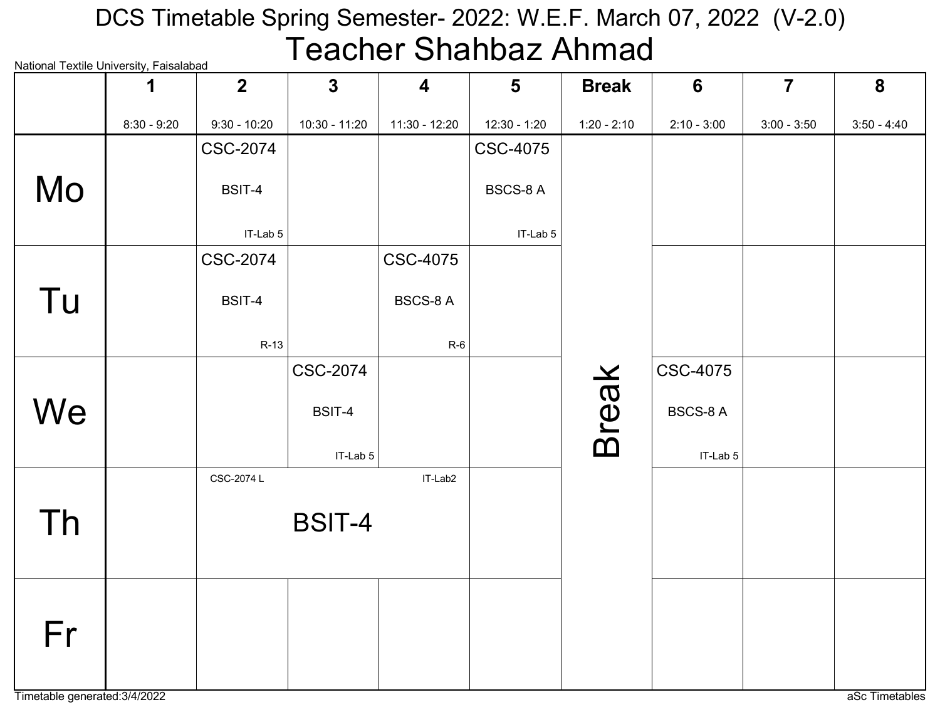# National Textile University, Faisalabad DCS Timetable Spring Semester- 2022: W.E.F. March 07, 2022 (V-2.0) Teacher Shahbaz Ahmad

|    | 1             | $\overline{\mathbf{2}}$ | $\overline{3}$  | $\overline{\mathbf{4}}$ | $5\phantom{1}$  | <b>Break</b>  | $6\phantom{1}6$ | $\overline{7}$ | 8             |
|----|---------------|-------------------------|-----------------|-------------------------|-----------------|---------------|-----------------|----------------|---------------|
|    | $8:30 - 9:20$ | $9:30 - 10:20$          | 10:30 - 11:20   | 11:30 - 12:20           | 12:30 - 1:20    | $1:20 - 2:10$ | $2:10 - 3:00$   | $3:00 - 3:50$  | $3:50 - 4:40$ |
|    |               | <b>CSC-2074</b>         |                 |                         | <b>CSC-4075</b> |               |                 |                |               |
| Mo |               | BSIT-4                  |                 |                         | <b>BSCS-8A</b>  |               |                 |                |               |
|    |               | IT-Lab 5                |                 |                         | IT-Lab 5        |               |                 |                |               |
|    |               | CSC-2074                |                 | <b>CSC-4075</b>         |                 |               |                 |                |               |
| Tu |               | BSIT-4                  |                 | <b>BSCS-8 A</b>         |                 |               |                 |                |               |
|    |               | $R-13$                  |                 | $R-6$                   |                 |               |                 |                |               |
|    |               |                         | <b>CSC-2074</b> |                         |                 |               | <b>CSC-4075</b> |                |               |
| We |               |                         | BSIT-4          |                         |                 | <b>Break</b>  | <b>BSCS-8 A</b> |                |               |
|    |               |                         | IT-Lab 5        |                         |                 |               | IT-Lab 5        |                |               |
|    |               | CSC-2074 L              |                 | IT-Lab2                 |                 |               |                 |                |               |
| Th |               |                         | <b>BSIT-4</b>   |                         |                 |               |                 |                |               |
|    |               |                         |                 |                         |                 |               |                 |                |               |
|    |               |                         |                 |                         |                 |               |                 |                |               |
| Fr |               |                         |                 |                         |                 |               |                 |                |               |
|    |               |                         |                 |                         |                 |               |                 |                |               |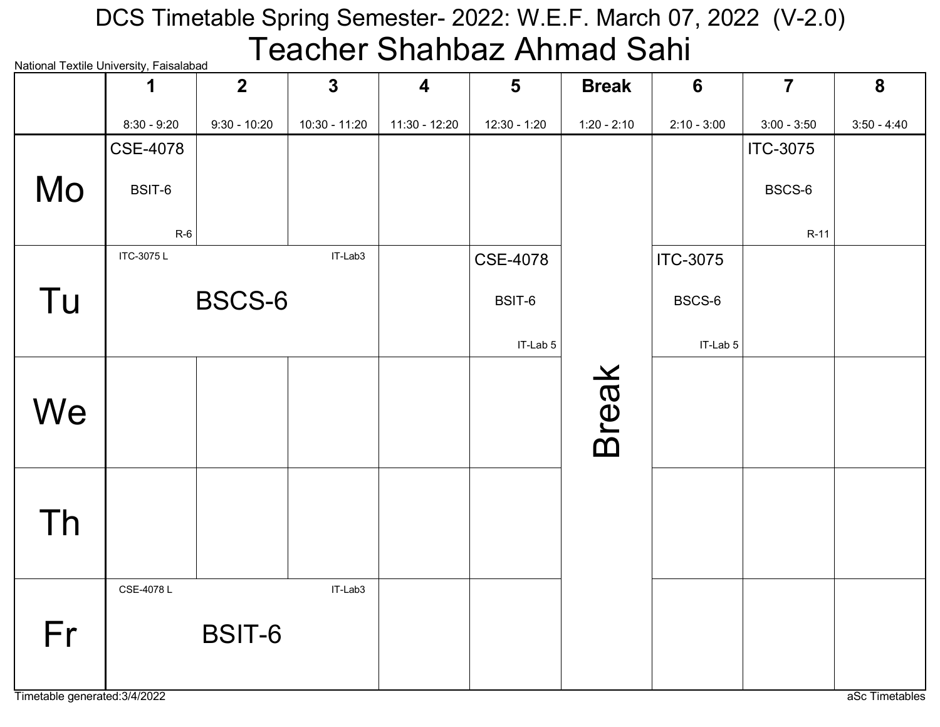#### National Textile University, Faisalabad DCS Timetable Spring Semester- 2022: W.E.F. March 07, 2022 (V-2.0) Teacher Shahbaz Ahmad Sahi

|    | <u>ivalional Textile Onliversity, Falsalabau</u><br>1 | 2 <sup>1</sup> | $\mathbf{3}$  | $\overline{\mathbf{4}}$ | $5\phantom{1}$  | <b>Break</b>  | $6\phantom{1}$  | $\overline{7}$  | 8             |
|----|-------------------------------------------------------|----------------|---------------|-------------------------|-----------------|---------------|-----------------|-----------------|---------------|
|    | $8:30 - 9:20$                                         | $9:30 - 10:20$ | 10:30 - 11:20 | 11:30 - 12:20           | 12:30 - 1:20    | $1:20 - 2:10$ | $2:10 - 3:00$   | $3:00 - 3:50$   | $3:50 - 4:40$ |
|    | <b>CSE-4078</b>                                       |                |               |                         |                 |               |                 | <b>ITC-3075</b> |               |
| Mo | BSIT-6                                                |                |               |                         |                 |               |                 | BSCS-6          |               |
|    | $R-6$                                                 |                |               |                         |                 |               |                 | R-11            |               |
|    | ITC-3075L                                             |                | IT-Lab3       |                         | <b>CSE-4078</b> |               | <b>ITC-3075</b> |                 |               |
| Tu |                                                       | BSCS-6         |               |                         | BSIT-6          |               | BSCS-6          |                 |               |
|    |                                                       |                |               |                         | IT-Lab 5        |               | IT-Lab 5        |                 |               |
| We |                                                       |                |               |                         |                 | <b>Break</b>  |                 |                 |               |
| Th |                                                       |                |               |                         |                 |               |                 |                 |               |
| Fr | CSE-4078L                                             | BSIT-6         | IT-Lab3       |                         |                 |               |                 |                 |               |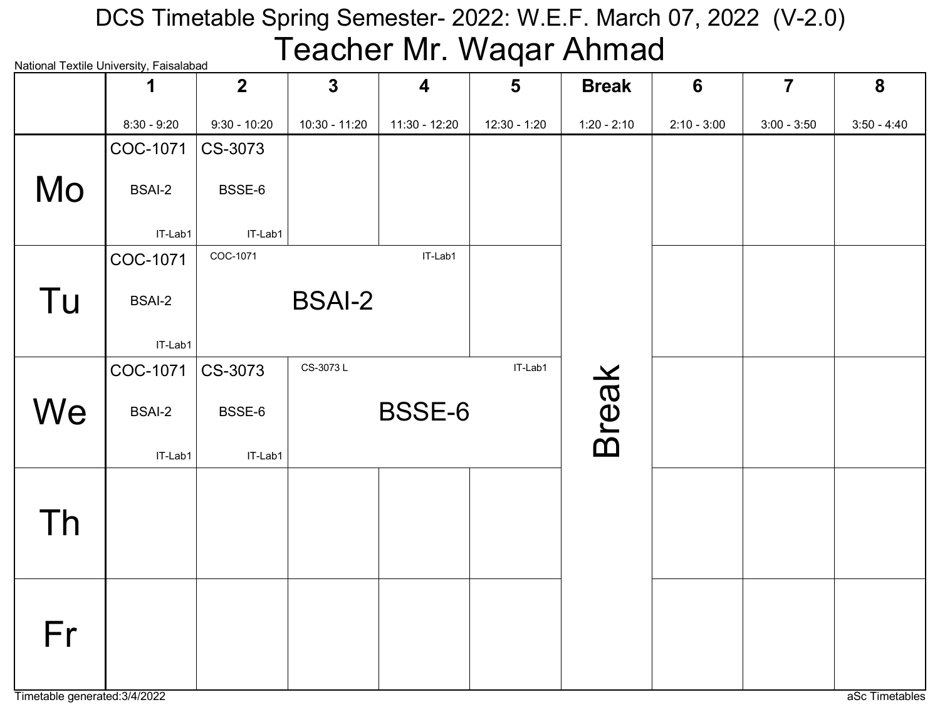### National Textile University, Faisalabad DCS Timetable Spring Semester- 2022: W.E.F. March 07, 2022 (V-2.0) Teacher Mr. Waqar Ahmad

|    | ivalivilai Textile Olliveisity, Laisalavau<br>1 | $\overline{2}$ | $\mathbf{3}$  | $\overline{\mathbf{4}}$ | $5\phantom{1}$ | <b>Break</b>  | $6\phantom{1}6$ | $\overline{7}$ | 8             |
|----|-------------------------------------------------|----------------|---------------|-------------------------|----------------|---------------|-----------------|----------------|---------------|
|    | $8:30 - 9:20$                                   | $9:30 - 10:20$ | 10:30 - 11:20 | 11:30 - 12:20           | $12:30 - 1:20$ | $1:20 - 2:10$ | $2:10 - 3:00$   | $3:00 - 3:50$  | $3:50 - 4:40$ |
|    | COC-1071                                        | CS-3073        |               |                         |                |               |                 |                |               |
| Mo | <b>BSAI-2</b>                                   | BSSE-6         |               |                         |                |               |                 |                |               |
|    | IT-Lab1                                         | IT-Lab1        |               |                         |                |               |                 |                |               |
|    | COC-1071                                        | COC-1071       |               | IT-Lab1                 |                |               |                 |                |               |
| Tu | <b>BSAI-2</b>                                   |                | <b>BSAI-2</b> |                         |                |               |                 |                |               |
|    | IT-Lab1                                         |                |               |                         |                |               |                 |                |               |
|    | COC-1071                                        | CS-3073        | CS-3073L      |                         | IT-Lab1        |               |                 |                |               |
| We | <b>BSAI-2</b>                                   | BSSE-6         |               | BSSE-6                  |                | <b>Break</b>  |                 |                |               |
|    | IT-Lab1                                         | IT-Lab1        |               |                         |                |               |                 |                |               |
|    |                                                 |                |               |                         |                |               |                 |                |               |
| Th |                                                 |                |               |                         |                |               |                 |                |               |
|    |                                                 |                |               |                         |                |               |                 |                |               |
|    |                                                 |                |               |                         |                |               |                 |                |               |
| Fr |                                                 |                |               |                         |                |               |                 |                |               |
|    |                                                 |                |               |                         |                |               |                 |                |               |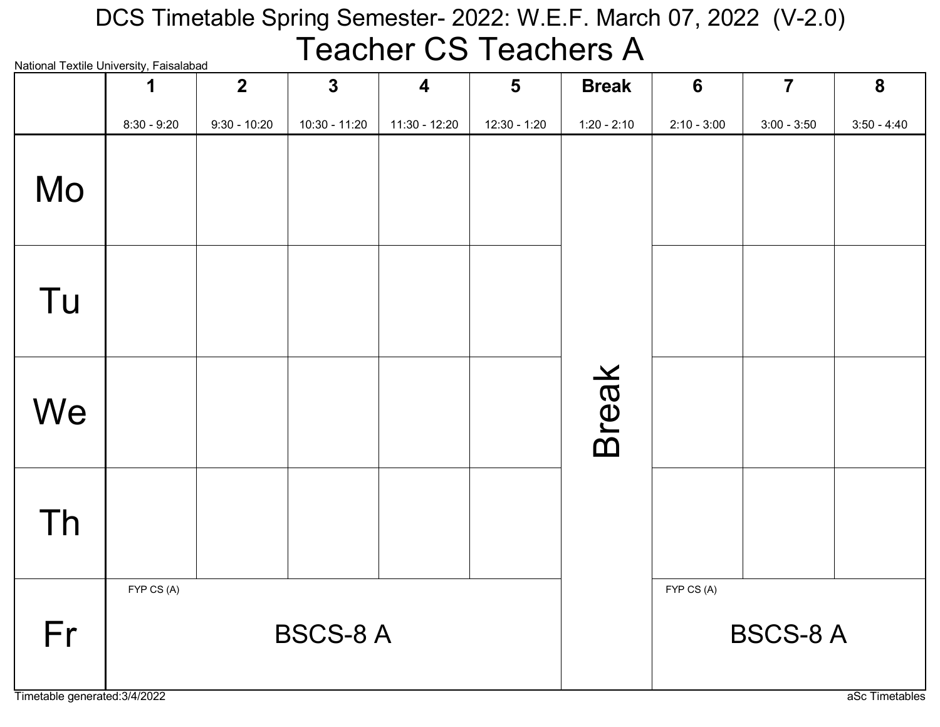#### National Textile University, Faisalabad DCS Timetable Spring Semester- 2022: W.E.F. March 07, 2022 (V-2.0) Teacher CS Teachers A

| <u>INAIIOITIAI TEXIIIE OHIVEISIIV, FAISAIADAU</u> | 1             | $\overline{2}$ | $\mathbf{3}$    | $\overline{\mathbf{4}}$ | $5\overline{)}$ | <b>Break</b>  | $6\phantom{1}6$ | $\overline{7}$  | 8             |
|---------------------------------------------------|---------------|----------------|-----------------|-------------------------|-----------------|---------------|-----------------|-----------------|---------------|
|                                                   | $8:30 - 9:20$ | $9:30 - 10:20$ | 10:30 - 11:20   | 11:30 - 12:20           | $12:30 - 1:20$  | $1:20 - 2:10$ | $2:10 - 3:00$   | $3:00 - 3:50$   | $3:50 - 4:40$ |
| Mo                                                |               |                |                 |                         |                 |               |                 |                 |               |
| Tu                                                |               |                |                 |                         |                 |               |                 |                 |               |
| We                                                |               |                |                 |                         |                 | <b>Break</b>  |                 |                 |               |
| Th                                                |               |                |                 |                         |                 |               |                 |                 |               |
| Fr                                                | FYP CS (A)    |                | <b>BSCS-8 A</b> |                         |                 |               | FYP CS (A)      | <b>BSCS-8 A</b> |               |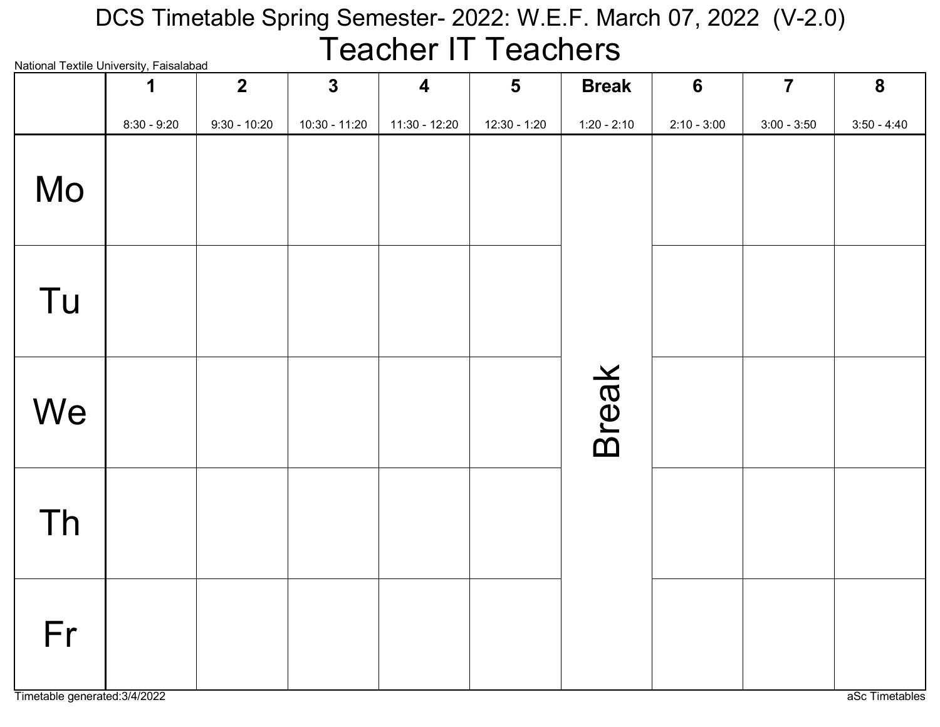#### National Textile University, Faisalabad DCS Timetable Spring Semester- 2022: W.E.F. March 07, 2022 (V-2.0) Teacher IT Teachers

| National Textile University, Faisalabad | 1             | $2\overline{ }$ | $\mathbf{3}$  | $\overline{\mathbf{4}}$ | $5\phantom{1}$ | <b>Break</b>  | $6\phantom{1}6$ | $\overline{7}$ | $\boldsymbol{8}$ |
|-----------------------------------------|---------------|-----------------|---------------|-------------------------|----------------|---------------|-----------------|----------------|------------------|
|                                         | $8:30 - 9:20$ | $9:30 - 10:20$  | 10:30 - 11:20 | 11:30 - 12:20           | $12:30 - 1:20$ | $1:20 - 2:10$ | $2:10 - 3:00$   | $3:00 - 3:50$  | $3:50 - 4:40$    |
| Mo                                      |               |                 |               |                         |                |               |                 |                |                  |
| Tu                                      |               |                 |               |                         |                |               |                 |                |                  |
| We                                      |               |                 |               |                         |                | <b>Break</b>  |                 |                |                  |
| Th                                      |               |                 |               |                         |                |               |                 |                |                  |
| Fr<br>Timetable generated: 3/4/2022     |               |                 |               |                         |                |               |                 |                | aSc Timetables   |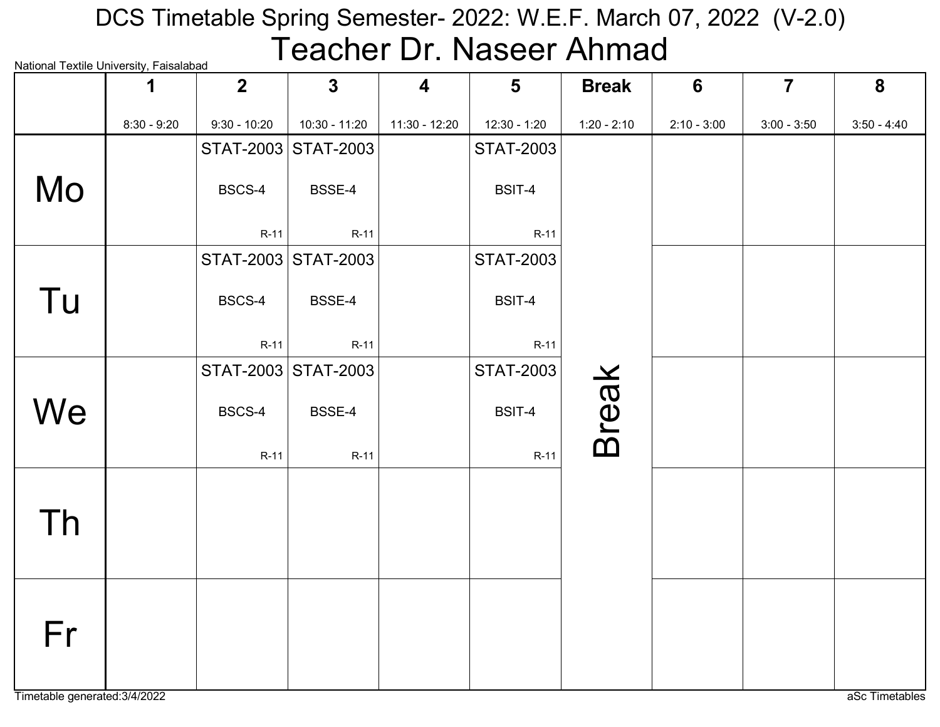# National Textile University, Faisalabad DCS Timetable Spring Semester- 2022: W.E.F. March 07, 2022 (V-2.0) Teacher Dr. Naseer Ahmad

| rational rextile onlivereity, i disdidibad | 1             | $\overline{2}$ | $\overline{3}$      | $\overline{\mathbf{4}}$ | $5\phantom{1}$   | <b>Break</b>  | 6             | $\overline{7}$ | 8             |
|--------------------------------------------|---------------|----------------|---------------------|-------------------------|------------------|---------------|---------------|----------------|---------------|
|                                            | $8:30 - 9:20$ | $9:30 - 10:20$ | $10:30 - 11:20$     | $11:30 - 12:20$         | 12:30 - 1:20     | $1:20 - 2:10$ | $2:10 - 3:00$ | $3:00 - 3:50$  | $3:50 - 4:40$ |
|                                            |               | STAT-2003      | <b>STAT-2003</b>    |                         | <b>STAT-2003</b> |               |               |                |               |
| Mo                                         |               | BSCS-4         | BSSE-4              |                         | BSIT-4           |               |               |                |               |
|                                            |               | $R-11$         | $R-11$              |                         | $R-11$           |               |               |                |               |
|                                            |               |                | STAT-2003 STAT-2003 |                         | <b>STAT-2003</b> |               |               |                |               |
| Tu                                         |               | BSCS-4         | BSSE-4              |                         | BSIT-4           |               |               |                |               |
|                                            |               | $R-11$         | $R-11$              |                         | R-11             |               |               |                |               |
|                                            |               |                | STAT-2003 STAT-2003 |                         | <b>STAT-2003</b> |               |               |                |               |
| We                                         |               | BSCS-4         | BSSE-4              |                         | BSIT-4           | <b>Break</b>  |               |                |               |
|                                            |               | $R-11$         | $R-11$              |                         | $R-11$           |               |               |                |               |
|                                            |               |                |                     |                         |                  |               |               |                |               |
| Th                                         |               |                |                     |                         |                  |               |               |                |               |
|                                            |               |                |                     |                         |                  |               |               |                |               |
|                                            |               |                |                     |                         |                  |               |               |                |               |
| Fr                                         |               |                |                     |                         |                  |               |               |                |               |
|                                            |               |                |                     |                         |                  |               |               |                |               |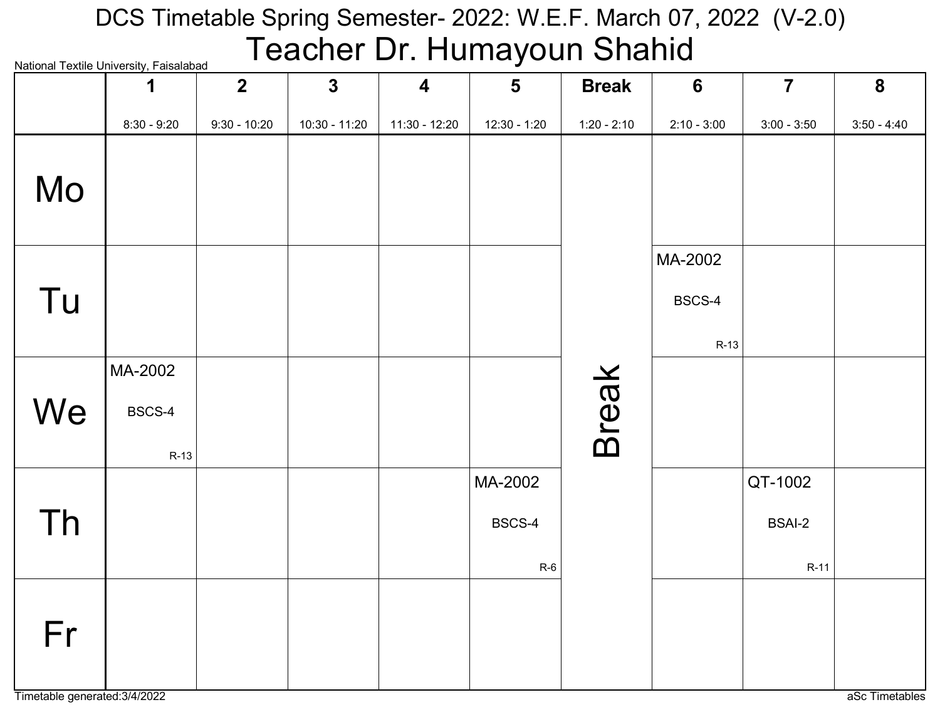#### National Textile University, Faisalabad DCS Timetable Spring Semester- 2022: W.E.F. March 07, 2022 (V-2.0) Teacher Dr. Humayoun Shahid

|    | National Textile Offiversity, Falsalabau<br>1 | $\overline{2}$ | $\mathbf{3}$    | $\overline{\mathbf{4}}$ | $5\phantom{1}$             | <b>Break</b>  | $6\phantom{1}6$             | $\overline{7}$                     | 8             |
|----|-----------------------------------------------|----------------|-----------------|-------------------------|----------------------------|---------------|-----------------------------|------------------------------------|---------------|
|    | $8:30 - 9:20$                                 | $9:30 - 10:20$ | $10:30 - 11:20$ | 11:30 - 12:20           | 12:30 - 1:20               | $1:20 - 2:10$ | $2:10 - 3:00$               | $3:00 - 3:50$                      | $3:50 - 4:40$ |
| Mo |                                               |                |                 |                         |                            |               |                             |                                    |               |
| Tu |                                               |                |                 |                         |                            |               | MA-2002<br>BSCS-4<br>$R-13$ |                                    |               |
| We | MA-2002<br>BSCS-4<br>$R-13$                   |                |                 |                         |                            | <b>Break</b>  |                             |                                    |               |
| Th |                                               |                |                 |                         | MA-2002<br>BSCS-4<br>$R-6$ |               |                             | QT-1002<br><b>BSAI-2</b><br>$R-11$ |               |
| Fr |                                               |                |                 |                         |                            |               |                             |                                    |               |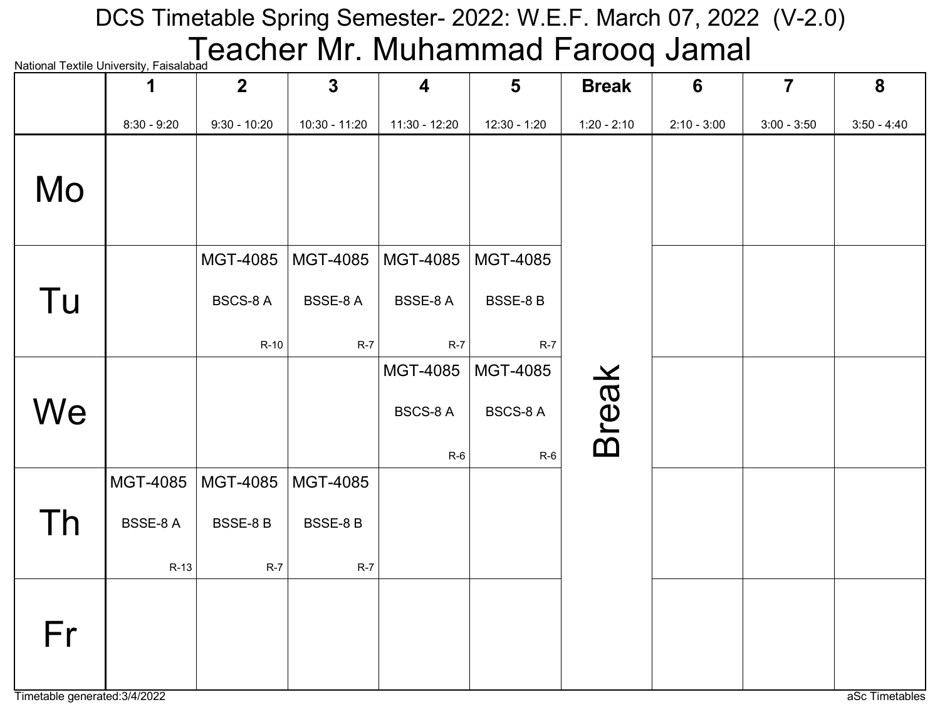# National Textile University, Faisalabad **Exacher Mr. Muhammad Farooq Jamal** DCS Timetable Spring Semester- 2022: W.E.F. March 07, 2022 (V-2.0)

|    | ivational TCAtilC Onliversity, I disdidibdu<br>1 | $\overline{2}$  | $\mathbf{3}$  | $\overline{\mathbf{4}}$ | $5\phantom{1}$  | <b>Break</b>  | $6\phantom{1}6$ | $\overline{7}$ | 8             |
|----|--------------------------------------------------|-----------------|---------------|-------------------------|-----------------|---------------|-----------------|----------------|---------------|
|    | $8:30 - 9:20$                                    | $9:30 - 10:20$  | 10:30 - 11:20 | 11:30 - 12:20           | 12:30 - 1:20    | $1:20 - 2:10$ | $2:10 - 3:00$   | $3:00 - 3:50$  | $3:50 - 4:40$ |
| Mo |                                                  |                 |               |                         |                 |               |                 |                |               |
|    |                                                  | MGT-4085        | MGT-4085      | MGT-4085                | MGT-4085        |               |                 |                |               |
| Tu |                                                  | <b>BSCS-8 A</b> | BSSE-8 A      | BSSE-8A                 | <b>BSSE-8B</b>  |               |                 |                |               |
|    |                                                  | $R-10$          | $R-7$         | $R-7$                   | $R-7$           |               |                 |                |               |
|    |                                                  |                 |               | MGT-4085                | MGT-4085        |               |                 |                |               |
| We |                                                  |                 |               | <b>BSCS-8 A</b>         | <b>BSCS-8 A</b> | <b>Break</b>  |                 |                |               |
|    |                                                  |                 |               | $R-6$                   | $R-6$           |               |                 |                |               |
|    | MGT-4085                                         | MGT-4085        | MGT-4085      |                         |                 |               |                 |                |               |
| Th | <b>BSSE-8A</b>                                   | <b>BSSE-8 B</b> | BSSE-8 B      |                         |                 |               |                 |                |               |
|    | $R-13$                                           | $R-7$           | $R-7$         |                         |                 |               |                 |                |               |
| Fr |                                                  |                 |               |                         |                 |               |                 |                |               |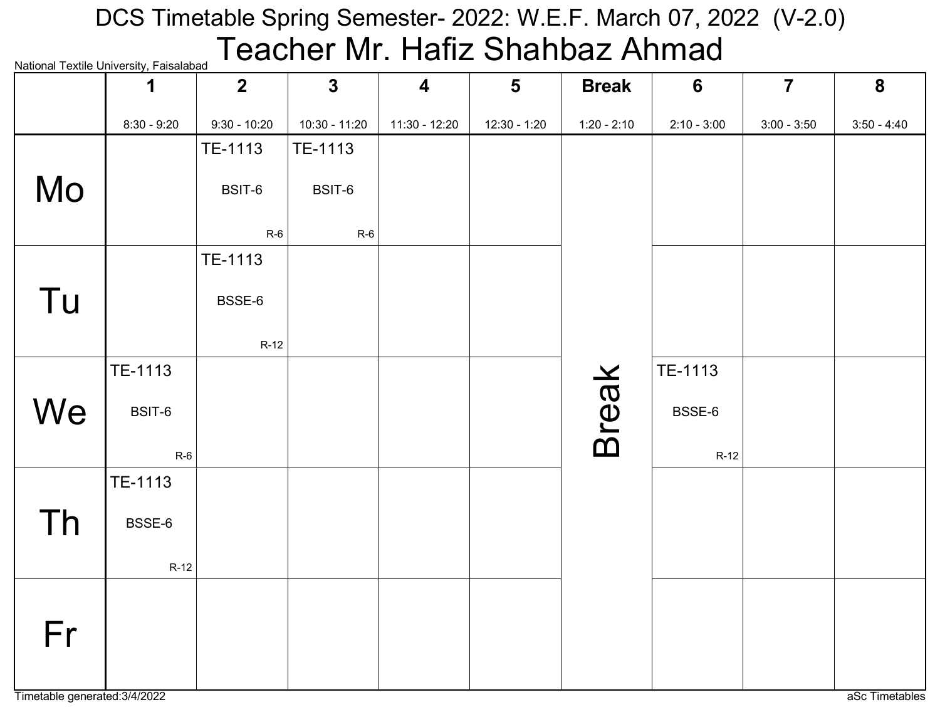# National Textile University, Faisalabad DCS Timetable Spring Semester- 2022: W.E.F. March 07, 2022 (V-2.0) Teacher Mr. Hafiz Shahbaz Ahmad

|    | <b>National Textile Officersity, Faisalabau</b><br>1 | $\overline{2}$ | $\mathbf{3}$    | $\overline{\mathbf{4}}$ | $5\phantom{1}$ | <b>Break</b>  | 6             | $\overline{7}$ | 8             |
|----|------------------------------------------------------|----------------|-----------------|-------------------------|----------------|---------------|---------------|----------------|---------------|
|    | $8:30 - 9:20$                                        | $9:30 - 10:20$ | $10:30 - 11:20$ | 11:30 - 12:20           | 12:30 - 1:20   | $1:20 - 2:10$ | $2:10 - 3:00$ | $3:00 - 3:50$  | $3:50 - 4:40$ |
|    |                                                      | TE-1113        | TE-1113         |                         |                |               |               |                |               |
| Mo |                                                      | BSIT-6         | BSIT-6          |                         |                |               |               |                |               |
|    |                                                      | $R-6$          | $R-6$           |                         |                |               |               |                |               |
|    |                                                      | TE-1113        |                 |                         |                |               |               |                |               |
| Tu |                                                      | BSSE-6         |                 |                         |                |               |               |                |               |
|    |                                                      | $R-12$         |                 |                         |                |               |               |                |               |
|    | TE-1113                                              |                |                 |                         |                |               | TE-1113       |                |               |
| We | BSIT-6                                               |                |                 |                         |                | <b>Break</b>  | BSSE-6        |                |               |
|    | $R-6$                                                |                |                 |                         |                |               | $R-12$        |                |               |
|    | TE-1113                                              |                |                 |                         |                |               |               |                |               |
| Th | BSSE-6                                               |                |                 |                         |                |               |               |                |               |
|    | $R-12$                                               |                |                 |                         |                |               |               |                |               |
| Fr |                                                      |                |                 |                         |                |               |               |                |               |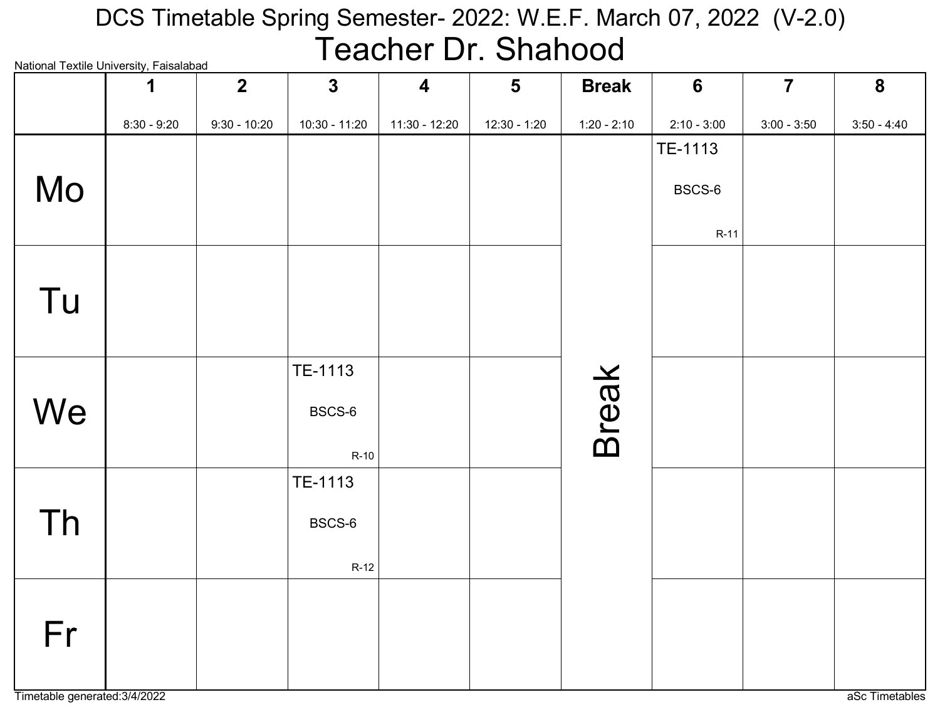#### National Textile University, Faisalabad DCS Timetable Spring Semester- 2022: W.E.F. March 07, 2022 (V-2.0) Teacher Dr. Shahood

| rational rextile University, I disdidudd | 1             | $2\overline{ }$ | $\mathbf{3}$  | $\overline{\mathbf{4}}$ | $5\phantom{1}$ | <b>Break</b>  | 6             | $\overline{7}$ | 8             |
|------------------------------------------|---------------|-----------------|---------------|-------------------------|----------------|---------------|---------------|----------------|---------------|
|                                          | $8:30 - 9:20$ | $9:30 - 10:20$  | 10:30 - 11:20 | 11:30 - 12:20           | $12:30 - 1:20$ | $1:20 - 2:10$ | $2:10 - 3:00$ | $3:00 - 3:50$  | $3:50 - 4:40$ |
|                                          |               |                 |               |                         |                |               | TE-1113       |                |               |
| Mo                                       |               |                 |               |                         |                |               | BSCS-6        |                |               |
|                                          |               |                 |               |                         |                |               |               |                |               |
|                                          |               |                 |               |                         |                |               | $R-11$        |                |               |
|                                          |               |                 |               |                         |                |               |               |                |               |
| Tu                                       |               |                 |               |                         |                |               |               |                |               |
|                                          |               |                 |               |                         |                |               |               |                |               |
|                                          |               |                 | TE-1113       |                         |                |               |               |                |               |
|                                          |               |                 |               |                         |                | <b>Break</b>  |               |                |               |
| We                                       |               |                 | BSCS-6        |                         |                |               |               |                |               |
|                                          |               |                 | $R-10$        |                         |                |               |               |                |               |
|                                          |               |                 | TE-1113       |                         |                |               |               |                |               |
| <b>Th</b>                                |               |                 | BSCS-6        |                         |                |               |               |                |               |
|                                          |               |                 |               |                         |                |               |               |                |               |
|                                          |               |                 | $R-12$        |                         |                |               |               |                |               |
|                                          |               |                 |               |                         |                |               |               |                |               |
| Fr                                       |               |                 |               |                         |                |               |               |                |               |
|                                          |               |                 |               |                         |                |               |               |                |               |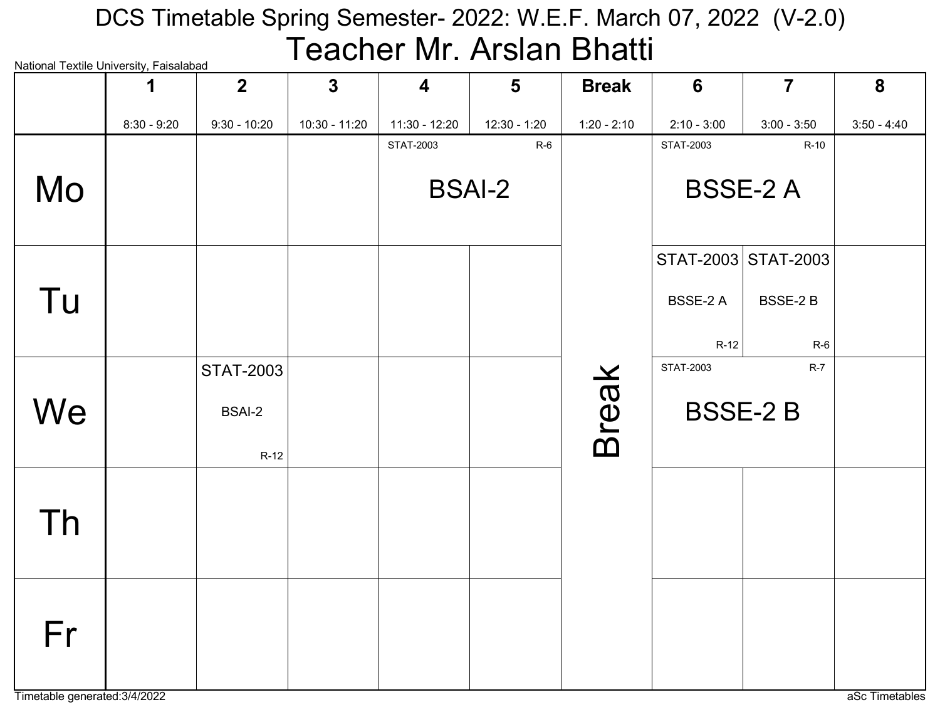# National Textile University, Faisalabad DCS Timetable Spring Semester- 2022: W.E.F. March 07, 2022 (V-2.0) Teacher Mr. Arslan Bhatti

| rational rextile onlivereity, i disdidibad | 1             | 2 <sup>2</sup> | $\mathbf{3}$    | $\overline{\mathbf{4}}$ | $5\phantom{1}$ | <b>Break</b>  | 6                | $\overline{7}$      | 8             |
|--------------------------------------------|---------------|----------------|-----------------|-------------------------|----------------|---------------|------------------|---------------------|---------------|
|                                            | $8:30 - 9:20$ | $9:30 - 10:20$ | $10:30 - 11:20$ | $11:30 - 12:20$         | 12:30 - 1:20   | $1:20 - 2:10$ | $2:10 - 3:00$    | $3:00 - 3:50$       | $3:50 - 4:40$ |
|                                            |               |                |                 | <b>STAT-2003</b>        | $R-6$          |               | <b>STAT-2003</b> | $R-10$              |               |
| Mo                                         |               |                |                 |                         | <b>BSAI-2</b>  |               |                  | <b>BSSE-2 A</b>     |               |
|                                            |               |                |                 |                         |                |               |                  | STAT-2003 STAT-2003 |               |
| Tu                                         |               |                |                 |                         |                |               | <b>BSSE-2 A</b>  | BSSE-2B             |               |
|                                            |               |                |                 |                         |                |               | $R-12$           | $R-6$               |               |
|                                            |               | STAT-2003      |                 |                         |                |               | <b>STAT-2003</b> | $R-7$               |               |
| We                                         |               | <b>BSAI-2</b>  |                 |                         |                | <b>Break</b>  |                  | <b>BSSE-2B</b>      |               |
|                                            |               | $R-12$         |                 |                         |                |               |                  |                     |               |
|                                            |               |                |                 |                         |                |               |                  |                     |               |
| Th                                         |               |                |                 |                         |                |               |                  |                     |               |
|                                            |               |                |                 |                         |                |               |                  |                     |               |
|                                            |               |                |                 |                         |                |               |                  |                     |               |
| Fr                                         |               |                |                 |                         |                |               |                  |                     |               |
|                                            |               |                |                 |                         |                |               |                  |                     |               |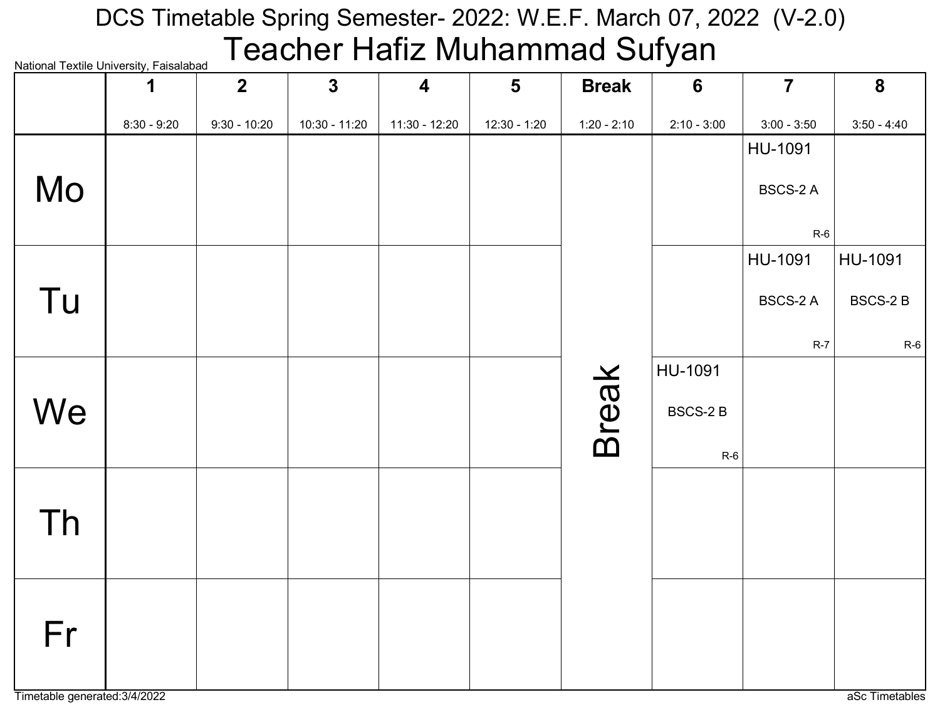# National Textile University, Faisalabad DCS Timetable Spring Semester- 2022: W.E.F. March 07, 2022 (V-2.0) Teacher Hafiz Muhammad Sufyan

| <b>National Textile Officersity, Faisalabau</b> | 1             | $\overline{2}$ | $\mathbf{3}$  | 4             | $5\phantom{1}$ | <b>Break</b>  | $6\phantom{1}6$ | $\overline{7}$  | 8              |
|-------------------------------------------------|---------------|----------------|---------------|---------------|----------------|---------------|-----------------|-----------------|----------------|
|                                                 | $8:30 - 9:20$ | $9:30 - 10:20$ | 10:30 - 11:20 | 11:30 - 12:20 | 12:30 - 1:20   | $1:20 - 2:10$ | $2:10 - 3:00$   | $3:00 - 3:50$   | $3:50 - 4:40$  |
|                                                 |               |                |               |               |                |               |                 | HU-1091         |                |
| Mo                                              |               |                |               |               |                |               |                 | BSCS-2 A        |                |
|                                                 |               |                |               |               |                |               |                 |                 |                |
|                                                 |               |                |               |               |                |               |                 | $R-6$           |                |
|                                                 |               |                |               |               |                |               |                 | HU-1091         | HU-1091        |
| Tu                                              |               |                |               |               |                |               |                 | <b>BSCS-2 A</b> | <b>BSCS-2B</b> |
|                                                 |               |                |               |               |                |               |                 | $R-7$           | $R-6$          |
|                                                 |               |                |               |               |                |               | HU-1091         |                 |                |
|                                                 |               |                |               |               |                | <b>Break</b>  |                 |                 |                |
| We                                              |               |                |               |               |                |               | <b>BSCS-2B</b>  |                 |                |
|                                                 |               |                |               |               |                |               | $R-6$           |                 |                |
|                                                 |               |                |               |               |                |               |                 |                 |                |
| Th                                              |               |                |               |               |                |               |                 |                 |                |
|                                                 |               |                |               |               |                |               |                 |                 |                |
|                                                 |               |                |               |               |                |               |                 |                 |                |
|                                                 |               |                |               |               |                |               |                 |                 |                |
| Fr                                              |               |                |               |               |                |               |                 |                 |                |
|                                                 |               |                |               |               |                |               |                 |                 |                |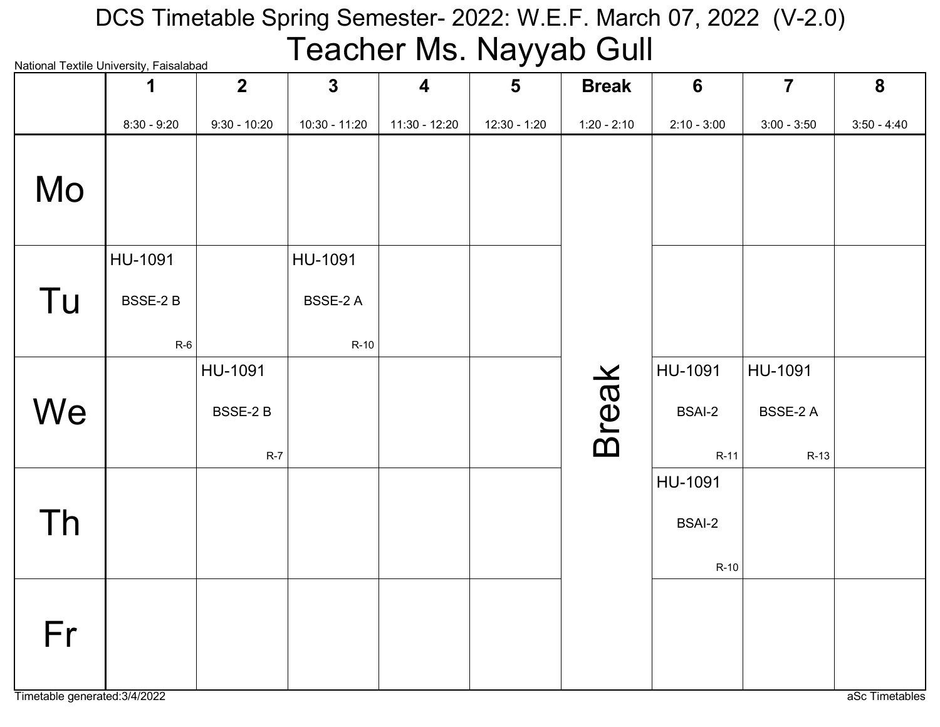# National Textile University, Faisalabad DCS Timetable Spring Semester- 2022: W.E.F. March 07, 2022 (V-2.0) Teacher Ms. Nayyab Gull

|    | INQUOTIQI TEXUIE OTIIVEI SILY, I QISQIQDQU<br>1 | $\overline{2}$ | $\mathbf{3}$    | $\overline{\mathbf{4}}$ | $5\phantom{1}$ | <b>Break</b>  | 6             | $\overline{7}$  | 8             |
|----|-------------------------------------------------|----------------|-----------------|-------------------------|----------------|---------------|---------------|-----------------|---------------|
|    | $8:30 - 9:20$                                   | $9:30 - 10:20$ | $10:30 - 11:20$ | 11:30 - 12:20           | $12:30 - 1:20$ | $1:20 - 2:10$ | $2:10 - 3:00$ | $3:00 - 3:50$   | $3:50 - 4:40$ |
| Mo |                                                 |                |                 |                         |                |               |               |                 |               |
|    | HU-1091                                         |                | HU-1091         |                         |                |               |               |                 |               |
| Tu | <b>BSSE-2B</b>                                  |                | <b>BSSE-2 A</b> |                         |                |               |               |                 |               |
|    | $R-6$                                           |                | $R-10$          |                         |                |               |               |                 |               |
|    |                                                 | HU-1091        |                 |                         |                |               | HU-1091       | HU-1091         |               |
| We |                                                 | BSSE-2B        |                 |                         |                | <b>Break</b>  | <b>BSAI-2</b> | <b>BSSE-2 A</b> |               |
|    |                                                 | $R-7$          |                 |                         |                |               | $R-11$        | $R-13$          |               |
|    |                                                 |                |                 |                         |                |               | HU-1091       |                 |               |
| Th |                                                 |                |                 |                         |                |               | <b>BSAI-2</b> |                 |               |
|    |                                                 |                |                 |                         |                |               | $R-10$        |                 |               |
| Fr |                                                 |                |                 |                         |                |               |               |                 |               |
|    |                                                 |                |                 |                         |                |               |               |                 |               |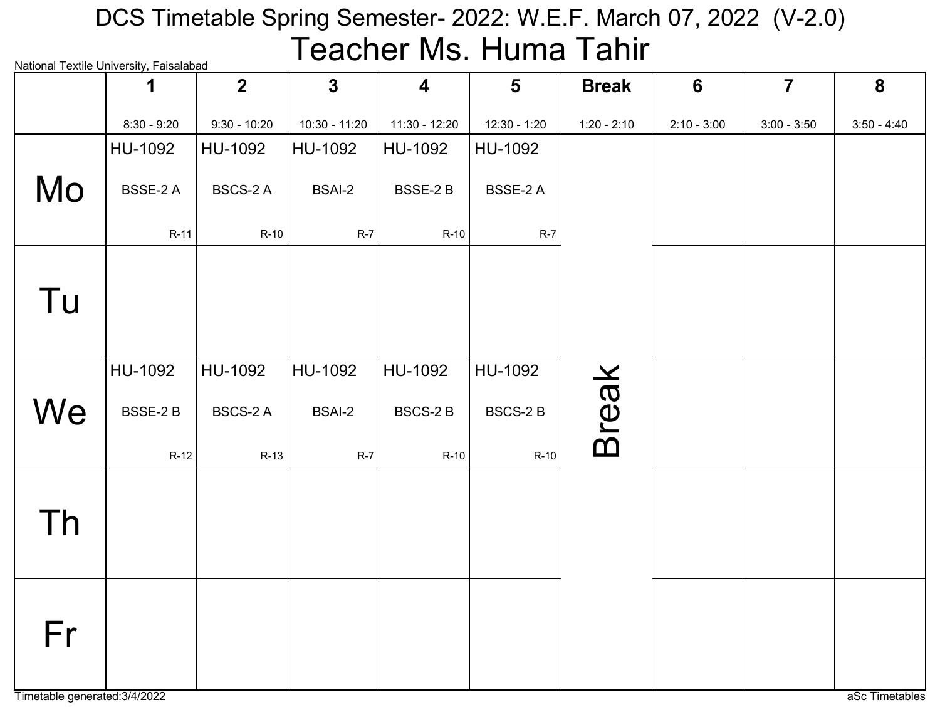# National Textile University, Faisalabad DCS Timetable Spring Semester- 2022: W.E.F. March 07, 2022 (V-2.0) Teacher Ms. Huma Tahir

|    | rational rextile onlivereity, i disdididad<br>1 | $\overline{2}$  | $\mathbf{3}$    | $\overline{\mathbf{4}}$ | $5\phantom{1}$  | <b>Break</b>  | $6\phantom{1}6$ | $\overline{7}$ | 8             |
|----|-------------------------------------------------|-----------------|-----------------|-------------------------|-----------------|---------------|-----------------|----------------|---------------|
|    | $8:30 - 9:20$                                   | $9:30 - 10:20$  | $10:30 - 11:20$ | 11:30 - 12:20           | 12:30 - 1:20    | $1:20 - 2:10$ | $2:10 - 3:00$   | $3:00 - 3:50$  | $3:50 - 4:40$ |
|    | HU-1092                                         | HU-1092         | HU-1092         | HU-1092                 | HU-1092         |               |                 |                |               |
| Mo | BSSE-2 A                                        | <b>BSCS-2 A</b> | <b>BSAI-2</b>   | BSSE-2 B                | <b>BSSE-2 A</b> |               |                 |                |               |
|    | $R-11$                                          | $R-10$          | $R-7$           | $R-10$                  | $R-7$           |               |                 |                |               |
| Tu |                                                 |                 |                 |                         |                 |               |                 |                |               |
|    | HU-1092                                         | HU-1092         | HU-1092         | HU-1092                 | HU-1092         |               |                 |                |               |
| We | <b>BSSE-2B</b>                                  | <b>BSCS-2 A</b> | <b>BSAI-2</b>   | <b>BSCS-2B</b>          | <b>BSCS-2B</b>  | <b>Break</b>  |                 |                |               |
|    | $R-12$                                          | $R-13$          | $R-7$           | $R-10$                  | $R-10$          |               |                 |                |               |
| Th |                                                 |                 |                 |                         |                 |               |                 |                |               |
| Fr |                                                 |                 |                 |                         |                 |               |                 |                |               |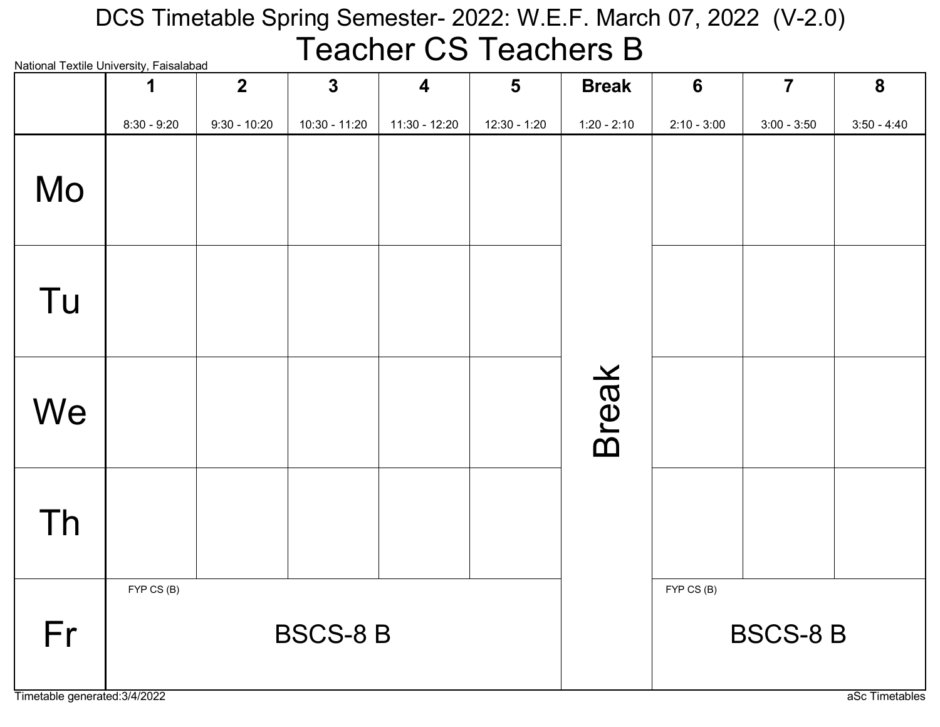#### National Textile University, Faisalabad DCS Timetable Spring Semester- 2022: W.E.F. March 07, 2022 (V-2.0) Teacher CS Teachers B

| National Textile University, Falsalabad | 1             | $\overline{2}$ | $\mathbf{3}$    | $\overline{\mathbf{4}}$ | $5\phantom{1}$ | <b>Break</b>  | $6\phantom{1}$ | $\overline{7}$  | $\boldsymbol{8}$ |
|-----------------------------------------|---------------|----------------|-----------------|-------------------------|----------------|---------------|----------------|-----------------|------------------|
|                                         | $8:30 - 9:20$ | $9:30 - 10:20$ | 10:30 - 11:20   | 11:30 - 12:20           | $12:30 - 1:20$ | $1:20 - 2:10$ | $2:10 - 3:00$  | $3:00 - 3:50$   | $3:50 - 4:40$    |
| Mo                                      |               |                |                 |                         |                |               |                |                 |                  |
| Tu                                      |               |                |                 |                         |                |               |                |                 |                  |
| We                                      |               |                |                 |                         |                | <b>Break</b>  |                |                 |                  |
| Th                                      |               |                |                 |                         |                |               |                |                 |                  |
| Fr                                      | FYP CS (B)    |                | <b>BSCS-8 B</b> |                         |                |               | FYP CS (B)     | <b>BSCS-8 B</b> |                  |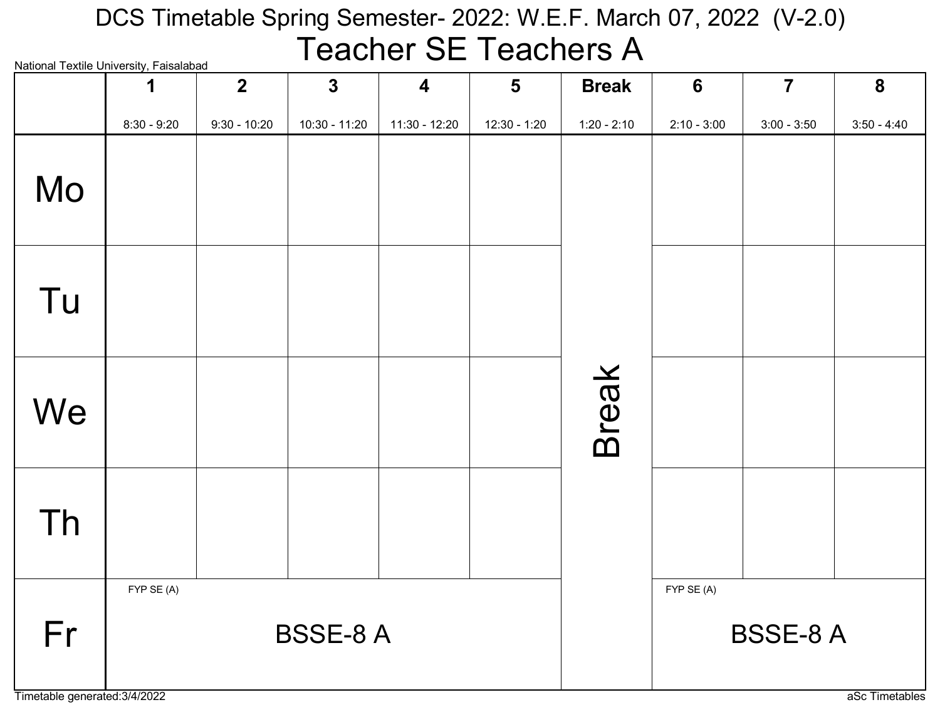#### National Textile University, Faisalabad DCS Timetable Spring Semester- 2022: W.E.F. March 07, 2022 (V-2.0) Teacher SE Teachers A

| National Textile University, Falsalabad | 1             | $\overline{2}$ | $\mathbf{3}$    | $\overline{\mathbf{4}}$ | $5\phantom{1}$ | <b>Break</b>  | 6             | $\overline{7}$  | $\boldsymbol{8}$ |
|-----------------------------------------|---------------|----------------|-----------------|-------------------------|----------------|---------------|---------------|-----------------|------------------|
|                                         | $8:30 - 9:20$ | $9:30 - 10:20$ | 10:30 - 11:20   | 11:30 - 12:20           | $12:30 - 1:20$ | $1:20 - 2:10$ | $2:10 - 3:00$ | $3:00 - 3:50$   | $3:50 - 4:40$    |
| Mo                                      |               |                |                 |                         |                |               |               |                 |                  |
| Tu                                      |               |                |                 |                         |                |               |               |                 |                  |
| We                                      |               |                |                 |                         |                | <b>Break</b>  |               |                 |                  |
| Th                                      |               |                |                 |                         |                |               |               |                 |                  |
| Fr                                      | FYP SE (A)    |                | <b>BSSE-8 A</b> |                         |                |               | FYP SE (A)    | <b>BSSE-8 A</b> |                  |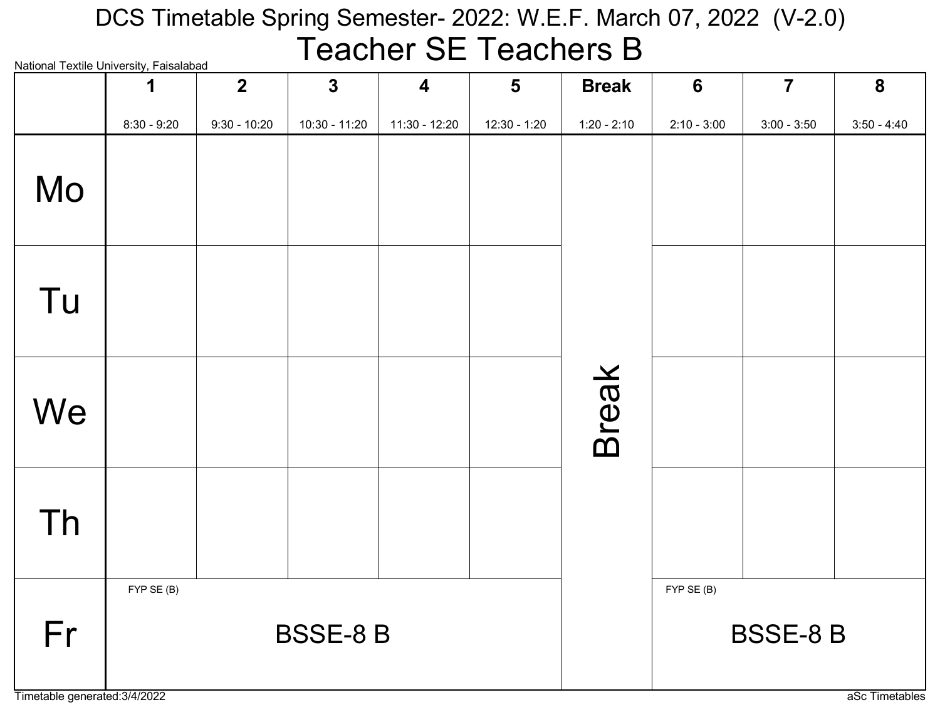#### National Textile University, Faisalabad DCS Timetable Spring Semester- 2022: W.E.F. March 07, 2022 (V-2.0) Teacher SE Teachers B

| National Textile University, Falsalabad | 1             | $\overline{2}$ | $\mathbf{3}$    | $\overline{\mathbf{4}}$ | $5\phantom{1}$ | <b>Break</b>  | $6\phantom{1}6$ | $\overline{7}$ | $\boldsymbol{8}$ |
|-----------------------------------------|---------------|----------------|-----------------|-------------------------|----------------|---------------|-----------------|----------------|------------------|
|                                         | $8:30 - 9:20$ | $9:30 - 10:20$ | 10:30 - 11:20   | 11:30 - 12:20           | $12:30 - 1:20$ | $1:20 - 2:10$ | $2:10 - 3:00$   | $3:00 - 3:50$  | $3:50 - 4:40$    |
| Mo                                      |               |                |                 |                         |                |               |                 |                |                  |
| Tu                                      |               |                |                 |                         |                |               |                 |                |                  |
| We                                      |               |                |                 |                         |                | <b>Break</b>  |                 |                |                  |
| Th                                      |               |                |                 |                         |                |               |                 |                |                  |
| Fr                                      | FYP SE (B)    |                | <b>BSSE-8 B</b> |                         |                |               | FYP SE (B)      | <b>BSSE-8B</b> |                  |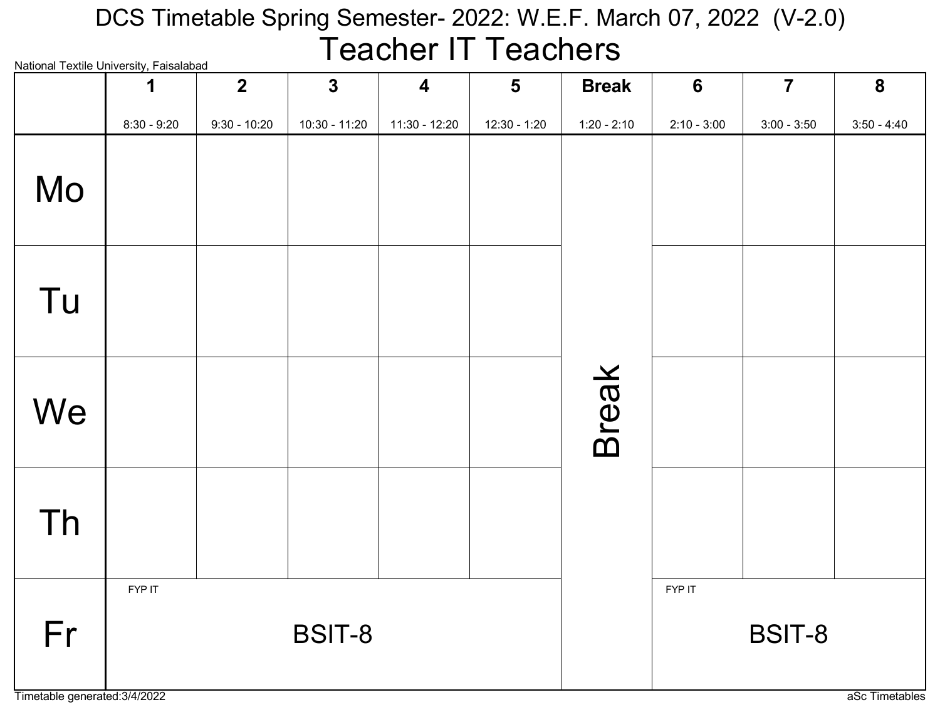# DCS Timetable Spring Semester- 2022: W.E.F. March 07, 2022 (V-2.0) Teacher IT Teachers

| <b>National Textile University, Faisalabad</b> |               | $\overline{2}$ | $\mathbf{3}$  | $\overline{\mathbf{4}}$ | $\overline{\mathbf{5}}$ | <b>Break</b>  | $6\phantom{1}$ | $\overline{7}$ | $\boldsymbol{8}$ |
|------------------------------------------------|---------------|----------------|---------------|-------------------------|-------------------------|---------------|----------------|----------------|------------------|
|                                                | $8:30 - 9:20$ | $9:30 - 10:20$ | 10:30 - 11:20 | 11:30 - 12:20           | 12:30 - 1:20            | $1:20 - 2:10$ | $2:10 - 3:00$  | $3:00 - 3:50$  | $3:50 - 4:40$    |
| Mo                                             |               |                |               |                         |                         |               |                |                |                  |
| Tu                                             |               |                |               |                         |                         |               |                |                |                  |
| We                                             |               |                |               |                         |                         | <b>Break</b>  |                |                |                  |
| Th                                             |               |                |               |                         |                         |               |                |                |                  |
| Fr                                             | FYP IT        |                | <b>BSIT-8</b> |                         |                         |               | FYP IT         | <b>BSIT-8</b>  |                  |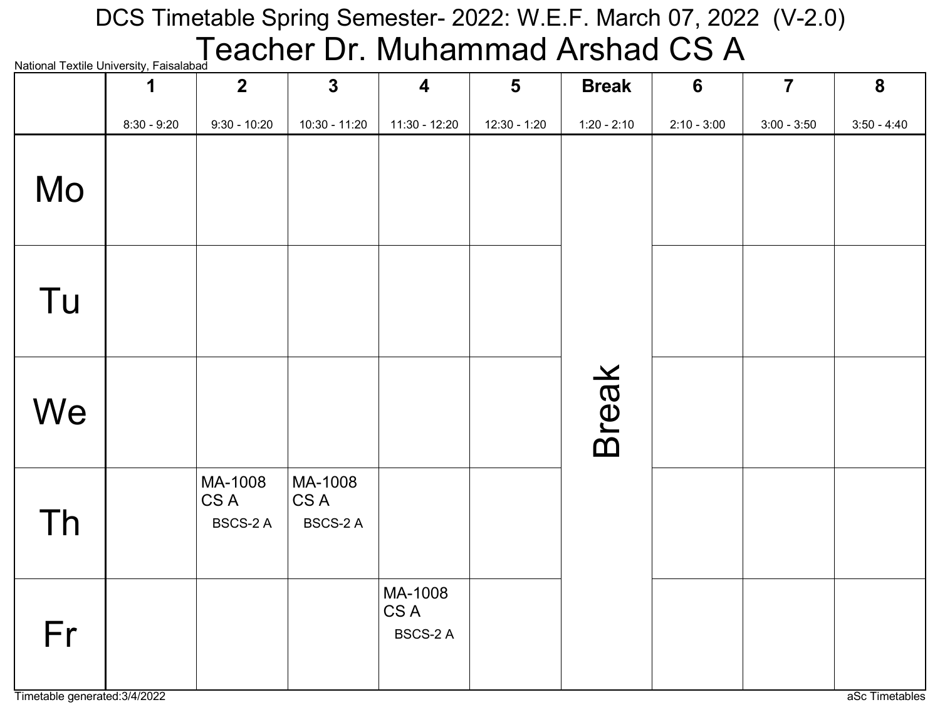# $\sum_{\mathsf{National Textile University, Faisalabad}}$  <code>Textile University, Faisalabad</code>  $\operatorname{\mathsf{Class}}$ DCS Timetable Spring Semester- 2022: W.E.F. March 07, 2022 (V-2.0)

| National Textile Offiversity, Faisalabau | $\mathbf 1$   | $\overline{2}$                     | $\mathbf{3}$                       | $\overline{\mathbf{4}}$            | $5\phantom{1}$ | <b>Break</b>  | $6\phantom{1}$ | $\overline{7}$ | 8             |
|------------------------------------------|---------------|------------------------------------|------------------------------------|------------------------------------|----------------|---------------|----------------|----------------|---------------|
|                                          | $8:30 - 9:20$ | $9:30 - 10:20$                     | 10:30 - 11:20                      | 11:30 - 12:20                      | $12:30 - 1:20$ | $1:20 - 2:10$ | $2:10 - 3:00$  | $3:00 - 3:50$  | $3:50 - 4:40$ |
| Mo                                       |               |                                    |                                    |                                    |                |               |                |                |               |
| Tu                                       |               |                                    |                                    |                                    |                |               |                |                |               |
| We                                       |               |                                    |                                    |                                    |                | <b>Break</b>  |                |                |               |
| Th                                       |               | MA-1008<br>CS A<br><b>BSCS-2 A</b> | MA-1008<br>CS A<br><b>BSCS-2 A</b> |                                    |                |               |                |                |               |
| Fr                                       |               |                                    |                                    | MA-1008<br>CS A<br><b>BSCS-2 A</b> |                |               |                |                |               |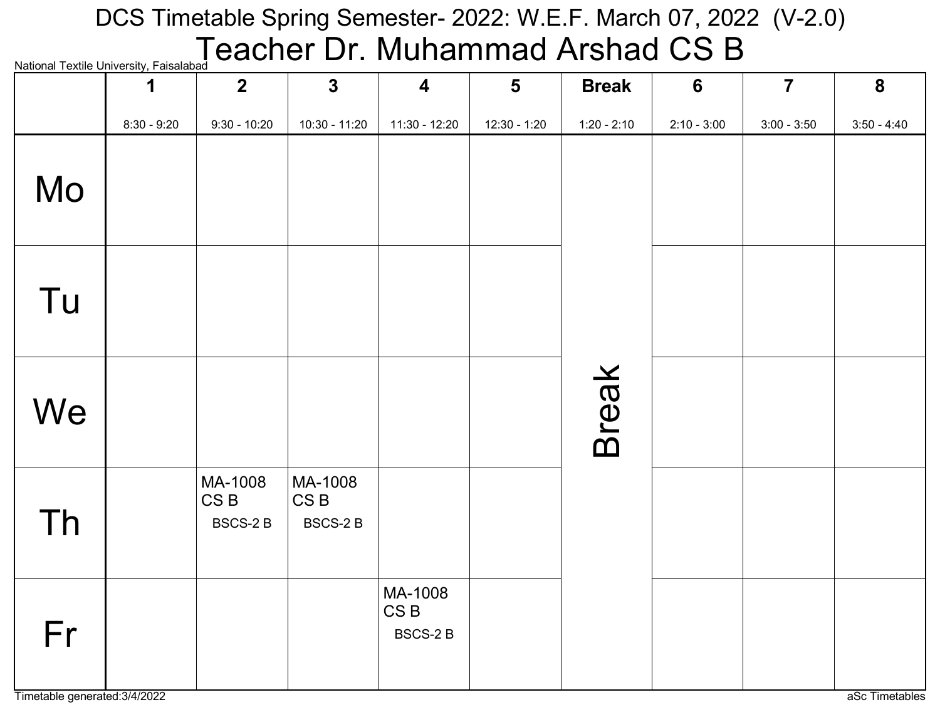# $\sum_{\mathsf{National Textile University, Faisalabad}}$  <code>Textile University, Faisalabad</code>  $\mathsf{CSB}$ DCS Timetable Spring Semester- 2022: W.E.F. March 07, 2022 (V-2.0)

| <b>National TCALIC Onliversity, I disdidudd</b> | 1             | 2 <sup>2</sup>                               | $\mathbf{3}$                                  | $\overline{\mathbf{4}}$                      | $5\phantom{1}$ | <b>Break</b>  | 6             | $\overline{7}$ | 8             |
|-------------------------------------------------|---------------|----------------------------------------------|-----------------------------------------------|----------------------------------------------|----------------|---------------|---------------|----------------|---------------|
|                                                 | $8:30 - 9:20$ | $9:30 - 10:20$                               | 10:30 - 11:20                                 | 11:30 - 12:20                                | $12:30 - 1:20$ | $1:20 - 2:10$ | $2:10 - 3:00$ | $3:00 - 3:50$  | $3:50 - 4:40$ |
| Mo                                              |               |                                              |                                               |                                              |                |               |               |                |               |
| Tu                                              |               |                                              |                                               |                                              |                |               |               |                |               |
| We                                              |               |                                              |                                               |                                              |                | <b>Break</b>  |               |                |               |
| Th                                              |               | MA-1008<br>CS <sub>B</sub><br><b>BSCS-2B</b> | MA-1008<br>CS <sub>B</sub><br><b>BSCS-2 B</b> |                                              |                |               |               |                |               |
| Fr                                              |               |                                              |                                               | MA-1008<br>CS <sub>B</sub><br><b>BSCS-2B</b> |                |               |               |                |               |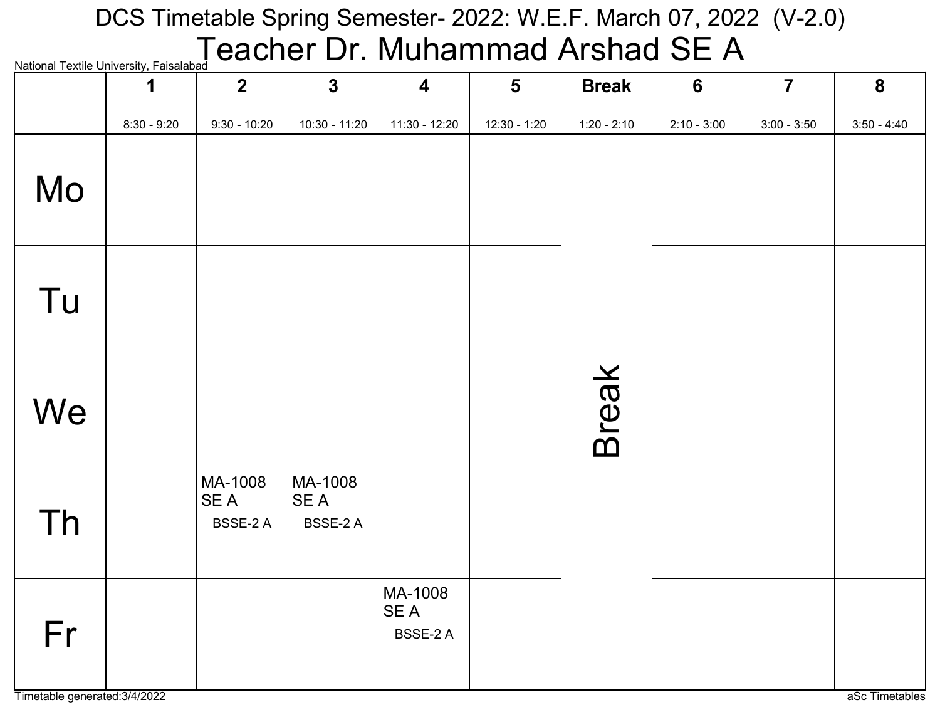### National Textile University, Fa DCS Timetable Spring Semester- 2022: W.E.F. March 07, 2022 (V-2.0) Teacher Dr. Muhammad Arshad SE A

| <b>INQUUTIQI TEALIIC UTIIVEISILY, I QISQIQDQU</b> | 1             | 2 <sup>1</sup>              | $\mathbf{3}$                       | $\overline{\mathbf{4}}$            | $5\phantom{1}$ | <b>Break</b>  | 6             | $\overline{7}$ | 8             |
|---------------------------------------------------|---------------|-----------------------------|------------------------------------|------------------------------------|----------------|---------------|---------------|----------------|---------------|
|                                                   | $8:30 - 9:20$ | $9:30 - 10:20$              | 10:30 - 11:20                      | $11:30 - 12:20$                    | 12:30 - 1:20   | $1:20 - 2:10$ | $2:10 - 3:00$ | $3:00 - 3:50$  | $3:50 - 4:40$ |
| Mo                                                |               |                             |                                    |                                    |                |               |               |                |               |
| Tu                                                |               |                             |                                    |                                    |                |               |               |                |               |
| We                                                |               |                             |                                    |                                    |                | <b>Break</b>  |               |                |               |
| Th                                                |               | MA-1008<br>SE A<br>BSSE-2 A | MA-1008<br>SE A<br><b>BSSE-2 A</b> |                                    |                |               |               |                |               |
| Fr                                                |               |                             |                                    | MA-1008<br>SE A<br><b>BSSE-2 A</b> |                |               |               |                |               |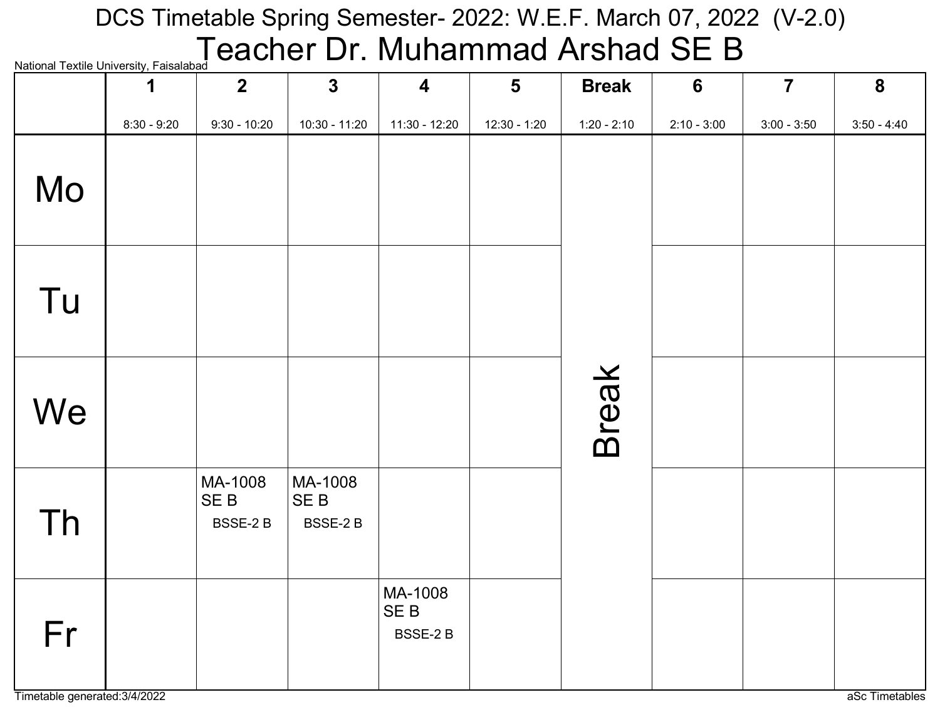# National Textile University, Faisalabad **Cacher Dr. Muhammad Arshad SE B** DCS Timetable Spring Semester- 2022: W.E.F. March 07, 2022 (V-2.0)

| National Textile Offiversity, Faisalabau | 1             | $\overline{2}$                         | $\mathbf{3}$                          | $\overline{\mathbf{4}}$                      | $5\phantom{1}$ | <b>Break</b>  | $6\phantom{1}$ | $\overline{7}$ | 8             |
|------------------------------------------|---------------|----------------------------------------|---------------------------------------|----------------------------------------------|----------------|---------------|----------------|----------------|---------------|
|                                          | $8:30 - 9:20$ | $9:30 - 10:20$                         | 10:30 - 11:20                         | 11:30 - 12:20                                | $12:30 - 1:20$ | $1:20 - 2:10$ | $2:10 - 3:00$  | $3:00 - 3:50$  | $3:50 - 4:40$ |
| Mo                                       |               |                                        |                                       |                                              |                |               |                |                |               |
| Tu                                       |               |                                        |                                       |                                              |                |               |                |                |               |
| We                                       |               |                                        |                                       |                                              |                | <b>Break</b>  |                |                |               |
| Th                                       |               | MA-1008<br>SE <sub>B</sub><br>BSSE-2 B | MA-1008<br>SE <sub>B</sub><br>BSSE-2B |                                              |                |               |                |                |               |
| Fr                                       |               |                                        |                                       | MA-1008<br>SE <sub>B</sub><br><b>BSSE-2B</b> |                |               |                |                |               |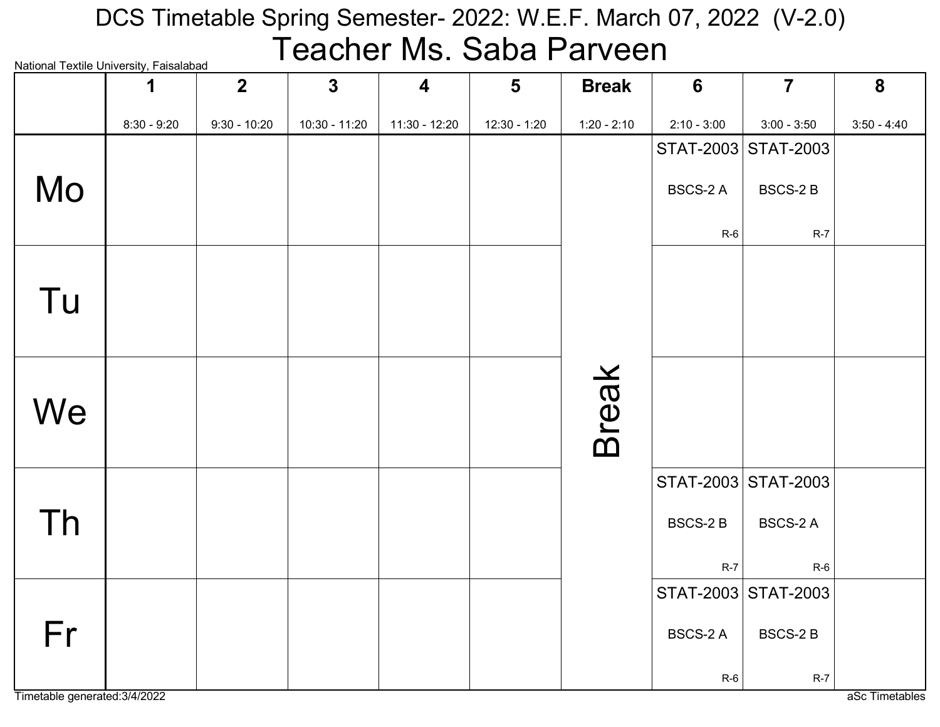# National Textile University, Faisalabad DCS Timetable Spring Semester- 2022: W.E.F. March 07, 2022 (V-2.0) Teacher Ms. Saba Parveen

|    | radional Textile Onliversity, I alsalabad<br>1 | $\overline{2}$ | $\mathbf{3}$  | $\overline{\mathbf{4}}$ | $5\phantom{1}$ | <b>Break</b>  | $6\phantom{1}6$ | $\overline{7}$      | 8             |
|----|------------------------------------------------|----------------|---------------|-------------------------|----------------|---------------|-----------------|---------------------|---------------|
|    | $8:30 - 9:20$                                  | $9:30 - 10:20$ | 10:30 - 11:20 | 11:30 - 12:20           | 12:30 - 1:20   | $1:20 - 2:10$ | $2:10 - 3:00$   | $3:00 - 3:50$       | $3:50 - 4:40$ |
|    |                                                |                |               |                         |                |               |                 | STAT-2003 STAT-2003 |               |
| Mo |                                                |                |               |                         |                |               | <b>BSCS-2 A</b> | <b>BSCS-2 B</b>     |               |
|    |                                                |                |               |                         |                |               | $R-6$           | $R-7$               |               |
|    |                                                |                |               |                         |                |               |                 |                     |               |
| Tu |                                                |                |               |                         |                |               |                 |                     |               |
|    |                                                |                |               |                         |                |               |                 |                     |               |
|    |                                                |                |               |                         |                |               |                 |                     |               |
|    |                                                |                |               |                         |                | <b>Break</b>  |                 |                     |               |
| We |                                                |                |               |                         |                |               |                 |                     |               |
|    |                                                |                |               |                         |                |               |                 |                     |               |
|    |                                                |                |               |                         |                |               |                 | STAT-2003 STAT-2003 |               |
| Th |                                                |                |               |                         |                |               | <b>BSCS-2B</b>  | <b>BSCS-2 A</b>     |               |
|    |                                                |                |               |                         |                |               |                 |                     |               |
|    |                                                |                |               |                         |                |               | $R-7$           | $R-6$               |               |
|    |                                                |                |               |                         |                |               |                 | STAT-2003 STAT-2003 |               |
| Fr |                                                |                |               |                         |                |               | <b>BSCS-2 A</b> | <b>BSCS-2B</b>      |               |
|    |                                                |                |               |                         |                |               | $R-6$           | $R-7$               |               |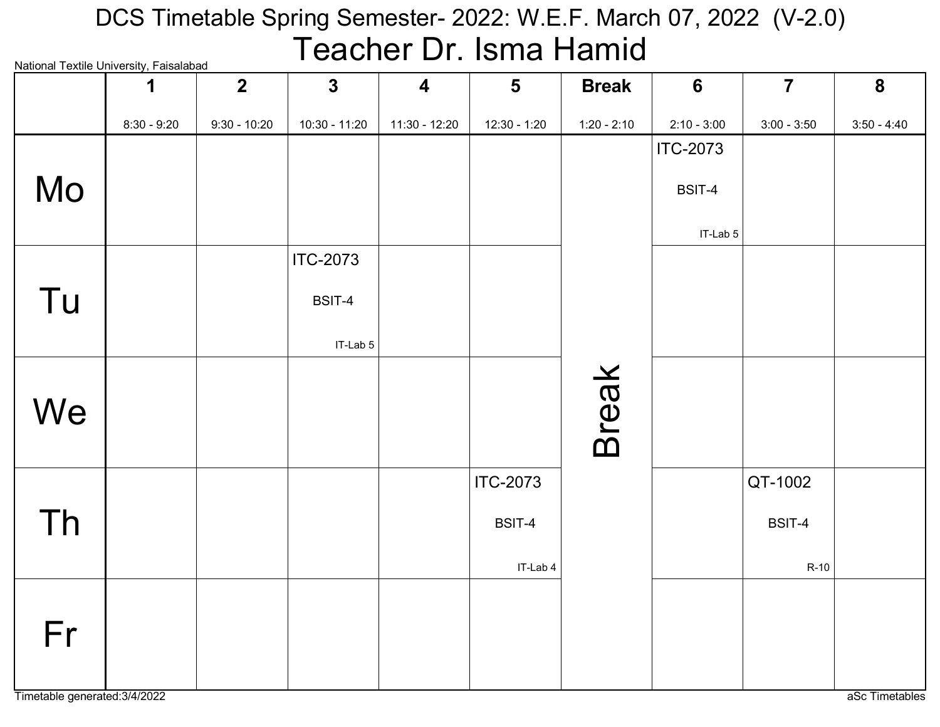#### National Textile University, Faisalabad DCS Timetable Spring Semester- 2022: W.E.F. March 07, 2022 (V-2.0) Teacher Dr. Isma Hamid

| INQUUIQI TEXUIE UHIVEISILY, I QISQIQDQU | 1             | $\overline{2}$ | $\mathbf{3}$    | $\overline{\mathbf{4}}$ | $5\phantom{1}$  | <b>Break</b>  | $6\phantom{1}$  | $\overline{7}$ | $\boldsymbol{8}$ |
|-----------------------------------------|---------------|----------------|-----------------|-------------------------|-----------------|---------------|-----------------|----------------|------------------|
|                                         | $8:30 - 9:20$ | $9:30 - 10:20$ | 10:30 - 11:20   | 11:30 - 12:20           | $12:30 - 1:20$  | $1:20 - 2:10$ | $2:10 - 3:00$   | $3:00 - 3:50$  | $3:50 - 4:40$    |
|                                         |               |                |                 |                         |                 |               | <b>ITC-2073</b> |                |                  |
| Mo                                      |               |                |                 |                         |                 |               | BSIT-4          |                |                  |
|                                         |               |                |                 |                         |                 |               | IT-Lab 5        |                |                  |
|                                         |               |                | <b>ITC-2073</b> |                         |                 |               |                 |                |                  |
| Tu                                      |               |                | BSIT-4          |                         |                 |               |                 |                |                  |
|                                         |               |                | IT-Lab 5        |                         |                 |               |                 |                |                  |
|                                         |               |                |                 |                         |                 |               |                 |                |                  |
| We                                      |               |                |                 |                         |                 |               |                 |                |                  |
|                                         |               |                |                 |                         |                 | <b>Break</b>  |                 |                |                  |
|                                         |               |                |                 |                         | <b>ITC-2073</b> |               |                 | QT-1002        |                  |
| Th                                      |               |                |                 |                         | BSIT-4          |               |                 | BSIT-4         |                  |
|                                         |               |                |                 |                         | IT-Lab 4        |               |                 | $R-10$         |                  |
|                                         |               |                |                 |                         |                 |               |                 |                |                  |
| Fr                                      |               |                |                 |                         |                 |               |                 |                |                  |
|                                         |               |                |                 |                         |                 |               |                 |                |                  |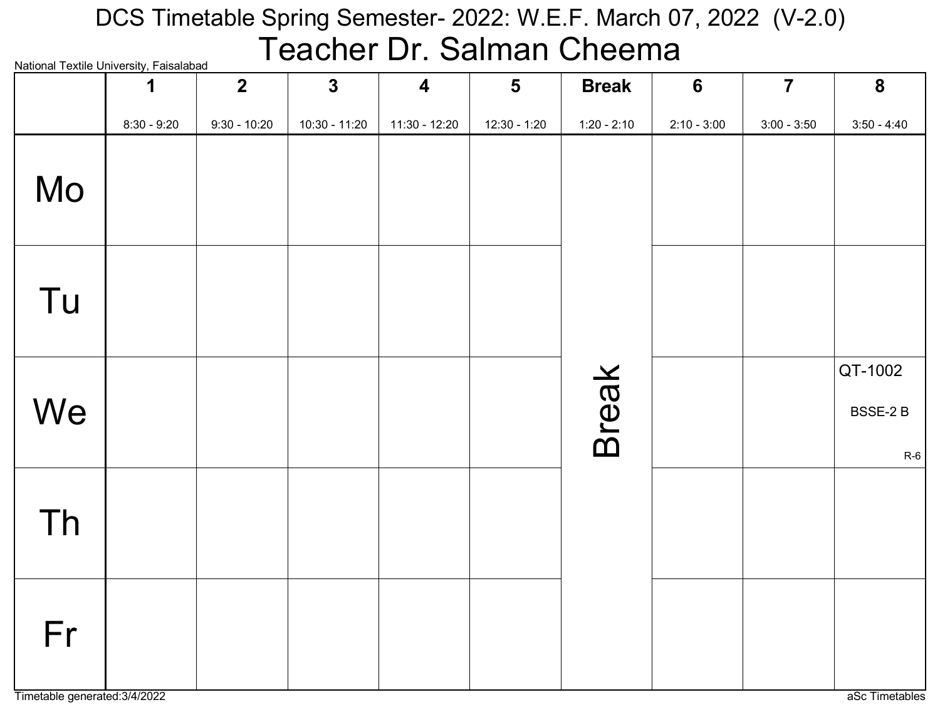### National Textile University, Faisalabad DCS Timetable Spring Semester- 2022: W.E.F. March 07, 2022 (V-2.0) Teacher Dr. Salman Cheema

| National Textile University, Falsalabad | 1             | $2\overline{ }$ | $\mathbf{3}$  | $\overline{\mathbf{4}}$ | $5\phantom{1}$ | <b>Break</b>  | $6\phantom{1}6$ | $\overline{\mathbf{7}}$ | $\boldsymbol{8}$             |
|-----------------------------------------|---------------|-----------------|---------------|-------------------------|----------------|---------------|-----------------|-------------------------|------------------------------|
|                                         | $8:30 - 9:20$ | $9:30 - 10:20$  | 10:30 - 11:20 | $11:30 - 12:20$         | $12:30 - 1:20$ | $1:20 - 2:10$ | $2:10 - 3:00$   | $3:00 - 3:50$           | $3:50 - 4:40$                |
| Mo                                      |               |                 |               |                         |                |               |                 |                         |                              |
| Tu                                      |               |                 |               |                         |                |               |                 |                         |                              |
| We                                      |               |                 |               |                         |                | <b>Break</b>  |                 |                         | QT-1002<br>BSSE-2 B<br>$R-6$ |
| <b>Th</b>                               |               |                 |               |                         |                |               |                 |                         |                              |
| Fr                                      |               |                 |               |                         |                |               |                 |                         |                              |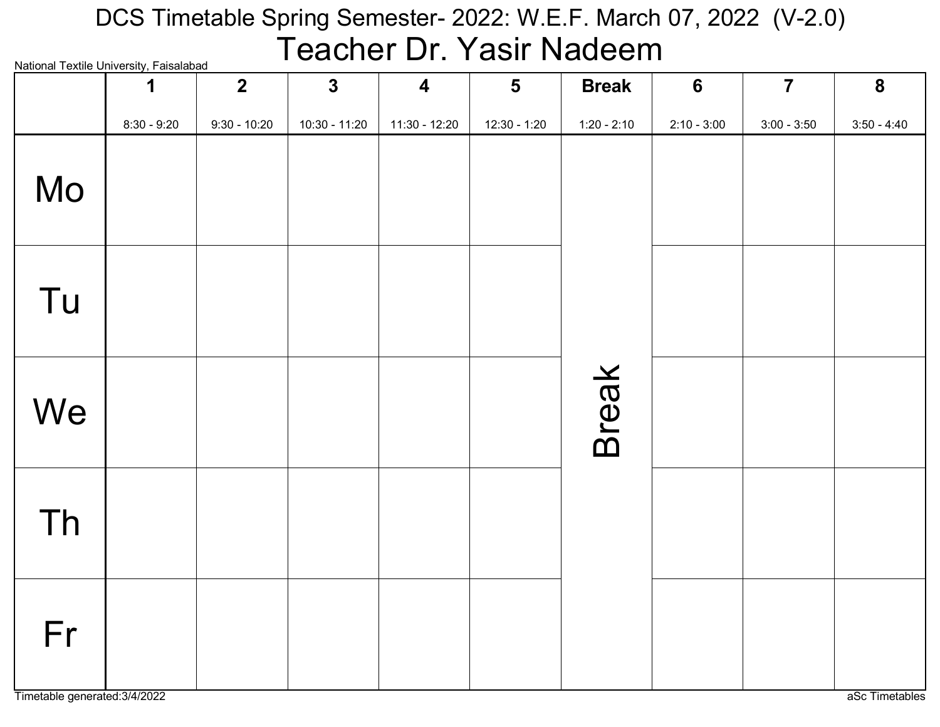#### National Textile University, Faisalabad DCS Timetable Spring Semester- 2022: W.E.F. March 07, 2022 (V-2.0) Teacher Dr. Yasir Nadeem

|                                     | <b>National Textile Offiversity, Laisalabau</b><br>1 | $\overline{2}$ | $\mathbf{3}$  | $\boldsymbol{4}$ | $5\phantom{1}$ | <b>Break</b>  | $6\phantom{1}6$ | $\overline{7}$ | 8              |
|-------------------------------------|------------------------------------------------------|----------------|---------------|------------------|----------------|---------------|-----------------|----------------|----------------|
|                                     | $8:30 - 9:20$                                        | $9:30 - 10:20$ | 10:30 - 11:20 | $11:30 - 12:20$  | $12:30 - 1:20$ | $1:20 - 2:10$ | $2:10 - 3:00$   | $3:00 - 3:50$  | $3:50 - 4:40$  |
| Mo                                  |                                                      |                |               |                  |                |               |                 |                |                |
| Tu                                  |                                                      |                |               |                  |                |               |                 |                |                |
| We                                  |                                                      |                |               |                  |                | <b>Break</b>  |                 |                |                |
| Th                                  |                                                      |                |               |                  |                |               |                 |                |                |
| Fr<br>Timetable generated: 3/4/2022 |                                                      |                |               |                  |                |               |                 |                | aSc Timetables |